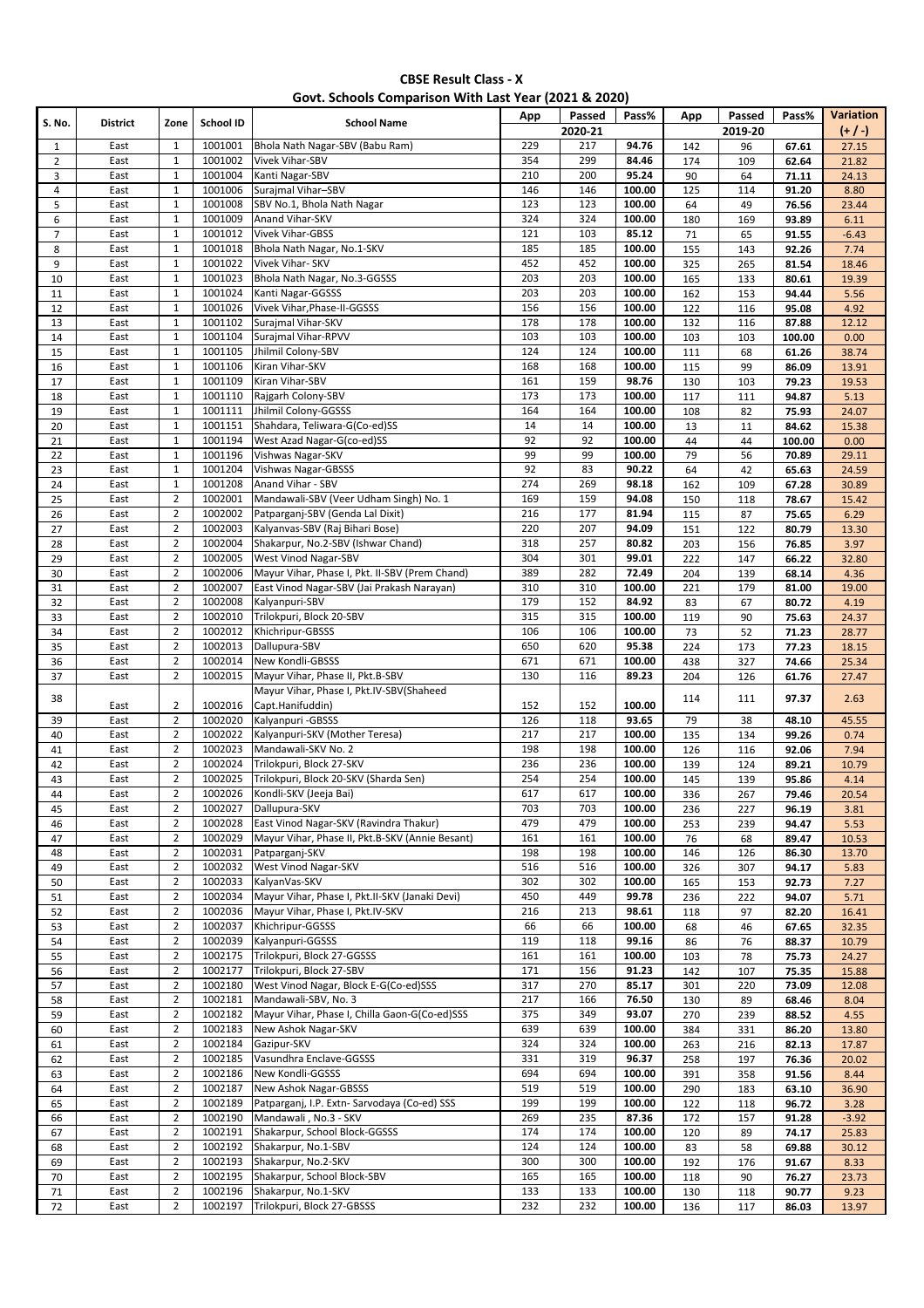| Govt. Schools Comparison With Last Year (2021 & 2020) |  |  |  |
|-------------------------------------------------------|--|--|--|
|-------------------------------------------------------|--|--|--|

| S. No.         | <b>District</b> |                |                  | <b>School Name</b>                              | App             | Passed  | Pass%  | App        | Passed  | Pass%  | <b>Variation</b> |
|----------------|-----------------|----------------|------------------|-------------------------------------------------|-----------------|---------|--------|------------|---------|--------|------------------|
|                |                 | Zone           | <b>School ID</b> |                                                 |                 | 2020-21 |        |            | 2019-20 |        | $(+/-)$          |
| $\mathbf{1}$   | East            | 1              | 1001001          | Bhola Nath Nagar-SBV (Babu Ram)                 | 229             | 217     | 94.76  | 142        | 96      | 67.61  | 27.15            |
| $\overline{2}$ | East            | $\mathbf{1}$   | 1001002          | <b>Vivek Vihar-SBV</b>                          | 354             | 299     | 84.46  | 174        | 109     | 62.64  | 21.82            |
| 3              | East            | $\mathbf{1}$   | 1001004          | Kanti Nagar-SBV                                 | 210             | 200     | 95.24  | 90         | 64      | 71.11  | 24.13            |
| 4              | East            | $\mathbf 1$    | 1001006          | Surajmal Vihar-SBV                              | 146             | 146     | 100.00 | 125        | 114     | 91.20  | 8.80             |
| 5              | East            | $\mathbf{1}$   | 1001008          | SBV No.1, Bhola Nath Nagar                      | 123             | 123     | 100.00 | 64         | 49      | 76.56  | 23.44            |
| 6              | East            | $\mathbf{1}$   | 1001009          | Anand Vihar-SKV                                 | 324             | 324     | 100.00 | 180        | 169     | 93.89  | 6.11             |
| $\overline{7}$ | East            | $\mathbf 1$    | 1001012          | Vivek Vihar-GBSS                                | 121             | 103     | 85.12  | 71         | 65      | 91.55  | $-6.43$          |
| 8              | East            | $\mathbf{1}$   | 1001018          | Bhola Nath Nagar, No.1-SKV                      | 185             | 185     | 100.00 | 155        | 143     | 92.26  | 7.74             |
| 9              | East            | $\mathbf{1}$   | 1001022          | Vivek Vihar- SKV                                | 452             | 452     | 100.00 | 325        | 265     | 81.54  | 18.46            |
| 10             | East            | $\mathbf 1$    | 1001023          | Bhola Nath Nagar, No.3-GGSSS                    | 203             | 203     | 100.00 | 165        | 133     | 80.61  | 19.39            |
| 11             | East            | $\mathbf{1}$   | 1001024          | Kanti Nagar-GGSSS                               | 203             | 203     | 100.00 | 162        | 153     | 94.44  | 5.56             |
| 12             | East            | $\mathbf{1}$   | 1001026          | Vivek Vihar, Phase-II-GGSSS                     | 156             | 156     | 100.00 | 122        | 116     | 95.08  | 4.92             |
| 13             | East            | $\mathbf{1}$   | 1001102          | Surajmal Vihar-SKV                              | 178             | 178     | 100.00 | 132        | 116     | 87.88  | 12.12            |
| 14             | East            | $\mathbf 1$    | 1001104          | Surajmal Vihar-RPVV                             | 103             | 103     | 100.00 | 103        | 103     | 100.00 | 0.00             |
| 15             | East            | $\mathbf{1}$   | 1001105          | Jhilmil Colony-SBV                              | 124             | 124     | 100.00 | 111        | 68      | 61.26  | 38.74            |
| 16             | East            | $\mathbf 1$    | 1001106          | Kiran Vihar-SKV                                 | 168             | 168     | 100.00 | 115        | 99      | 86.09  | 13.91            |
| 17             | East            | $\mathbf 1$    | 1001109          | Kiran Vihar-SBV                                 | 161             | 159     | 98.76  | 130        |         |        |                  |
|                |                 |                |                  |                                                 | $\frac{173}{2}$ | 173     |        |            | 103     | 79.23  | 19.53            |
| 18             | East            | $\mathbf{1}$   | 1001110          | Rajgarh Colony-SBV                              |                 |         | 100.00 | 117        | 111     | 94.87  | 5.13             |
| 19             | East            | $\mathbf{1}$   | 1001111          | Jhilmil Colony-GGSSS                            | 164             | 164     | 100.00 | 108        | 82      | 75.93  | 24.07            |
| 20             | East            | $\mathbf 1$    | 1001151          | Shahdara, Teliwara-G(Co-ed)SS                   | 14              | 14      | 100.00 | 13         | 11      | 84.62  | 15.38            |
| 21             | East            | $\mathbf{1}$   | 1001194          | West Azad Nagar-G(co-ed)SS                      | 92              | 92      | 100.00 | 44         | 44      | 100.00 | 0.00             |
| 22             | East            | $\mathbf 1$    | 1001196          | Vishwas Nagar-SKV                               | 99              | 99      | 100.00 | 79         | 56      | 70.89  | 29.11            |
| 23             | East            | $\mathbf 1$    | 1001204          | Vishwas Nagar-GBSSS                             | 92              | 83      | 90.22  | 64         | 42      | 65.63  | 24.59            |
| 24             | East            | $\mathbf 1$    | 1001208          | Anand Vihar - SBV                               | 274             | 269     | 98.18  | 162        | 109     | 67.28  | 30.89            |
| 25             | East            | $\overline{2}$ | 1002001          | Mandawali-SBV (Veer Udham Singh) No. 1          | 169             | 159     | 94.08  | 150        | 118     | 78.67  | 15.42            |
| 26             | East            | $\overline{2}$ | 1002002          | Patparganj-SBV (Genda Lal Dixit)                | 216             | 177     | 81.94  | 115        | 87      | 75.65  | 6.29             |
| 27             | East            | $\overline{2}$ | 1002003          | Kalyanvas-SBV (Raj Bihari Bose)                 | 220             | 207     | 94.09  | 151        | 122     | 80.79  | 13.30            |
| 28             | East            | $\overline{2}$ | 1002004          | Shakarpur, No.2-SBV (Ishwar Chand)              | 318             | 257     | 80.82  | 203        | 156     | 76.85  | 3.97             |
| 29             | East            | $\overline{2}$ | 1002005          | <b>West Vinod Nagar-SBV</b>                     | 304             | 301     | 99.01  | 222        | 147     | 66.22  | 32.80            |
| 30             | East            | $\overline{2}$ | 1002006          | Mayur Vihar, Phase I, Pkt. II-SBV (Prem Chand)  | 389             | 282     | 72.49  | 204        | 139     | 68.14  | 4.36             |
| 31             | East            | $\overline{2}$ | 1002007          | East Vinod Nagar-SBV (Jai Prakash Narayan)      | 310             | 310     | 100.00 | 221        | 179     | 81.00  | 19.00            |
| 32             | East            | $\overline{2}$ | 1002008          | Kalyanpuri-SBV                                  | 179             | 152     | 84.92  | 83         | 67      | 80.72  | 4.19             |
| 33             | East            | $\overline{2}$ | 1002010          | Trilokpuri, Block 20-SBV                        | 315             | 315     | 100.00 | 119        | 90      | 75.63  | 24.37            |
| 34             | East            | $\overline{2}$ | 1002012          | Khichripur-GBSSS                                | 106             | 106     | 100.00 | 73         | 52      | 71.23  | 28.77            |
| 35             | East            | $\overline{2}$ | 1002013          | Dallupura-SBV                                   | 650             | 620     | 95.38  | 224        | 173     | 77.23  | 18.15            |
| 36             | East            | $\overline{2}$ | 1002014          | New Kondli-GBSSS                                | 671             | 671     | 100.00 | 438        | 327     | 74.66  | 25.34            |
| 37             | East            | $\overline{2}$ | 1002015          | Mayur Vihar, Phase II, Pkt.B-SBV                | 130             | 116     | 89.23  | 204        | 126     | 61.76  | 27.47            |
|                |                 |                |                  | Mayur Vihar, Phase I, Pkt.IV-SBV(Shaheed        |                 |         |        |            |         |        |                  |
| 38             | East            | $\overline{2}$ | 1002016          | Capt.Hanifuddin)                                | 152             | 152     | 100.00 | 114        | 111     | 97.37  | 2.63             |
|                | East            | $\overline{2}$ | 1002020          | Kalyanpuri - GBSSS                              | 126             | 118     | 93.65  | 79         |         |        |                  |
| 39             |                 | $\overline{2}$ | 1002022          |                                                 | 217             | 217     |        |            | 38      | 48.10  | 45.55            |
| 40             | East            |                |                  | Kalyanpuri-SKV (Mother Teresa)                  |                 |         | 100.00 | 135        | 134     | 99.26  | 0.74             |
| 41             | East            | $\mathbf 2$    | 1002023          | Mandawali-SKV No. 2                             | 198             | 198     | 100.00 | 126        | 116     | 92.06  | 7.94             |
| 42             | East            | $\overline{2}$ | 1002024          | Trilokpuri, Block 27-SKV                        | 236             | 236     | 100.00 | 139        | 124     | 89.21  | 10.79            |
| 43             | East            | $\overline{2}$ | 1002025          | Trilokpuri, Block 20-SKV (Sharda Sen)           | 254             | 254     | 100.00 | 145        | 139     | 95.86  | 4.14             |
| 44             | East            | $\overline{2}$ | 1002026          | Kondli-SKV (Jeeja Bai)                          | 617             | 617     | 100.00 | 336        | 267     | 79.46  | 20.54            |
| 45             | East            | 2              | 1002027          | Dallupura-SKV                                   | 703             | 703     | 100.00 | 236        | 227     | 96.19  | 3.81             |
| 46             | East            | $\overline{2}$ | 1002028          | East Vinod Nagar-SKV (Ravindra Thakur)          | 479             | 479     | 100.00 | 253        | 239     | 94.47  | 5.53             |
| 47             | East            | $\overline{2}$ | 1002029          | Mayur Vihar, Phase II, Pkt.B-SKV (Annie Besant) | 161             | 161     | 100.00 | 76         | 68      | 89.47  | 10.53            |
| 48             | East            | $\overline{2}$ | 1002031          | Patparganj-SKV                                  | 198             | 198     | 100.00 | 146        | 126     | 86.30  | 13.70            |
| 49             | East            | $\overline{2}$ | 1002032          | West Vinod Nagar-SKV                            | 516             | 516     | 100.00 | 326        | 307     | 94.17  | 5.83             |
| 50             | East            | $\overline{2}$ | 1002033          | KalyanVas-SKV                                   | 302             | 302     | 100.00 | 165        | 153     | 92.73  | 7.27             |
| 51             | East            | $\overline{2}$ | 1002034          | Mayur Vihar, Phase I, Pkt.II-SKV (Janaki Devi)  | 450             | 449     | 99.78  | 236        | 222     | 94.07  | 5.71             |
| 52             | East            | $\overline{2}$ | 1002036          | Mayur Vihar, Phase I, Pkt.IV-SKV                | 216             | 213     | 98.61  | 118        | 97      | 82.20  | 16.41            |
| 53             | East            | $\overline{2}$ | 1002037          | Khichripur-GGSSS                                | 66              | 66      | 100.00 | 68         | 46      | 67.65  | 32.35            |
| 54             | East            | $\overline{2}$ | 1002039          | Kalyanpuri-GGSSS                                | 119             | 118     | 99.16  | 86         | 76      | 88.37  | 10.79            |
| 55             | East            | $\overline{2}$ | 1002175          | Trilokpuri, Block 27-GGSSS                      | 161             | 161     | 100.00 | 103        | 78      | 75.73  | 24.27            |
| 56             | East            | $\overline{2}$ | 1002177          | Trilokpuri, Block 27-SBV                        | 171             | 156     | 91.23  | 142        | 107     | 75.35  | 15.88            |
| 57             | East            | $\overline{2}$ | 1002180          | West Vinod Nagar, Block E-G(Co-ed)SSS           | 317             | 270     | 85.17  | 301        | 220     | 73.09  | 12.08            |
| 58             | East            | $\overline{2}$ | 1002181          | Mandawali-SBV, No. 3                            | 217             | 166     | 76.50  | 130        | 89      | 68.46  | 8.04             |
| 59             | East            | $\overline{2}$ | 1002182          | Mayur Vihar, Phase I, Chilla Gaon-G(Co-ed)SSS   | 375             | 349     | 93.07  | 270        | 239     | 88.52  | 4.55             |
| 60             | East            | $\overline{2}$ | 1002183          | New Ashok Nagar-SKV                             | 639             | 639     | 100.00 | 384        | 331     | 86.20  | 13.80            |
| 61             | East            | $\overline{2}$ | 1002184          | Gazipur-SKV                                     | 324             | 324     | 100.00 | 263        | 216     | 82.13  | 17.87            |
|                | East            | $\overline{2}$ | 1002185          | Vasundhra Enclave-GGSSS                         | 331             | 319     | 96.37  |            |         |        |                  |
| 62             | East            | $\overline{2}$ | 1002186          | New Kondli-GGSSS                                | 694             | 694     | 100.00 | 258<br>391 | 197     | 76.36  | 20.02<br>8.44    |
| 63             |                 |                | 1002187          | New Ashok Nagar-GBSSS                           | 519             | 519     |        |            | 358     | 91.56  |                  |
| 64             | East            | $\overline{2}$ |                  |                                                 | 199             |         | 100.00 | 290        | 183     | 63.10  | 36.90            |
| 65             | East            | $\overline{2}$ | 1002189          | Patparganj, I.P. Extn- Sarvodaya (Co-ed) SSS    |                 | 199     | 100.00 | 122        | 118     | 96.72  | 3.28             |
| 66             | East            | $\overline{2}$ | 1002190          | Mandawali, No.3 - SKV                           | 269             | 235     | 87.36  | 172        | 157     | 91.28  | $-3.92$          |
| 67             | East            | $\overline{2}$ | 1002191          | Shakarpur, School Block-GGSSS                   | 174             | 174     | 100.00 | 120        | 89      | 74.17  | 25.83            |
| 68             | East            | $\overline{2}$ | 1002192          | Shakarpur, No.1-SBV                             | 124             | 124     | 100.00 | 83         | 58      | 69.88  | 30.12            |
| 69             | East            | $\overline{2}$ | 1002193          | Shakarpur, No.2-SKV                             | 300             | 300     | 100.00 | 192        | 176     | 91.67  | 8.33             |
| 70             | East            | $\overline{2}$ | 1002195          | Shakarpur, School Block-SBV                     | 165             | 165     | 100.00 | 118        | 90      | 76.27  | 23.73            |
| 71             | East            | $\overline{2}$ | 1002196          | Shakarpur, No.1-SKV                             | 133             | 133     | 100.00 | 130        | 118     | 90.77  | 9.23             |
| 72             | East            | $\overline{2}$ | 1002197          | Trilokpuri, Block 27-GBSSS                      | 232             | 232     | 100.00 | 136        | 117     | 86.03  | 13.97            |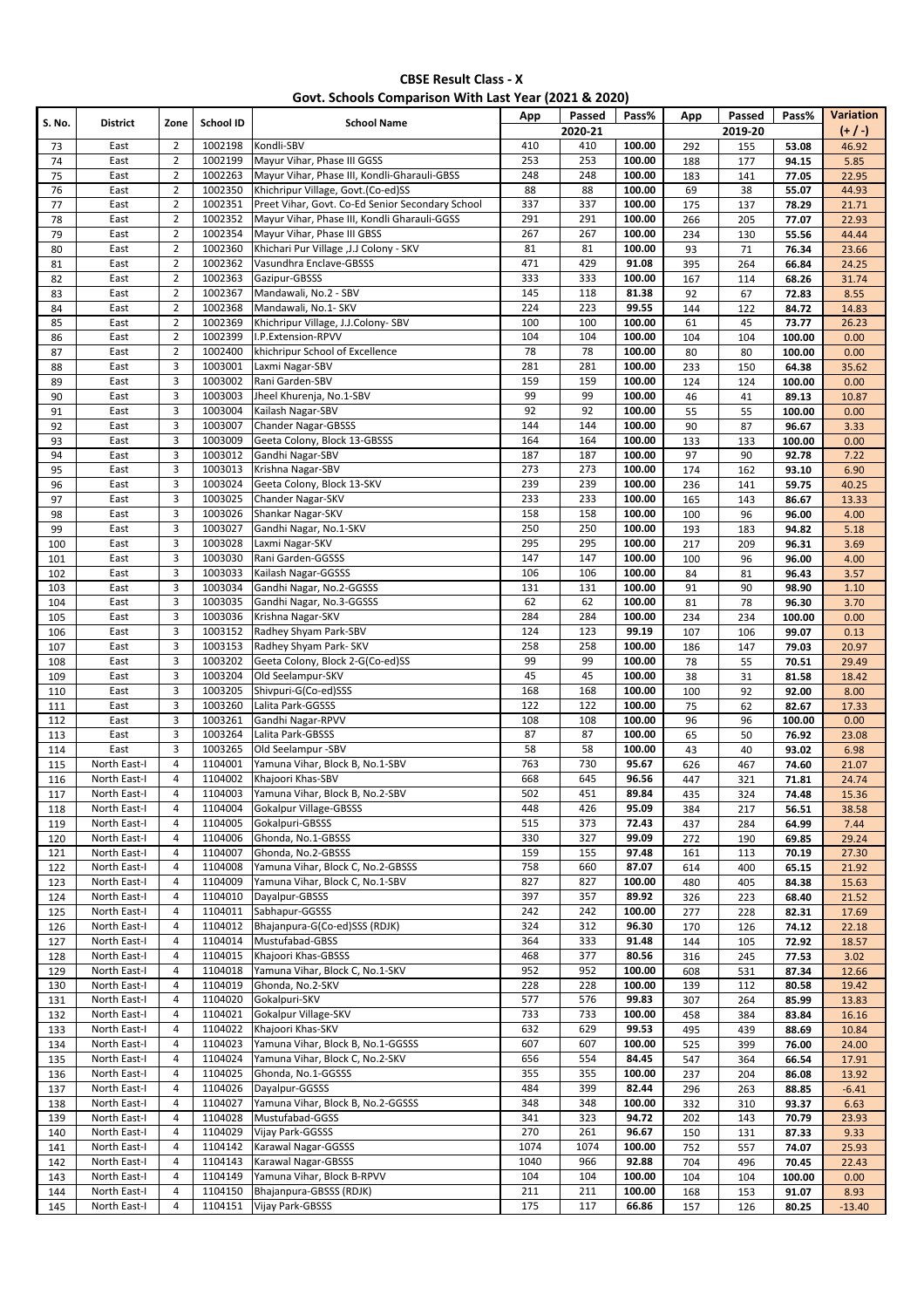| Govt. Schools Comparison With Last Year (2021 & 2020) |  |  |  |
|-------------------------------------------------------|--|--|--|
|-------------------------------------------------------|--|--|--|

| S. No. | <b>District</b> |                | School ID | <b>School Name</b>                               | App  | Passed           | Pass%  | App | Passed  | Pass%  | Variation |
|--------|-----------------|----------------|-----------|--------------------------------------------------|------|------------------|--------|-----|---------|--------|-----------|
|        |                 | Zone           |           |                                                  |      | 2020-21          |        |     | 2019-20 |        | $(+ / )$  |
| 73     | East            | $\overline{2}$ | 1002198   | Kondli-SBV                                       | 410  | 410              | 100.00 | 292 | 155     | 53.08  | 46.92     |
| 74     | East            | $\overline{2}$ | 1002199   | Mayur Vihar, Phase III GGSS                      | 253  | 253              | 100.00 | 188 | 177     | 94.15  | 5.85      |
| 75     | East            | $\overline{2}$ | 1002263   | Mayur Vihar, Phase III, Kondli-Gharauli-GBSS     | 248  | 248              | 100.00 | 183 | 141     | 77.05  | 22.95     |
| 76     | East            | $\overline{2}$ | 1002350   | Khichripur Village, Govt.(Co-ed)SS               | 88   | 88               | 100.00 | 69  | 38      | 55.07  | 44.93     |
| 77     | East            | $\mathbf 2$    | 1002351   | Preet Vihar, Govt. Co-Ed Senior Secondary School | 337  | 337              | 100.00 | 175 | 137     | 78.29  | 21.71     |
| 78     | East            | $\overline{2}$ | 1002352   | Mayur Vihar, Phase III, Kondli Gharauli-GGSS     | 291  | 291              | 100.00 | 266 | 205     | 77.07  | 22.93     |
| 79     | East            | $\overline{2}$ | 1002354   | Mayur Vihar, Phase III GBSS                      | 267  | 267              | 100.00 | 234 | 130     | 55.56  | 44.44     |
| 80     | East            | $\overline{2}$ | 1002360   | Khichari Pur Village , J.J Colony - SKV          | 81   | 81               | 100.00 | 93  | 71      | 76.34  | 23.66     |
|        | East            | $\overline{2}$ | 1002362   | Vasundhra Enclave-GBSSS                          | 471  | 429              | 91.08  | 395 |         |        |           |
| 81     |                 |                |           |                                                  |      |                  |        |     | 264     | 66.84  | 24.25     |
| 82     | East            | $\overline{2}$ | 1002363   | Gazipur-GBSSS                                    | 333  | 333              | 100.00 | 167 | 114     | 68.26  | 31.74     |
| 83     | East            | $\mathbf 2$    | 1002367   | Mandawali, No.2 - SBV                            | 145  | 118              | 81.38  | 92  | 67      | 72.83  | 8.55      |
| 84     | East            | $\overline{2}$ | 1002368   | Mandawali, No.1- SKV                             | 224  | $\overline{223}$ | 99.55  | 144 | 122     | 84.72  | 14.83     |
| 85     | East            | $\overline{2}$ | 1002369   | Khichripur Village, J.J.Colony-SBV               | 100  | 100              | 100.00 | 61  | 45      | 73.77  | 26.23     |
| 86     | East            | $\overline{2}$ | 1002399   | I.P.Extension-RPVV                               | 104  | 104              | 100.00 | 104 | 104     | 100.00 | 0.00      |
| 87     | East            | $\overline{2}$ | 1002400   | khichripur School of Excellence                  | 78   | 78               | 100.00 | 80  | 80      | 100.00 | 0.00      |
| 88     | East            | 3              | 1003001   | Laxmi Nagar-SBV                                  | 281  | 281              | 100.00 | 233 | 150     | 64.38  | 35.62     |
| 89     | East            | 3              | 1003002   | Rani Garden-SBV                                  | 159  | 159              | 100.00 | 124 | 124     | 100.00 | 0.00      |
| 90     | East            | 3              | 1003003   | Jheel Khurenja, No.1-SBV                         | 99   | 99               | 100.00 | 46  | 41      | 89.13  | 10.87     |
| 91     | East            | 3              | 1003004   | Kailash Nagar-SBV                                | 92   | 92               | 100.00 | 55  | 55      | 100.00 | 0.00      |
| 92     | East            | 3              | 1003007   | <b>Chander Nagar-GBSSS</b>                       | 144  | 144              | 100.00 | 90  | 87      | 96.67  | 3.33      |
| 93     | East            | $\mathsf 3$    | 1003009   | Geeta Colony, Block 13-GBSSS                     | 164  | 164              | 100.00 | 133 | 133     | 100.00 | 0.00      |
| 94     | East            | 3              | 1003012   | Gandhi Nagar-SBV                                 | 187  | 187              | 100.00 | 97  | 90      | 92.78  | 7.22      |
| 95     | East            | 3              | 1003013   | Krishna Nagar-SBV                                | 273  | 273              | 100.00 | 174 | 162     | 93.10  | 6.90      |
| 96     | East            | $\mathbf{3}$   | 1003024   | Geeta Colony, Block 13-SKV                       | 239  | 239              | 100.00 | 236 | 141     | 59.75  | 40.25     |
| 97     | East            | 3              | 1003025   | Chander Nagar-SKV                                | 233  | 233              | 100.00 | 165 |         | 86.67  |           |
|        |                 |                |           |                                                  |      |                  | 100.00 |     | 143     |        | 13.33     |
| 98     | East            | 3              | 1003026   | Shankar Nagar-SKV                                | 158  | 158              |        | 100 | 96      | 96.00  | 4.00      |
| 99     | East            | $\mathsf 3$    | 1003027   | Gandhi Nagar, No.1-SKV                           | 250  | 250              | 100.00 | 193 | 183     | 94.82  | 5.18      |
| 100    | East            | 3              | 1003028   | Laxmi Nagar-SKV                                  | 295  | 295              | 100.00 | 217 | 209     | 96.31  | 3.69      |
| 101    | East            | 3              | 1003030   | Rani Garden-GGSSS                                | 147  | 147              | 100.00 | 100 | 96      | 96.00  | 4.00      |
| 102    | East            | 3              | 1003033   | Kailash Nagar-GGSSS                              | 106  | 106              | 100.00 | 84  | 81      | 96.43  | 3.57      |
| 103    | East            | 3              | 1003034   | Gandhi Nagar, No.2-GGSSS                         | 131  | 131              | 100.00 | 91  | 90      | 98.90  | 1.10      |
| 104    | East            | 3              | 1003035   | Gandhi Nagar, No.3-GGSSS                         | 62   | 62               | 100.00 | 81  | 78      | 96.30  | 3.70      |
| 105    | East            | $\mathsf 3$    | 1003036   | Krishna Nagar-SKV                                | 284  | 284              | 100.00 | 234 | 234     | 100.00 | 0.00      |
| 106    | East            | 3              | 1003152   | Radhey Shyam Park-SBV                            | 124  | 123              | 99.19  | 107 | 106     | 99.07  | 0.13      |
| 107    | East            | 3              | 1003153   | Radhey Shyam Park- SKV                           | 258  | 258              | 100.00 | 186 | 147     | 79.03  | 20.97     |
| 108    | East            | $\mathbf{3}$   | 1003202   | Geeta Colony, Block 2-G(Co-ed)SS                 | 99   | 99               | 100.00 | 78  | 55      | 70.51  | 29.49     |
| 109    | East            | 3              | 1003204   | Old Seelampur-SKV                                | 45   | 45               | 100.00 | 38  | 31      | 81.58  | 18.42     |
| 110    | East            | $\mathsf 3$    | 1003205   | Shivpuri-G(Co-ed)SSS                             | 168  | 168              | 100.00 | 100 | 92      | 92.00  | 8.00      |
|        | East            | $\mathbf{3}$   | 1003260   | Lalita Park-GGSSS                                | 122  | 122              | 100.00 |     | 62      |        | 17.33     |
| 111    |                 |                |           |                                                  |      |                  |        | 75  |         | 82.67  |           |
| 112    | East            | 3              | 1003261   | Gandhi Nagar-RPVV                                | 108  | 108              | 100.00 | 96  | 96      | 100.00 | 0.00      |
| 113    | East            | 3              | 1003264   | Lalita Park-GBSSS                                | 87   | 87               | 100.00 | 65  | 50      | 76.92  | 23.08     |
| 114    | East            | 3              | 1003265   | Old Seelampur -SBV                               | 58   | 58               | 100.00 | 43  | 40      | 93.02  | 6.98      |
| 115    | North East-I    | $\overline{4}$ | 1104001   | Yamuna Vihar, Block B, No.1-SBV                  | 763  | 730              | 95.67  | 626 | 467     | 74.60  | 21.07     |
| 116    | North East-I    | $\overline{4}$ | 1104002   | Khajoori Khas-SBV                                | 668  | 645              | 96.56  | 447 | 321     | 71.81  | 24.74     |
| 117    | North East-I    | 4              | 1104003   | Yamuna Vihar, Block B, No.2-SBV                  | 502  | 451              | 89.84  | 435 | 324     | 74.48  | 15.36     |
| 118    | North East-I    | 4              | 1104004   | Gokalpur Village-GBSSS                           | 448  | 426              | 95.09  | 384 | 217     | 56.51  | 38.58     |
| 119    | North East-I    | $\overline{4}$ | 1104005   | Gokalpuri-GBSSS                                  | 515  | 373              | 72.43  | 437 | 284     | 64.99  | 7.44      |
| 120    | North East-I    | 4              | 1104006   | Ghonda, No.1-GBSSS                               | 330  | 327              | 99.09  | 272 | 190     | 69.85  | 29.24     |
| 121    | North East-I    | 4              | 1104007   | Ghonda, No.2-GBSSS                               | 159  | 155              | 97.48  | 161 | 113     | 70.19  | 27.30     |
| 122    | North East-I    | $\overline{4}$ | 1104008   | Yamuna Vihar, Block C, No.2-GBSSS                | 758  | 660              | 87.07  | 614 | 400     | 65.15  | 21.92     |
| 123    | North East-I    | $\overline{4}$ | 1104009   | Yamuna Vihar, Block C, No.1-SBV                  | 827  | 827              | 100.00 | 480 | 405     | 84.38  | 15.63     |
| 124    | North East-I    | 4              | 1104010   | Dayalpur-GBSSS                                   | 397  | 357              | 89.92  | 326 | 223     | 68.40  | 21.52     |
| 125    | North East-I    | 4              | 1104011   | Sabhapur-GGSSS                                   | 242  | 242              | 100.00 | 277 | 228     | 82.31  | 17.69     |
| 126    | North East-I    | $\overline{a}$ | 1104012   | Bhajanpura-G(Co-ed)SSS (RDJK)                    | 324  | 312              | 96.30  | 170 | 126     | 74.12  | 22.18     |
| 127    | North East-I    | 4              | 1104014   | Mustufabad-GBSS                                  | 364  | 333              | 91.48  | 144 | 105     | 72.92  | 18.57     |
|        |                 | $\overline{4}$ | 1104015   | Khajoori Khas-GBSSS                              |      | 377              |        |     |         |        |           |
| 128    | North East-I    |                | 1104018   |                                                  | 468  |                  | 80.56  | 316 | 245     | 77.53  | 3.02      |
| 129    | North East-I    | 4              |           | Yamuna Vihar, Block C, No.1-SKV                  | 952  | 952              | 100.00 | 608 | 531     | 87.34  | 12.66     |
| 130    | North East-I    | 4              | 1104019   | Ghonda, No.2-SKV                                 | 228  | 228              | 100.00 | 139 | 112     | 80.58  | 19.42     |
| 131    | North East-I    | 4              | 1104020   | Gokalpuri-SKV                                    | 577  | 576              | 99.83  | 307 | 264     | 85.99  | 13.83     |
| 132    | North East-I    | 4              | 1104021   | Gokalpur Village-SKV                             | 733  | 733              | 100.00 | 458 | 384     | 83.84  | 16.16     |
| 133    | North East-I    | 4              | 1104022   | Khajoori Khas-SKV                                | 632  | 629              | 99.53  | 495 | 439     | 88.69  | 10.84     |
| 134    | North East-I    | 4              | 1104023   | Yamuna Vihar, Block B, No.1-GGSSS                | 607  | 607              | 100.00 | 525 | 399     | 76.00  | 24.00     |
| 135    | North East-I    | 4              | 1104024   | Yamuna Vihar, Block C, No.2-SKV                  | 656  | 554              | 84.45  | 547 | 364     | 66.54  | 17.91     |
| 136    | North East-I    | $\overline{4}$ | 1104025   | Ghonda, No.1-GGSSS                               | 355  | 355              | 100.00 | 237 | 204     | 86.08  | 13.92     |
| 137    | North East-I    | 4              | 1104026   | Dayalpur-GGSSS                                   | 484  | 399              | 82.44  | 296 | 263     | 88.85  | $-6.41$   |
| 138    | North East-I    | 4              | 1104027   | Yamuna Vihar, Block B, No.2-GGSSS                | 348  | 348              | 100.00 | 332 | 310     | 93.37  | 6.63      |
| 139    | North East-I    | $\overline{4}$ | 1104028   | Mustufabad-GGSS                                  | 341  | 323              | 94.72  | 202 | 143     | 70.79  | 23.93     |
| 140    | North East-I    | 4              | 1104029   | Vijay Park-GGSSS                                 | 270  | 261              | 96.67  | 150 | 131     | 87.33  | 9.33      |
| 141    | North East-I    | $\overline{4}$ | 1104142   | Karawal Nagar-GGSSS                              | 1074 | 1074             | 100.00 | 752 | 557     | 74.07  | 25.93     |
| 142    | North East-I    | 4              | 1104143   | Karawal Nagar-GBSSS                              | 1040 | 966              | 92.88  | 704 | 496     | 70.45  | 22.43     |
| 143    | North East-I    | 4              | 1104149   | Yamuna Vihar, Block B-RPVV                       | 104  | 104              | 100.00 | 104 | 104     | 100.00 | 0.00      |
|        | North East-I    | 4              | 1104150   | Bhajanpura-GBSSS (RDJK)                          | 211  | 211              | 100.00 |     |         |        |           |
| 144    |                 |                |           |                                                  |      |                  |        | 168 | 153     | 91.07  | 8.93      |
| 145    | North East-I    | 4              | 1104151   | Vijay Park-GBSSS                                 | 175  | 117              | 66.86  | 157 | 126     | 80.25  | $-13.40$  |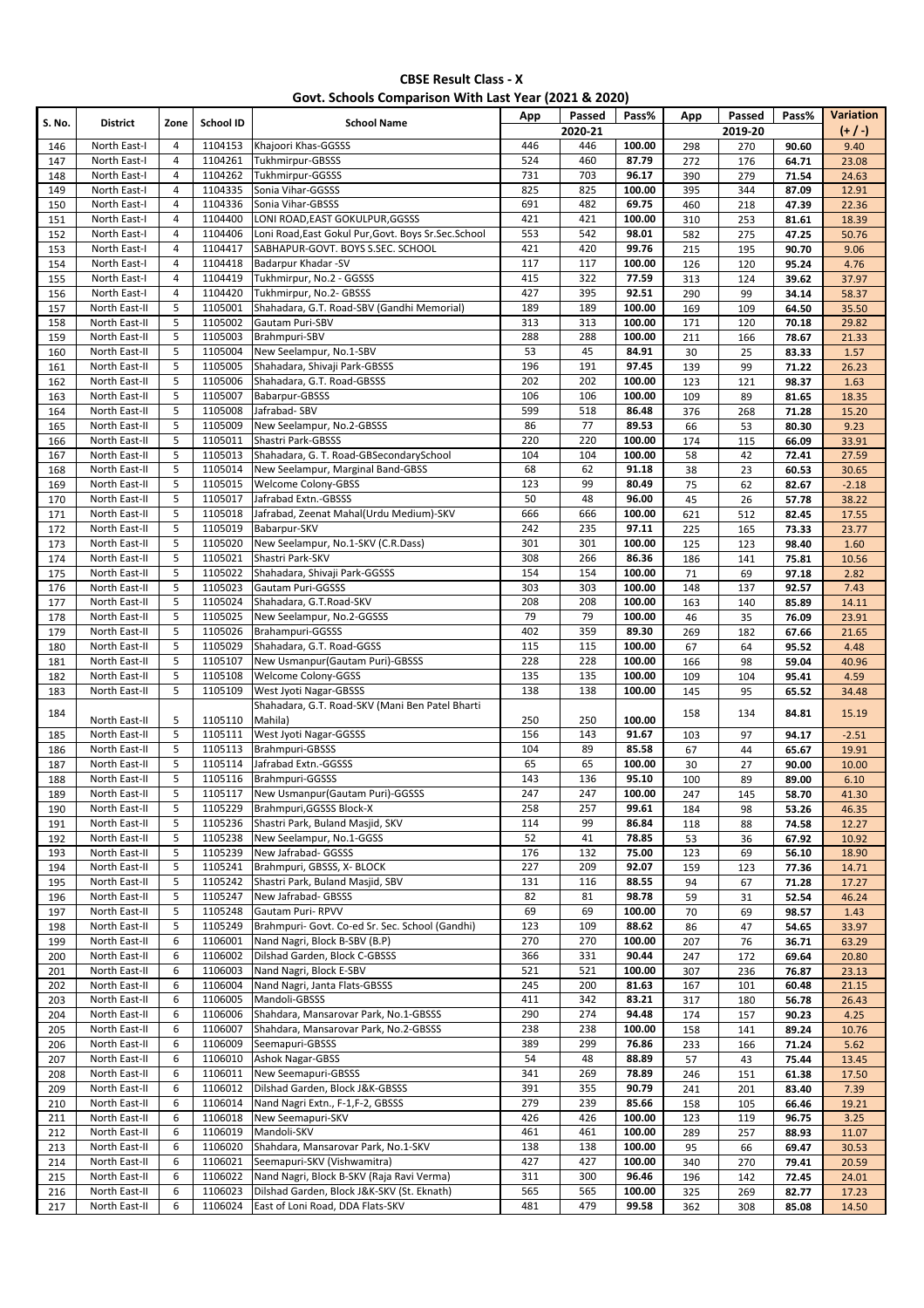### **Govt. Schools Comparison With Last Year (2021 & 2020)**

| S. No.     | <b>District</b>                | Zone           | School ID          | <b>School Name</b>                                       | App       | Passed<br>2020-21 | Pass%          | App       | Passed<br>2019-20 | Pass%          | Variation<br>$(+/-)$ |
|------------|--------------------------------|----------------|--------------------|----------------------------------------------------------|-----------|-------------------|----------------|-----------|-------------------|----------------|----------------------|
| 146        | North East-I                   | 4              | 1104153            | Khajoori Khas-GGSSS                                      | 446       | 446               | 100.00         | 298       | 270               | 90.60          | 9.40                 |
| 147        | North East-I                   | $\overline{4}$ | 1104261            | <b>Tukhmirpur-GBSSS</b>                                  | 524       | 460               | 87.79          | 272       | 176               | 64.71          | 23.08                |
| 148        | North East-I                   | $\sqrt{4}$     | 1104262            | Tukhmirpur-GGSSS                                         | 731       | 703               | 96.17          | 390       | 279               | 71.54          | 24.63                |
| 149        | North East-I                   | $\overline{4}$ | 1104335            | Sonia Vihar-GGSSS                                        | 825       | 825               | 100.00         | 395       | 344               | 87.09          | 12.91                |
| 150        | North East-I                   | $\overline{4}$ | 1104336            | Sonia Vihar-GBSSS                                        | 691       | 482               | 69.75          | 460       | 218               | 47.39          | 22.36                |
| 151        | North East-I                   | $\overline{4}$ | 1104400            | LONI ROAD, EAST GOKULPUR, GGSSS                          | 421       | 421               | 100.00         | 310       | 253               | 81.61          | 18.39                |
| 152        | North East-I                   | $\overline{4}$ | 1104406            | Loni Road, East Gokul Pur, Govt. Boys Sr. Sec. School    | 553       | 542               | 98.01          | 582       | 275               | 47.25          | 50.76                |
| 153        | North East-I                   | $\overline{4}$ | 1104417            | SABHAPUR-GOVT. BOYS S.SEC. SCHOOL                        | 421       | 420               | 99.76          | 215       | 195               | 90.70          | 9.06                 |
| 154        | North East-I                   | $\overline{a}$ | 1104418            | Badarpur Khadar -SV                                      | 117       | 117               | 100.00         | 126       | 120               | 95.24          | 4.76                 |
| 155        | North East-I                   | $\overline{4}$ | 1104419            | Tukhmirpur, No.2 - GGSSS                                 | 415       | 322               | 77.59          | 313       | 124               | 39.62          | 37.97                |
| 156        | North East-I                   | $\overline{4}$ | 1104420            | Tukhmirpur, No.2- GBSSS                                  | 427       | 395               | 92.51          | 290       | 99                | 34.14          | 58.37                |
| 157        | North East-II                  | 5              | 1105001            | Shahadara, G.T. Road-SBV (Gandhi Memorial)               | 189       | 189               | 100.00         | 169       | 109               | 64.50          | 35.50                |
| 158        | North East-II                  | 5<br>5         | 1105002            | Gautam Puri-SBV                                          | 313       | 313               | 100.00         | 171       | 120               | 70.18          | 29.82                |
| 159        | North East-II                  |                | 1105003            | Brahmpuri-SBV                                            | 288       | 288               | 100.00         | 211       | 166               | 78.67          | 21.33                |
| 160        | North East-II<br>North East-II | 5<br>5         | 1105004<br>1105005 | New Seelampur, No.1-SBV<br>Shahadara, Shivaji Park-GBSSS | 53<br>196 | 45<br>191         | 84.91<br>97.45 | 30<br>139 | 25<br>99          | 83.33          | 1.57<br>26.23        |
| 161<br>162 | North East-II                  | 5              | 1105006            | Shahadara, G.T. Road-GBSSS                               | 202       | 202               | 100.00         | 123       | 121               | 71.22<br>98.37 | 1.63                 |
| 163        | North East-II                  | 5              | 1105007            | Babarpur-GBSSS                                           | 106       | 106               | 100.00         | 109       | 89                | 81.65          | 18.35                |
| 164        | North East-II                  | 5              | 1105008            | Jafrabad-SBV                                             | 599       | 518               | 86.48          | 376       | 268               | 71.28          | 15.20                |
| 165        | North East-II                  | 5              | 1105009            | New Seelampur, No.2-GBSSS                                | 86        | 77                | 89.53          | 66        | 53                | 80.30          | 9.23                 |
| 166        | North East-II                  | 5              | 1105011            | Shastri Park-GBSSS                                       | 220       | 220               | 100.00         | 174       | 115               | 66.09          | 33.91                |
| 167        | North East-II                  | 5              | 1105013            | Shahadara, G. T. Road-GBSecondarySchool                  | 104       | 104               | 100.00         | 58        | 42                | 72.41          | 27.59                |
| 168        | North East-II                  | 5              | 1105014            | New Seelampur, Marginal Band-GBSS                        | 68        | 62                | 91.18          | 38        | 23                | 60.53          | 30.65                |
| 169        | North East-II                  | 5              | 1105015            | <b>Welcome Colony-GBSS</b>                               | 123       | 99                | 80.49          | 75        | 62                | 82.67          | $-2.18$              |
| 170        | North East-II                  | 5              | 1105017            | Jafrabad Extn.-GBSSS                                     | 50        | 48                | 96.00          | 45        | 26                | 57.78          | 38.22                |
| 171        | North East-II                  | 5              | 1105018            | Jafrabad, Zeenat Mahal(Urdu Medium)-SKV                  | 666       | 666               | 100.00         | 621       | 512               | 82.45          | 17.55                |
| 172        | North East-II                  | 5              | 1105019            | Babarpur-SKV                                             | 242       | 235               | 97.11          | 225       | 165               | 73.33          | 23.77                |
| 173        | North East-II                  | 5              | 1105020            | New Seelampur, No.1-SKV (C.R.Dass)                       | 301       | 301               | 100.00         | 125       | 123               | 98.40          | 1.60                 |
| 174        | North East-II                  | 5              | 1105021            | Shastri Park-SKV                                         | 308       | 266               | 86.36          | 186       | 141               | 75.81          | 10.56                |
| 175        | North East-II                  | 5              | 1105022            | Shahadara, Shivaji Park-GGSSS                            | 154       | 154               | 100.00         | 71        | 69                | 97.18          | 2.82                 |
| 176        | North East-II                  | 5              | 1105023            | Gautam Puri-GGSSS                                        | 303       | 303               | 100.00         | 148       | 137               | 92.57          | 7.43                 |
| 177        | North East-II                  | 5              | 1105024            | Shahadara, G.T.Road-SKV                                  | 208       | 208               | 100.00         | 163       | 140               | 85.89          | 14.11                |
| 178        | North East-II                  | 5              | 1105025            | New Seelampur, No.2-GGSSS                                | 79        | 79                | 100.00         | 46        | 35                | 76.09          | 23.91                |
| 179        | North East-II                  | 5              | 1105026            | Brahampuri-GGSSS                                         | 402       | 359               | 89.30          | 269       | 182               | 67.66          | 21.65                |
| 180        | North East-II                  | 5              | 1105029            | Shahadara, G.T. Road-GGSS                                | 115       | 115               | 100.00         | 67        | 64                | 95.52          | 4.48                 |
| 181        | North East-II                  | 5              | 1105107            | New Usmanpur (Gautam Puri)-GBSSS                         | 228       | 228               | 100.00         | 166       | 98                | 59.04          | 40.96                |
| 182        | North East-II                  | 5              | 1105108            | Welcome Colony-GGSS                                      | 135       | 135               | 100.00         | 109       | 104               | 95.41          | 4.59                 |
| 183        | North East-II                  | 5              | 1105109            | <b>West Jyoti Nagar-GBSSS</b>                            | 138       | 138               | 100.00         | 145       | 95                | 65.52          | 34.48                |
| 184        |                                | 5              | 1105110            | Shahadara, G.T. Road-SKV (Mani Ben Patel Bharti          | 250       | 250               | 100.00         | 158       | 134               | 84.81          | 15.19                |
| 185        | North East-II<br>North East-II | 5              | 1105111            | Mahila)<br>West Jyoti Nagar-GGSSS                        | 156       | 143               | 91.67          | 103       | 97                | 94.17          | $-2.51$              |
| 186        | North East-II                  | 5              | 1105113            | Brahmpuri-GBSSS                                          | 104       | 89                | 85.58          | 67        | 44                | 65.67          | 19.91                |
| 187        | North East-II                  | 5              | 1105114            | Jafrabad Extn.-GGSSS                                     | 65        | 65                | 100.00         | 30        | 27                | 90.00          | 10.00                |
| 188        | North East-II                  | 5              | 1105116            | Brahmpuri-GGSSS                                          | 143       | 136               | 95.10          | 100       | 89                | 89.00          | 6.10                 |
| 189        | North East-II                  | 5              | 1105117            | New Usmanpur (Gautam Puri)-GGSSS                         | 247       | 247               | 100.00         | 247       | 145               | 58.70          | 41.30                |
| 190        | North East-II                  | 5              | 1105229            | Brahmpuri, GGSSS Block-X                                 | 258       | 257               | 99.61          | 184       | 98                | 53.26          | 46.35                |
| 191        | North East-II                  | 5              | 1105236            | Shastri Park, Buland Masjid, SKV                         | 114       | 99                | 86.84          | 118       | 88                | 74.58          | 12.27                |
| 192        | North East-II                  | 5              | 1105238            | New Seelampur, No.1-GGSS                                 | 52        | 41                | 78.85          | 53        | 36                | 67.92          | 10.92                |
| 193        | North East-II                  | 5              | 1105239            | New Jafrabad- GGSSS                                      | 176       | 132               | 75.00          | 123       | 69                | 56.10          | 18.90                |
| 194        | North East-II                  | 5              | 1105241            | Brahmpuri, GBSSS, X- BLOCK                               | 227       | 209               | 92.07          | 159       | 123               | 77.36          | 14.71                |
| 195        | North East-II                  | 5              | 1105242            | Shastri Park, Buland Masjid, SBV                         | 131       | 116               | 88.55          | 94        | 67                | 71.28          | 17.27                |
| 196        | North East-II                  | 5              | 1105247            | New Jafrabad- GBSSS                                      | 82        | 81                | 98.78          | 59        | 31                | 52.54          | 46.24                |
| 197        | North East-II                  | 5              | 1105248            | Gautam Puri-RPVV                                         | 69        | 69                | 100.00         | 70        | 69                | 98.57          | 1.43                 |
| 198        | North East-II                  | 5              | 1105249            | Brahmpuri- Govt. Co-ed Sr. Sec. School (Gandhi)          | 123       | 109               | 88.62          | 86        | 47                | 54.65          | 33.97                |
| 199        | North East-II                  | 6              | 1106001            | Nand Nagri, Block B-SBV (B.P)                            | 270       | 270               | 100.00         | 207       | 76                | 36.71          | 63.29                |
| 200        | North East-II                  | 6              | 1106002            | Dilshad Garden, Block C-GBSSS                            | 366       | 331               | 90.44          | 247       | 172               | 69.64          | 20.80                |
| 201        | North East-II                  | 6              | 1106003            | Nand Nagri, Block E-SBV                                  | 521       | 521               | 100.00         | 307       | 236               | 76.87          | 23.13                |
| 202        | North East-II                  | 6              | 1106004            | Nand Nagri, Janta Flats-GBSSS                            | 245       | 200               | 81.63          | 167       | 101               | 60.48          | 21.15                |
| 203        | North East-II                  | 6              | 1106005            | Mandoli-GBSSS                                            | 411       | 342               | 83.21          | 317       | 180               | 56.78          | 26.43                |
| 204        | North East-II                  | 6              | 1106006            | Shahdara, Mansarovar Park, No.1-GBSSS                    | 290       | 274               | 94.48          | 174       | 157               | 90.23          | 4.25                 |
| 205        | North East-II                  | 6              | 1106007            | Shahdara, Mansarovar Park, No.2-GBSSS                    | 238       | 238               | 100.00         | 158       | 141               | 89.24          | 10.76                |
| 206        | North East-II                  | 6              | 1106009            | Seemapuri-GBSSS                                          | 389       | 299               | 76.86          | 233       | 166               | 71.24          | 5.62                 |
| 207        | North East-II<br>North East-II | 6<br>6         | 1106010<br>1106011 | <b>Ashok Nagar-GBSS</b><br>New Seemapuri-GBSSS           | 54<br>341 | 48<br>269         | 88.89<br>78.89 | 57<br>246 | 43                | 75.44          | 13.45                |
| 208<br>209 | North East-II                  | 6              | 1106012            | Dilshad Garden, Block J&K-GBSSS                          | 391       | 355               | 90.79          | 241       | 151<br>201        | 61.38<br>83.40 | 17.50<br>7.39        |
| 210        | North East-II                  | 6              | 1106014            | Nand Nagri Extn., F-1, F-2, GBSSS                        | 279       | 239               | 85.66          | 158       | 105               | 66.46          | 19.21                |
| 211        | North East-II                  | 6              | 1106018            | New Seemapuri-SKV                                        | 426       | 426               | 100.00         | 123       | 119               | 96.75          | 3.25                 |
| 212        | North East-II                  | 6              | 1106019            | Mandoli-SKV                                              | 461       | 461               | 100.00         | 289       | 257               | 88.93          | 11.07                |
| 213        | North East-II                  | 6              | 1106020            | Shahdara, Mansarovar Park, No.1-SKV                      | 138       | 138               | 100.00         | 95        | 66                | 69.47          | 30.53                |
| 214        | North East-II                  | 6              | 1106021            | Seemapuri-SKV (Vishwamitra)                              | 427       | 427               | 100.00         | 340       | 270               | 79.41          | 20.59                |
| 215        | North East-II                  | 6              | 1106022            | Nand Nagri, Block B-SKV (Raja Ravi Verma)                | 311       | 300               | 96.46          | 196       | 142               | 72.45          | 24.01                |
| 216        | North East-II                  | 6              | 1106023            | Dilshad Garden, Block J&K-SKV (St. Eknath)               | 565       | 565               | 100.00         | 325       | 269               | 82.77          | 17.23                |
| 217        | North East-II                  | 6              | 1106024            | East of Loni Road, DDA Flats-SKV                         | 481       | 479               | 99.58          | 362       | 308               | 85.08          | 14.50                |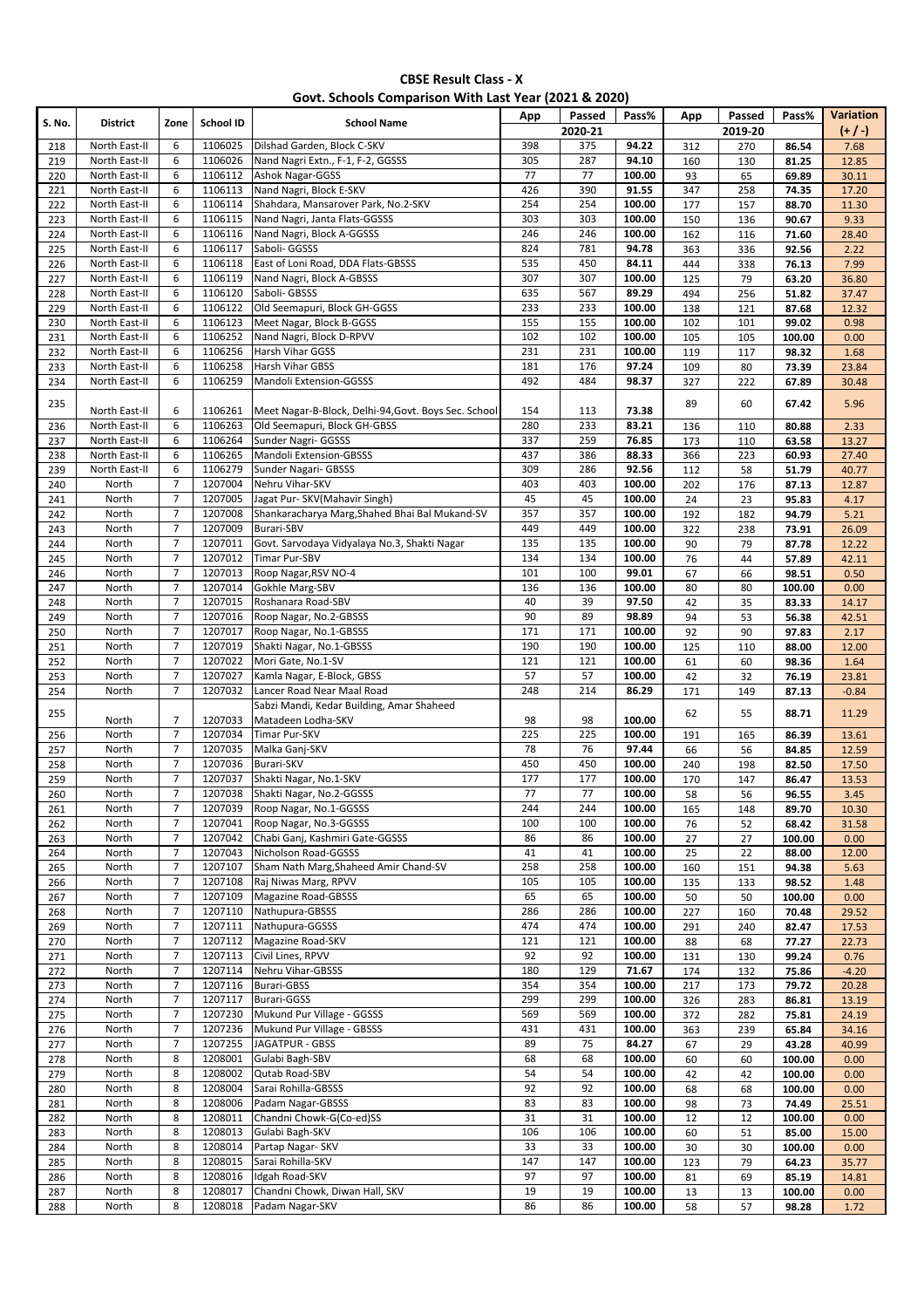|  |  | Govt. Schools Comparison With Last Year (2021 & 2020) |
|--|--|-------------------------------------------------------|
|--|--|-------------------------------------------------------|

| S. No.     | <b>District</b>                | Zone                             | School ID          | <b>School Name</b>                                                | App        | Passed     | Pass%            | App        | Passed     | Pass%          | Variation      |
|------------|--------------------------------|----------------------------------|--------------------|-------------------------------------------------------------------|------------|------------|------------------|------------|------------|----------------|----------------|
|            |                                |                                  |                    |                                                                   |            | 2020-21    |                  |            | 2019-20    |                | $(+/-)$        |
| 218<br>219 | North East-II<br>North East-II | 6<br>6                           | 1106025<br>1106026 | Dilshad Garden, Block C-SKV<br>Nand Nagri Extn., F-1, F-2, GGSSS  | 398<br>305 | 375<br>287 | 94.22<br>94.10   | 312<br>160 | 270<br>130 | 86.54<br>81.25 | 7.68<br>12.85  |
| 220        | North East-II                  | 6                                | 1106112            | <b>Ashok Nagar-GGSS</b>                                           | 77         | 77         | 100.00           | 93         | 65         | 69.89          | 30.11          |
| 221        | North East-II                  | 6                                | 1106113            | Nand Nagri, Block E-SKV                                           | 426        | 390        | 91.55            | 347        | 258        | 74.35          | 17.20          |
| 222        | North East-II                  | 6                                | 1106114            | Shahdara, Mansarover Park, No.2-SKV                               | 254        | 254        | 100.00           | 177        | 157        | 88.70          | 11.30          |
| 223        | North East-II                  | 6                                | 1106115            | Nand Nagri, Janta Flats-GGSSS                                     | 303        | 303        | 100.00           | 150        | 136        | 90.67          | 9.33           |
| 224        | North East-II                  | 6                                | 1106116            | Nand Nagri, Block A-GGSSS                                         | 246        | 246        | 100.00           | 162        | 116        | 71.60          | 28.40          |
| 225        | North East-II                  | 6                                | 1106117            | Saboli- GGSSS                                                     | 824        | 781        | 94.78            | 363        | 336        | 92.56          | 2.22           |
| 226        | North East-II                  | 6                                | 1106118            | East of Loni Road, DDA Flats-GBSSS                                | 535        | 450        | 84.11            | 444        | 338        | 76.13          | 7.99           |
| 227        | North East-II                  | 6                                | 1106119            | Nand Nagri, Block A-GBSSS                                         | 307        | 307        | 100.00           | 125        | 79         | 63.20          | 36.80          |
| 228        | North East-II<br>North East-II | 6<br>6                           | 1106120<br>1106122 | Saboli- GBSSS<br>Old Seemapuri, Block GH-GGSS                     | 635<br>233 | 567<br>233 | 89.29<br>100.00  | 494        | 256        | 51.82          | 37.47          |
| 229<br>230 | North East-II                  | 6                                | 1106123            | Meet Nagar, Block B-GGSS                                          | 155        | 155        | 100.00           | 138<br>102 | 121<br>101 | 87.68<br>99.02 | 12.32<br>0.98  |
| 231        | North East-II                  | 6                                | 1106252            | Nand Nagri, Block D-RPVV                                          | 102        | 102        | 100.00           | 105        | 105        | 100.00         | 0.00           |
| 232        | North East-II                  | 6                                | 1106256            | Harsh Vihar GGSS                                                  | 231        | 231        | 100.00           | 119        | 117        | 98.32          | 1.68           |
| 233        | North East-II                  | 6                                | 1106258            | Harsh Vihar GBSS                                                  | 181        | 176        | 97.24            | 109        | 80         | 73.39          | 23.84          |
| 234        | North East-II                  | 6                                | 1106259            | Mandoli Extension-GGSSS                                           | 492        | 484        | 98.37            | 327        | 222        | 67.89          | 30.48          |
| 235        |                                |                                  |                    |                                                                   |            |            |                  | 89         | 60         | 67.42          | 5.96           |
|            | North East-II                  | 6                                | 1106261            | Meet Nagar-B-Block, Delhi-94, Govt. Boys Sec. School              | 154        | 113        | 73.38            |            |            |                |                |
| 236        | North East-II                  | 6                                | 1106263            | Old Seemapuri, Block GH-GBSS                                      | 280        | 233        | 83.21            | 136        | 110        | 80.88          | 2.33           |
| 237        | North East-II                  | 6                                | 1106264            | Sunder Nagri- GGSSS                                               | 337        | 259        | 76.85            | 173        | 110        | 63.58          | 13.27          |
| 238        | North East-II                  | 6                                | 1106265            | Mandoli Extension-GBSSS                                           | 437        | 386        | 88.33            | 366        | 223        | 60.93          | 27.40          |
| 239        | North East-II                  | 6                                | 1106279            | Sunder Nagari- GBSSS                                              | 309        | 286        | 92.56            | 112        | 58         | 51.79          | 40.77          |
| 240        | North                          | $\overline{7}$                   | 1207004            | Nehru Vihar-SKV                                                   | 403        | 403        | 100.00           | 202        | 176        | 87.13          | 12.87          |
| 241        | North                          | $\overline{7}$                   | 1207005            | Jagat Pur- SKV (Mahavir Singh)                                    | 45         | 45         | 100.00           | 24         | 23         | 95.83          | 4.17           |
| 242        | North                          | $\overline{7}$<br>$\overline{7}$ | 1207008<br>1207009 | Shankaracharya Marg, Shahed Bhai Bal Mukand-SV                    | 357<br>449 | 357<br>449 | 100.00           | 192        | 182        | 94.79          | 5.21           |
| 243        | North<br>North                 | $\overline{7}$                   | 1207011            | <b>Burari-SBV</b><br>Govt. Sarvodaya Vidyalaya No.3, Shakti Nagar | 135        | 135        | 100.00<br>100.00 | 322<br>90  | 238        | 73.91<br>87.78 | 26.09          |
| 244<br>245 | North                          | $\overline{7}$                   | 1207012            | Timar Pur-SBV                                                     | 134        | 134        | 100.00           | 76         | 79<br>44   | 57.89          | 12.22<br>42.11 |
| 246        | North                          | $\overline{7}$                   | 1207013            | Roop Nagar, RSV NO-4                                              | 101        | 100        | 99.01            | 67         | 66         | 98.51          | 0.50           |
| 247        | North                          | $\overline{7}$                   | 1207014            | Gokhle Marg-SBV                                                   | 136        | 136        | 100.00           | 80         | 80         | 100.00         | 0.00           |
| 248        | North                          | $\overline{7}$                   | 1207015            | Roshanara Road-SBV                                                | 40         | 39         | 97.50            | 42         | 35         | 83.33          | 14.17          |
| 249        | North                          | $\overline{7}$                   | 1207016            | Roop Nagar, No.2-GBSSS                                            | 90         | 89         | 98.89            | 94         | 53         | 56.38          | 42.51          |
| 250        | North                          | 7                                | 1207017            | Roop Nagar, No.1-GBSSS                                            | 171        | 171        | 100.00           | 92         | 90         | 97.83          | 2.17           |
| 251        | North                          | $\overline{7}$                   | 1207019            | Shakti Nagar, No.1-GBSSS                                          | 190        | 190        | 100.00           | 125        | 110        | 88.00          | 12.00          |
| 252        | North                          | $\overline{7}$                   | 1207022            | Mori Gate, No.1-SV                                                | 121        | 121        | 100.00           | 61         | 60         | 98.36          | 1.64           |
| 253        | North                          | 7                                | 1207027            | Kamla Nagar, E-Block, GBSS                                        | 57         | 57         | 100.00           | 42         | 32         | 76.19          | 23.81          |
| 254        | North                          | $\overline{7}$                   | 1207032            | Lancer Road Near Maal Road                                        | 248        | 214        | 86.29            | 171        | 149        | 87.13          | $-0.84$        |
| 255        |                                |                                  |                    | Sabzi Mandi, Kedar Building, Amar Shaheed                         |            |            |                  | 62         | 55         | 88.71          | 11.29          |
|            | North                          | $\overline{7}$                   | 1207033            | Matadeen Lodha-SKV                                                | 98         | 98         | 100.00           |            |            |                |                |
| 256        | North                          | $\overline{7}$                   | 1207034            | Timar Pur-SKV                                                     | 225        | 225        | 100.00           | 191        | 165        | 86.39          | 13.61          |
| 257        | North                          | $\overline{7}$                   | 1207035            | Malka Ganj-SKV                                                    | 78         | 76         | 97.44            | 66         | 56         | 84.85          | 12.59          |
| 258<br>259 | North<br>North                 | $\overline{7}$<br>$\overline{7}$ | 1207036<br>1207037 | <b>Burari-SKV</b><br>Shakti Nagar, No.1-SKV                       | 450<br>177 | 450<br>177 | 100.00<br>100.00 | 240<br>170 | 198<br>147 | 82.50<br>86.47 | 17.50<br>13.53 |
| 260        | North                          | $\overline{7}$                   | 1207038            | Shakti Nagar, No.2-GGSSS                                          | 77         | 77         | 100.00           | 58         | 56         | 96.55          | 3.45           |
| 261        | North                          | 7                                | 1207039            | Roop Nagar, No.1-GGSSS                                            | 244        | 244        | 100.00           | 165        | 148        | 89.70          | 10.30          |
| 262        | North                          | $\overline{7}$                   | 1207041            | Roop Nagar, No.3-GGSSS                                            | 100        | 100        | 100.00           | 76         | 52         | 68.42          | 31.58          |
| 263        | North                          | $\overline{7}$                   | 1207042            | Chabi Ganj, Kashmiri Gate-GGSSS                                   | 86         | 86         | 100.00           | 27         | 27         | 100.00         | 0.00           |
| 264        | North                          | $\overline{7}$                   | 1207043            | Nicholson Road-GGSSS                                              | 41         | 41         | 100.00           | 25         | 22         | 88.00          | 12.00          |
| 265        | North                          | $\overline{7}$                   | 1207107            | Sham Nath Marg, Shaheed Amir Chand-SV                             | 258        | 258        | 100.00           | 160        | 151        | 94.38          | 5.63           |
| 266        | North                          | $\overline{7}$                   | 1207108            | Raj Niwas Marg, RPVV                                              | 105        | 105        | 100.00           | 135        | 133        | 98.52          | 1.48           |
| 267        | North                          | $\overline{7}$                   | 1207109            | <b>Magazine Road-GBSSS</b>                                        | 65         | 65         | 100.00           | 50         | 50         | 100.00         | 0.00           |
| 268        | North                          | $\overline{7}$                   | 1207110            | Nathupura-GBSSS                                                   | 286        | 286        | 100.00           | 227        | 160        | 70.48          | 29.52          |
| 269        | North                          | $\overline{7}$                   | 1207111            | Nathupura-GGSSS                                                   | 474        | 474        | 100.00           | 291        | 240        | 82.47          | 17.53          |
| 270        | North                          | $\overline{7}$                   | 1207112            | Magazine Road-SKV                                                 | 121        | 121        | 100.00           | 88         | 68         | 77.27          | 22.73          |
| 271        | North                          | $\overline{7}$                   | 1207113            | Civil Lines, RPVV                                                 | 92         | 92         | 100.00           | 131        | 130        | 99.24          | 0.76           |
| 272        | North                          | $\overline{7}$                   | 1207114            | Nehru Vihar-GBSSS                                                 | 180        | 129        | 71.67            | 174        | 132        | 75.86          | $-4.20$        |
| 273        | North<br>North                 | $\overline{7}$<br>7              | 1207116<br>1207117 | <b>Burari-GBSS</b><br>Burari-GGSS                                 | 354<br>299 | 354<br>299 | 100.00<br>100.00 | 217        | 173        | 79.72          | 20.28          |
| 274<br>275 | North                          | $\overline{7}$                   | 1207230            | Mukund Pur Village - GGSSS                                        | 569        | 569        | 100.00           | 326<br>372 | 283<br>282 | 86.81<br>75.81 | 13.19<br>24.19 |
| 276        | North                          | $\overline{7}$                   | 1207236            | Mukund Pur Village - GBSSS                                        | 431        | 431        | 100.00           | 363        | 239        | 65.84          | 34.16          |
| 277        | North                          | $\overline{7}$                   | 1207255            | JAGATPUR - GBSS                                                   | 89         | 75         | 84.27            | 67         | 29         | 43.28          | 40.99          |
| 278        | North                          | 8                                | 1208001            | Gulabi Bagh-SBV                                                   | 68         | 68         | 100.00           | 60         | 60         | 100.00         | 0.00           |
| 279        | North                          | 8                                | 1208002            | Qutab Road-SBV                                                    | 54         | 54         | 100.00           | 42         | 42         | 100.00         | 0.00           |
| 280        | North                          | 8                                | 1208004            | Sarai Rohilla-GBSSS                                               | 92         | 92         | 100.00           | 68         | 68         | 100.00         | 0.00           |
| 281        | North                          | 8                                | 1208006            | Padam Nagar-GBSSS                                                 | 83         | 83         | 100.00           | 98         | 73         | 74.49          | 25.51          |
| 282        | North                          | 8                                | 1208011            | Chandni Chowk-G(Co-ed)SS                                          | 31         | 31         | 100.00           | 12         | 12         | 100.00         | 0.00           |
| 283        | North                          | 8                                | 1208013            | Gulabi Bagh-SKV                                                   | 106        | 106        | 100.00           | 60         | 51         | 85.00          | 15.00          |
| 284        | North                          | 8                                | 1208014            | Partap Nagar- SKV                                                 | 33         | 33         | 100.00           | 30         | 30         | 100.00         | 0.00           |
| 285        | North                          | 8                                | 1208015            | Sarai Rohilla-SKV                                                 | 147        | 147        | 100.00           | 123        | 79         | 64.23          | 35.77          |
| 286        | North                          | 8                                | 1208016            | Idgah Road-SKV                                                    | 97         | 97         | 100.00           | 81         | 69         | 85.19          | 14.81          |
| 287        | North                          | 8                                | 1208017            | Chandni Chowk, Diwan Hall, SKV                                    | 19         | 19         | 100.00           | 13         | 13         | 100.00         | 0.00           |
| 288        | North                          | 8                                | 1208018            | Padam Nagar-SKV                                                   | 86         | 86         | 100.00           | 58         | 57         | 98.28          | 1.72           |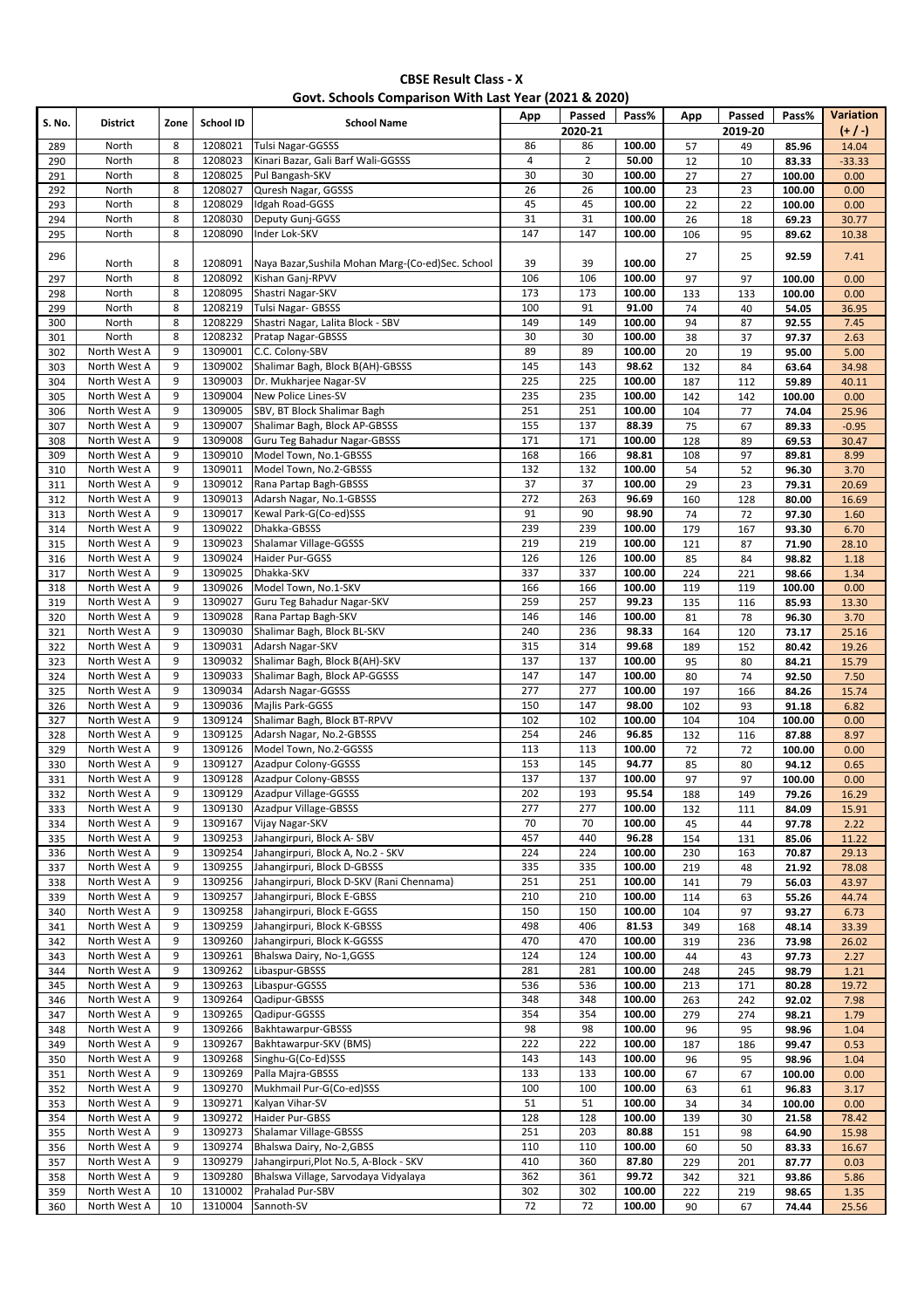### **Govt. Schools Comparison With Last Year (2021 & 2020)**

| S. No.     | <b>District</b>              | Zone   | School ID          | <b>School Name</b>                                  | App                    | Passed                 | Pass%            | App       | Passed    | Pass%           | Variation      |
|------------|------------------------------|--------|--------------------|-----------------------------------------------------|------------------------|------------------------|------------------|-----------|-----------|-----------------|----------------|
|            |                              |        |                    |                                                     |                        | 2020-21                |                  |           | 2019-20   |                 | $(+ / )$       |
| 289        | North                        | 8      | 1208021            | Tulsi Nagar-GGSSS                                   | 86                     | 86                     | 100.00           | 57        | 49        | 85.96           | 14.04          |
| 290        | North                        | 8      | 1208023            | Kinari Bazar, Gali Barf Wali-GGSSS                  | $\sqrt{4}$             | $\overline{2}$         | 50.00            | 12        | 10        | 83.33           | $-33.33$       |
| 291        | North                        | 8      | 1208025            | Pul Bangash-SKV                                     | 30                     | 30                     | 100.00           | 27        | 27        | 100.00          | 0.00           |
| 292        | North                        | 8      | 1208027            | Quresh Nagar, GGSSS                                 | 26                     | 26                     | 100.00           | 23        | 23        | 100.00          | 0.00           |
| 293        | North                        | 8      | 1208029            | Idgah Road-GGSS<br>Deputy Gunj-GGSS                 | 45                     | 45                     | 100.00           | 22        | 22        | 100.00          | 0.00           |
| 294        | North<br>North               | 8<br>8 | 1208030<br>1208090 | Inder Lok-SKV                                       | 31<br>147              | 31<br>147              | 100.00<br>100.00 | 26        | 18        | 69.23           | 30.77          |
| 295        |                              |        |                    |                                                     |                        |                        |                  | 106       | 95        | 89.62           | 10.38          |
| 296        | North                        | 8      | 1208091            | Naya Bazar, Sushila Mohan Marg-(Co-ed) Sec. School  | 39                     | 39                     | 100.00           | 27        | 25        | 92.59           | 7.41           |
| 297        | North                        | 8      | 1208092            | Kishan Ganj-RPVV                                    | 106                    | 106                    | 100.00           | 97        | 97        | 100.00          | 0.00           |
| 298        | North                        | 8      | 1208095            | Shastri Nagar-SKV                                   | 173                    | 173                    | 100.00           | 133       | 133       | 100.00          | 0.00           |
| 299        | North                        | 8      | 1208219            | <b>Tulsi Nagar- GBSSS</b>                           | 100                    | 91                     | 91.00            | 74        | 40        | 54.05           | 36.95          |
| 300        | North                        | 8      | 1208229            | Shastri Nagar, Lalita Block - SBV                   | 149                    | 149                    | 100.00           | 94        | 87        | 92.55           | 7.45           |
| 301        | North                        | 8      | 1208232            | Pratap Nagar-GBSSS                                  | 30                     | 30                     | 100.00           | 38        | 37        | 97.37           | 2.63           |
| 302        | North West A                 | 9      | 1309001            | C.C. Colony-SBV                                     | 89                     | 89                     | 100.00           | 20        | 19        | 95.00           | 5.00           |
| 303        | North West A                 | 9      | 1309002            | Shalimar Bagh, Block B(AH)-GBSSS                    | 145                    | 143                    | 98.62            | 132       | 84        | 63.64           | 34.98          |
| 304        | North West A                 | 9      | 1309003            | Dr. Mukharjee Nagar-SV                              | 225                    | 225                    | 100.00           | 187       | 112       | 59.89           | 40.11          |
| 305        | North West A                 | 9      | 1309004            | New Police Lines-SV                                 | 235                    | 235                    | 100.00           | 142       | 142       | 100.00          | 0.00           |
| 306        | North West A                 | 9      | 1309005            | SBV, BT Block Shalimar Bagh                         | 251                    | 251                    | 100.00           | 104       | 77        | 74.04           | 25.96          |
| 307        | North West A                 | 9      | 1309007            | Shalimar Bagh, Block AP-GBSSS                       | 155                    | 137                    | 88.39            | 75        | 67        | 89.33           | $-0.95$        |
| 308        | North West A                 | 9      | 1309008            | Guru Teg Bahadur Nagar-GBSSS                        | 171                    | 171                    | 100.00           | 128       | 89        | 69.53           | 30.47          |
| 309        | North West A                 | 9      | 1309010            | Model Town, No.1-GBSSS                              | 168                    | 166                    | 98.81            | 108       | 97        | 89.81           | 8.99           |
| 310        | North West A                 | 9<br>9 | 1309011<br>1309012 | Model Town, No.2-GBSSS                              | 132<br>$\overline{37}$ | 132<br>$\overline{37}$ | 100.00           | 54        | 52        | 96.30           | 3.70           |
| 311        | North West A<br>North West A | 9      | 1309013            | Rana Partap Bagh-GBSSS                              | 272                    | 263                    | 100.00<br>96.69  | 29        | 23        | 79.31           | 20.69          |
| 312<br>313 | North West A                 | 9      | 1309017            | Adarsh Nagar, No.1-GBSSS<br>Kewal Park-G(Co-ed)SSS  | 91                     | 90                     | 98.90            | 160<br>74 | 128<br>72 | 80.00<br>97.30  | 16.69<br>1.60  |
| 314        | North West A                 | 9      | 1309022            | Dhakka-GBSSS                                        | 239                    | 239                    | 100.00           | 179       | 167       | 93.30           | 6.70           |
| 315        | North West A                 | 9      | 1309023            | Shalamar Village-GGSSS                              | 219                    | 219                    | 100.00           | 121       | 87        | 71.90           | 28.10          |
| 316        | North West A                 | 9      | 1309024            | Haider Pur-GGSS                                     | 126                    | 126                    | 100.00           | 85        | 84        | 98.82           | 1.18           |
| 317        | North West A                 | 9      | 1309025            | Dhakka-SKV                                          | 337                    | 337                    | 100.00           | 224       | 221       | 98.66           | 1.34           |
| 318        | North West A                 | 9      | 1309026            | Model Town, No.1-SKV                                | 166                    | 166                    | 100.00           | 119       | 119       | 100.00          | 0.00           |
| 319        | North West A                 | 9      | 1309027            | Guru Teg Bahadur Nagar-SKV                          | 259                    | 257                    | 99.23            | 135       | 116       | 85.93           | 13.30          |
| 320        | North West A                 | 9      | 1309028            | Rana Partap Bagh-SKV                                | 146                    | 146                    | 100.00           | 81        | 78        | 96.30           | 3.70           |
| 321        | North West A                 | 9      | 1309030            | Shalimar Bagh, Block BL-SKV                         | 240                    | 236                    | 98.33            | 164       | 120       | 73.17           | 25.16          |
| 322        | North West A                 | 9      | 1309031            | Adarsh Nagar-SKV                                    | 315                    | 314                    | 99.68            | 189       | 152       | 80.42           | 19.26          |
| 323        | North West A                 | 9      | 1309032            | Shalimar Bagh, Block B(AH)-SKV                      | 137                    | 137                    | 100.00           | 95        | 80        | 84.21           | 15.79          |
| 324        | North West A                 | 9      | 1309033            | Shalimar Bagh, Block AP-GGSSS                       | 147                    | 147                    | 100.00           | 80        | 74        | 92.50           | 7.50           |
| 325        | North West A                 | 9      | 1309034            | Adarsh Nagar-GGSSS                                  | 277                    | 277                    | 100.00           | 197       | 166       | 84.26           | 15.74          |
| 326        | North West A                 | 9      | 1309036            | Majlis Park-GGSS                                    | 150                    | 147                    | 98.00            | 102       | 93        | 91.18           | 6.82           |
| 327        | North West A                 | 9      | 1309124            | Shalimar Bagh, Block BT-RPVV                        | 102                    | 102                    | 100.00           | 104       | 104       | 100.00          | 0.00           |
| 328        | North West A                 | 9      | 1309125            | Adarsh Nagar, No.2-GBSSS                            | 254                    | 246                    | 96.85            | 132       | 116       | 87.88           | 8.97           |
| 329        | North West A                 | 9      | 1309126            | Model Town, No.2-GGSSS                              | 113                    | 113                    | 100.00           | 72        | 72        | 100.00          | 0.00           |
| 330        | North West A                 | 9<br>9 | 1309127<br>1309128 | Azadpur Colony-GGSSS<br><b>Azadpur Colony-GBSSS</b> | 153<br>137             | 145<br>137             | 94.77<br>100.00  | 85<br>97  | 80<br>97  | 94.12           | 0.65           |
| 331        | North West A<br>North West A | 9      | 1309129            | Azadpur Village-GGSSS                               | 202                    | 193                    | 95.54            |           |           | 100.00          | 0.00           |
| 332<br>333 | North West A                 | 9      | 1309130            | Azadpur Village-GBSSS                               | 277                    | 277                    | 100.00           | 188       | 149       | 79.26<br>84.09  | 16.29<br>15.91 |
| 334        | North West A                 | 9      | 1309167            | Vijay Nagar-SKV                                     | 70                     | 70                     | 100.00           | 132<br>45 | 111<br>44 | 97.78           | 2.22           |
| 335        | North West A                 | 9      | 1309253            | Jahangirpuri, Block A-SBV                           | 457                    | 440                    | 96.28            | 154       | 131       | 85.06           | 11.22          |
| 336        | North West A                 | 9      | 1309254            | Jahangirpuri, Block A, No.2 - SKV                   | 224                    | 224                    | 100.00           | 230       | 163       | 70.87           | 29.13          |
| 337        | North West A                 | 9      | 1309255            | Jahangirpuri, Block D-GBSSS                         | 335                    | 335                    | 100.00           | 219       | 48        | 21.92           | 78.08          |
| 338        | North West A                 | 9      | 1309256            | Jahangirpuri, Block D-SKV (Rani Chennama)           | 251                    | 251                    | 100.00           | 141       | 79        | 56.03           | 43.97          |
| 339        | North West A                 | 9      | 1309257            | Jahangirpuri, Block E-GBSS                          | 210                    | 210                    | 100.00           | 114       | 63        | 55.26           | 44.74          |
| 340        | North West A                 | 9      | 1309258            | Jahangirpuri, Block E-GGSS                          | 150                    | 150                    | 100.00           | 104       | 97        | 93.27           | 6.73           |
| 341        | North West A                 | 9      | 1309259            | Jahangirpuri, Block K-GBSSS                         | 498                    | 406                    | 81.53            | 349       | 168       | 48.14           | 33.39          |
| 342        | North West A                 | 9      | 1309260            | Jahangirpuri, Block K-GGSSS                         | 470                    | 470                    | 100.00           | 319       | 236       | 73.98           | 26.02          |
| 343        | North West A                 | 9      | 1309261            | Bhalswa Dairy, No-1, GGSS                           | 124                    | 124                    | 100.00           | 44        | 43        | 97.73           | 2.27           |
| 344        | North West A                 | 9      | 1309262            | Libaspur-GBSSS                                      | 281                    | 281                    | 100.00           | 248       | 245       | 98.79           | 1.21           |
| 345        | North West A                 | 9      | 1309263            | Libaspur-GGSSS                                      | 536                    | 536                    | 100.00           | 213       | 171       | 80.28           | 19.72          |
| 346        | North West A                 | 9      | 1309264            | Qadipur-GBSSS                                       | 348                    | 348                    | 100.00           | 263       | 242       | 92.02           | 7.98           |
| 347        | North West A                 | 9      | 1309265            | Qadipur-GGSSS                                       | 354                    | 354                    | 100.00           | 279       | 274       | 98.21           | 1.79           |
| 348        | North West A                 | 9      | 1309266            | Bakhtawarpur-GBSSS                                  | 98                     | 98                     | 100.00           | 96        | 95        | 98.96           | 1.04           |
| 349        | North West A                 | 9<br>9 | 1309267<br>1309268 | Bakhtawarpur-SKV (BMS)<br>Singhu-G(Co-Ed)SSS        | 222                    | 222                    | 100.00           | 187       | 186       | 99.47           | 0.53           |
| 350<br>351 | North West A<br>North West A | 9      | 1309269            | Palla Majra-GBSSS                                   | 143<br>133             | 143<br>133             | 100.00<br>100.00 | 96<br>67  | 95<br>67  | 98.96<br>100.00 | 1.04<br>0.00   |
| 352        | North West A                 | 9      | 1309270            | Mukhmail Pur-G(Co-ed)SSS                            | 100                    | 100                    | 100.00           | 63        | 61        | 96.83           | 3.17           |
| 353        | North West A                 | 9      | 1309271            | Kalyan Vihar-SV                                     | 51                     | 51                     | 100.00           | 34        | 34        | 100.00          | 0.00           |
| 354        | North West A                 | 9      | 1309272            | Haider Pur-GBSS                                     | 128                    | 128                    | 100.00           | 139       | 30        | 21.58           | 78.42          |
| 355        | North West A                 | 9      | 1309273            | Shalamar Village-GBSSS                              | 251                    | 203                    | 80.88            | 151       | 98        | 64.90           | 15.98          |
| 356        | North West A                 | 9      | 1309274            | Bhalswa Dairy, No-2, GBSS                           | 110                    | 110                    | 100.00           | 60        | 50        | 83.33           | 16.67          |
| 357        | North West A                 | 9      | 1309279            | Jahangirpuri, Plot No.5, A-Block - SKV              | 410                    | 360                    | 87.80            | 229       | 201       | 87.77           | 0.03           |
| 358        | North West A                 | 9      | 1309280            | Bhalswa Village, Sarvodaya Vidyalaya                | 362                    | 361                    | 99.72            | 342       | 321       | 93.86           | 5.86           |
| 359        | North West A                 | 10     | 1310002            | Prahalad Pur-SBV                                    | 302                    | 302                    | 100.00           | 222       | 219       | 98.65           | 1.35           |
| 360        | North West A                 | 10     | 1310004            | Sannoth-SV                                          | 72                     | 72                     | 100.00           | 90        | 67        | 74.44           | 25.56          |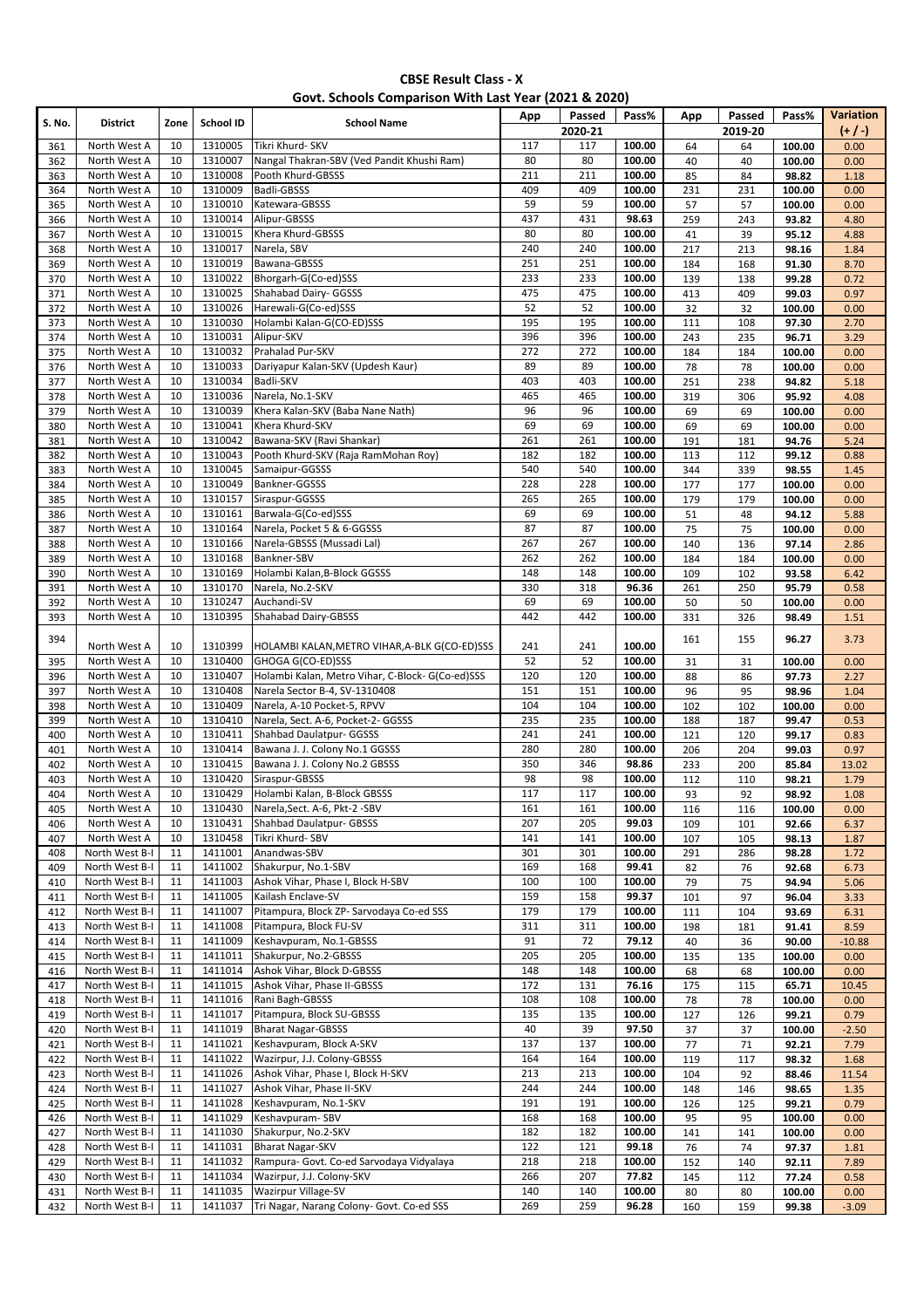#### **CBSE Result Class - X Govt. Schools Comparison With Last Year (2021 & 2020)**

| S. No.     | <b>District</b>                  | Zone     | School ID          | <b>School Name</b>                                               | App        | Passed     | Pass%            | App        | Passed     | Pass%            | Variation    |
|------------|----------------------------------|----------|--------------------|------------------------------------------------------------------|------------|------------|------------------|------------|------------|------------------|--------------|
|            |                                  |          |                    |                                                                  |            | 2020-21    |                  |            | 2019-20    |                  | (1)          |
| 361<br>362 | North West A<br>North West A     | 10<br>10 | 1310005<br>1310007 | Tikri Khurd- SKV<br>Nangal Thakran-SBV (Ved Pandit Khushi Ram)   | 117<br>80  | 117<br>80  | 100.00<br>100.00 | 64<br>40   | 64<br>40   | 100.00<br>100.00 | 0.00<br>0.00 |
| 363        | North West A                     | 10       | 1310008            | Pooth Khurd-GBSSS                                                | 211        | 211        | 100.00           | 85         | 84         | 98.82            | 1.18         |
| 364        | North West A                     | 10       | 1310009            | <b>Badli-GBSSS</b>                                               | 409        | 409        | 100.00           | 231        | 231        | 100.00           | 0.00         |
| 365        | North West A                     | 10       | 1310010            | Katewara-GBSSS                                                   | 59         | 59         | 100.00           | 57         | 57         | 100.00           | 0.00         |
| 366        | North West A                     | 10       | 1310014            | Alipur-GBSSS                                                     | 437        | 431        | 98.63            | 259        | 243        | 93.82            | 4.80         |
| 367        | North West A                     | 10       | 1310015            | Khera Khurd-GBSSS                                                | 80         | 80         | 100.00           | 41         | 39         | 95.12            | 4.88         |
| 368        | North West A                     | 10       | 1310017            | Narela, SBV                                                      | 240        | 240        | 100.00           | 217        | 213        | 98.16            | 1.84         |
| 369        | North West A                     | 10       | 1310019            | Bawana-GBSSS                                                     | 251        | 251        | 100.00           | 184        | 168        | 91.30            | 8.70         |
| 370        | North West A<br>North West A     | 10<br>10 | 1310022<br>1310025 | Bhorgarh-G(Co-ed)SSS<br>Shahabad Dairy- GGSSS                    | 233<br>475 | 233<br>475 | 100.00<br>100.00 | 139        | 138        | 99.28<br>99.03   | 0.72         |
| 371<br>372 | North West A                     | 10       | 1310026            | Harewali-G(Co-ed)SSS                                             | 52         | 52         | 100.00           | 413<br>32  | 409<br>32  | 100.00           | 0.97<br>0.00 |
| 373        | North West A                     | 10       | 1310030            | Holambi Kalan-G(CO-ED)SSS                                        | 195        | 195        | 100.00           | 111        | 108        | 97.30            | 2.70         |
| 374        | North West A                     | 10       | 1310031            | Alipur-SKV                                                       | 396        | 396        | 100.00           | 243        | 235        | 96.71            | 3.29         |
| 375        | North West A                     | 10       | 1310032            | Prahalad Pur-SKV                                                 | 272        | 272        | 100.00           | 184        | 184        | 100.00           | 0.00         |
| 376        | North West A                     | 10       | 1310033            | Dariyapur Kalan-SKV (Updesh Kaur)                                | 89         | 89         | 100.00           | 78         | 78         | 100.00           | 0.00         |
| 377        | North West A                     | 10       | 1310034            | Badli-SKV                                                        | 403        | 403        | 100.00           | 251        | 238        | 94.82            | 5.18         |
| 378        | North West A                     | 10       | 1310036            | Narela, No.1-SKV                                                 | 465        | 465        | 100.00           | 319        | 306        | 95.92            | 4.08         |
| 379        | North West A                     | 10       | 1310039            | Khera Kalan-SKV (Baba Nane Nath)                                 | 96         | 96         | 100.00           | 69         | 69         | 100.00           | 0.00         |
| 380        | North West A                     | 10<br>10 | 1310041            | Khera Khurd-SKV                                                  | 69<br>261  | 69         | 100.00           | 69         | 69         | 100.00           | 0.00         |
| 381<br>382 | North West A<br>North West A     | 10       | 1310042<br>1310043 | Bawana-SKV (Ravi Shankar)<br>Pooth Khurd-SKV (Raja RamMohan Roy) | 182        | 261<br>182 | 100.00<br>100.00 | 191<br>113 | 181<br>112 | 94.76<br>99.12   | 5.24<br>0.88 |
| 383        | North West A                     | 10       | 1310045            | Samaipur-GGSSS                                                   | 540        | 540        | 100.00           | 344        | 339        | 98.55            | 1.45         |
| 384        | North West A                     | 10       | 1310049            | Bankner-GGSSS                                                    | 228        | 228        | 100.00           | 177        | 177        | 100.00           | 0.00         |
| 385        | North West A                     | 10       | 1310157            | Siraspur-GGSSS                                                   | 265        | 265        | 100.00           | 179        | 179        | 100.00           | 0.00         |
| 386        | North West A                     | 10       | 1310161            | Barwala-G(Co-ed)SSS                                              | 69         | 69         | 100.00           | 51         | 48         | 94.12            | 5.88         |
| 387        | North West A                     | 10       | 1310164            | Narela, Pocket 5 & 6-GGSSS                                       | 87         | 87         | 100.00           | 75         | 75         | 100.00           | 0.00         |
| 388        | North West A                     | 10       | 1310166            | Narela-GBSSS (Mussadi Lal)                                       | 267        | 267        | 100.00           | 140        | 136        | 97.14            | 2.86         |
| 389        | North West A                     | 10       | 1310168            | Bankner-SBV                                                      | 262        | 262        | 100.00           | 184        | 184        | 100.00           | 0.00         |
| 390        | North West A<br>North West A     | 10<br>10 | 1310169<br>1310170 | Holambi Kalan, B-Block GGSSS<br>Narela, No.2-SKV                 | 148<br>330 | 148<br>318 | 100.00<br>96.36  | 109        | 102        | 93.58            | 6.42         |
| 391<br>392 | North West A                     | 10       | 1310247            | Auchandi-SV                                                      | 69         | 69         | 100.00           | 261<br>50  | 250<br>50  | 95.79<br>100.00  | 0.58<br>0.00 |
| 393        | North West A                     | 10       | 1310395            | <b>Shahabad Dairy-GBSSS</b>                                      | 442        | 442        | 100.00           | 331        | 326        | 98.49            | 1.51         |
|            |                                  |          |                    |                                                                  |            |            |                  |            |            |                  |              |
| 394        | North West A                     | 10       | 1310399            | HOLAMBI KALAN, METRO VIHAR, A-BLK G(CO-ED)SSS                    | 241        | 241        | 100.00           | 161        | 155        | 96.27            | 3.73         |
| 395        | North West A                     | 10       | 1310400            | GHOGA G(CO-ED)SSS                                                | 52         | 52         | 100.00           | 31         | 31         | 100.00           | 0.00         |
| 396        | North West A                     | 10       | 1310407            | Holambi Kalan, Metro Vihar, C-Block- G(Co-ed)SSS                 | 120        | 120        | 100.00           | 88         | 86         | 97.73            | 2.27         |
| 397        | North West A                     | 10       | 1310408            | Narela Sector B-4, SV-1310408                                    | 151        | 151        | 100.00           | 96         | 95         | 98.96            | 1.04         |
| 398        | North West A                     | 10       | 1310409            | Narela, A-10 Pocket-5, RPVV                                      | 104        | 104        | 100.00           | 102        | 102        | 100.00           | 0.00         |
| 399        | North West A                     | 10<br>10 | 1310410<br>1310411 | Narela, Sect. A-6, Pocket-2- GGSSS                               | 235<br>241 | 235<br>241 | 100.00<br>100.00 | 188        | 187        | 99.47            | 0.53         |
| 400<br>401 | North West A<br>North West A     | 10       | 1310414            | Shahbad Daulatpur- GGSSS<br>Bawana J. J. Colony No.1 GGSSS       | 280        | 280        | 100.00           | 121<br>206 | 120<br>204 | 99.17<br>99.03   | 0.83<br>0.97 |
| 402        | North West A                     | 10       | 1310415            | Bawana J. J. Colony No.2 GBSSS                                   | 350        | 346        | 98.86            | 233        | 200        | 85.84            | 13.02        |
| 403        | North West A                     | 10       | 1310420            | Siraspur-GBSSS                                                   | 98         | 98         | 100.00           | 112        | 110        | 98.21            | 1.79         |
| 404        | North West A                     | 10       | 1310429            | Holambi Kalan, B-Block GBSSS                                     | 117        | 117        | 100.00           | 93         | 92         | 98.92            | 1.08         |
| 405        | North West A                     | 10       | 1310430            | Narela, Sect. A-6, Pkt-2 - SBV                                   | 161        | 161        | 100.00           | 116        | 116        | 100.00           | 0.00         |
| 406        | North West A                     | 10       | 1310431            | Shahbad Daulatpur- GBSSS                                         | 207        | 205        | 99.03            | 109        | 101        | 92.66            | 6.37         |
| 407        | North West A                     | 10       | 1310458            | Tikri Khurd- SBV                                                 | 141        | 141        | 100.00           | 107        | 105        | 98.13            | 1.87         |
| 408        | North West B-I                   | 11       | 1411001            | Anandwas-SBV                                                     | 301        | 301        | 100.00           | 291        | 286        | 98.28            | 1.72         |
| 409        | North West B-I<br>North West B-I | 11<br>11 | 1411002<br>1411003 | Shakurpur, No.1-SBV<br>Ashok Vihar, Phase I, Block H-SBV         | 169<br>100 | 168<br>100 | 99.41<br>100.00  | 82         | 76         | 92.68            | 6.73         |
| 410<br>411 | North West B-I                   | 11       | 1411005            | Kailash Enclave-SV                                               | 159        | 158        | 99.37            | 79<br>101  | 75<br>97   | 94.94<br>96.04   | 5.06<br>3.33 |
| 412        | North West B-I                   | 11       | 1411007            | Pitampura, Block ZP- Sarvodaya Co-ed SSS                         | 179        | 179        | 100.00           | 111        | 104        | 93.69            | 6.31         |
| 413        | North West B-I                   | 11       | 1411008            | Pitampura, Block FU-SV                                           | 311        | 311        | 100.00           | 198        | 181        | 91.41            | 8.59         |
| 414        | North West B-I                   | 11       | 1411009            | Keshavpuram, No.1-GBSSS                                          | 91         | 72         | 79.12            | 40         | 36         | 90.00            | $-10.88$     |
| 415        | North West B-I                   | 11       | 1411011            | Shakurpur, No.2-GBSSS                                            | 205        | 205        | 100.00           | 135        | 135        | 100.00           | 0.00         |
| 416        | North West B-I                   | 11       | 1411014            | Ashok Vihar, Block D-GBSSS                                       | 148        | 148        | 100.00           | 68         | 68         | 100.00           | 0.00         |
| 417        | North West B-I                   | 11       | 1411015            | Ashok Vihar, Phase II-GBSSS                                      | 172        | 131        | 76.16            | 175        | 115        | 65.71            | 10.45        |
| 418        | North West B-I                   | 11       | 1411016            | Rani Bagh-GBSSS                                                  | 108        | 108        | 100.00           | 78         | 78         | 100.00           | 0.00         |
| 419        | North West B-I                   | 11       | 1411017            | Pitampura, Block SU-GBSSS                                        | 135        | 135        | 100.00           | 127        | 126        | 99.21            | 0.79         |
| 420        | North West B-I                   | 11       | 1411019            | <b>Bharat Nagar-GBSSS</b>                                        | 40         | 39         | 97.50            | 37         | 37         | 100.00           | $-2.50$      |
| 421<br>422 | North West B-I<br>North West B-I | 11<br>11 | 1411021<br>1411022 | Keshavpuram, Block A-SKV<br>Wazirpur, J.J. Colony-GBSSS          | 137<br>164 | 137<br>164 | 100.00<br>100.00 | 77<br>119  | 71<br>117  | 92.21<br>98.32   | 7.79<br>1.68 |
| 423        | North West B-I                   | 11       | 1411026            | Ashok Vihar, Phase I, Block H-SKV                                | 213        | 213        | 100.00           | 104        | 92         | 88.46            | 11.54        |
| 424        | North West B-I                   | 11       | 1411027            | Ashok Vihar, Phase II-SKV                                        | 244        | 244        | 100.00           | 148        | 146        | 98.65            | 1.35         |
| 425        | North West B-I                   | 11       | 1411028            | Keshavpuram, No.1-SKV                                            | 191        | 191        | 100.00           | 126        | 125        | 99.21            | 0.79         |
| 426        | North West B-I                   | 11       | 1411029            | Keshavpuram-SBV                                                  | 168        | 168        | 100.00           | 95         | 95         | 100.00           | 0.00         |
| 427        | North West B-I                   | 11       | 1411030            | Shakurpur, No.2-SKV                                              | 182        | 182        | 100.00           | 141        | 141        | 100.00           | 0.00         |
| 428        | North West B-I                   | 11       | 1411031            | <b>Bharat Nagar-SKV</b>                                          | 122        | 121        | 99.18            | 76         | 74         | 97.37            | 1.81         |
| 429        | North West B-I                   | 11       | 1411032            | Rampura- Govt. Co-ed Sarvodaya Vidyalaya                         | 218        | 218        | 100.00           | 152        | 140        | 92.11            | 7.89         |
| 430        | North West B-I                   | 11       | 1411034            | Wazirpur, J.J. Colony-SKV                                        | 266        | 207        | 77.82            | 145        | 112        | 77.24            | 0.58         |
| 431        | North West B-I                   | 11       | 1411035            | <b>Wazirpur Village-SV</b>                                       | 140        | 140        | 100.00           | 80         | 80         | 100.00           | 0.00         |
| 432        | North West B-I                   | 11       | 1411037            | Tri Nagar, Narang Colony- Govt. Co-ed SSS                        | 269        | 259        | 96.28            | 160        | 159        | 99.38            | $-3.09$      |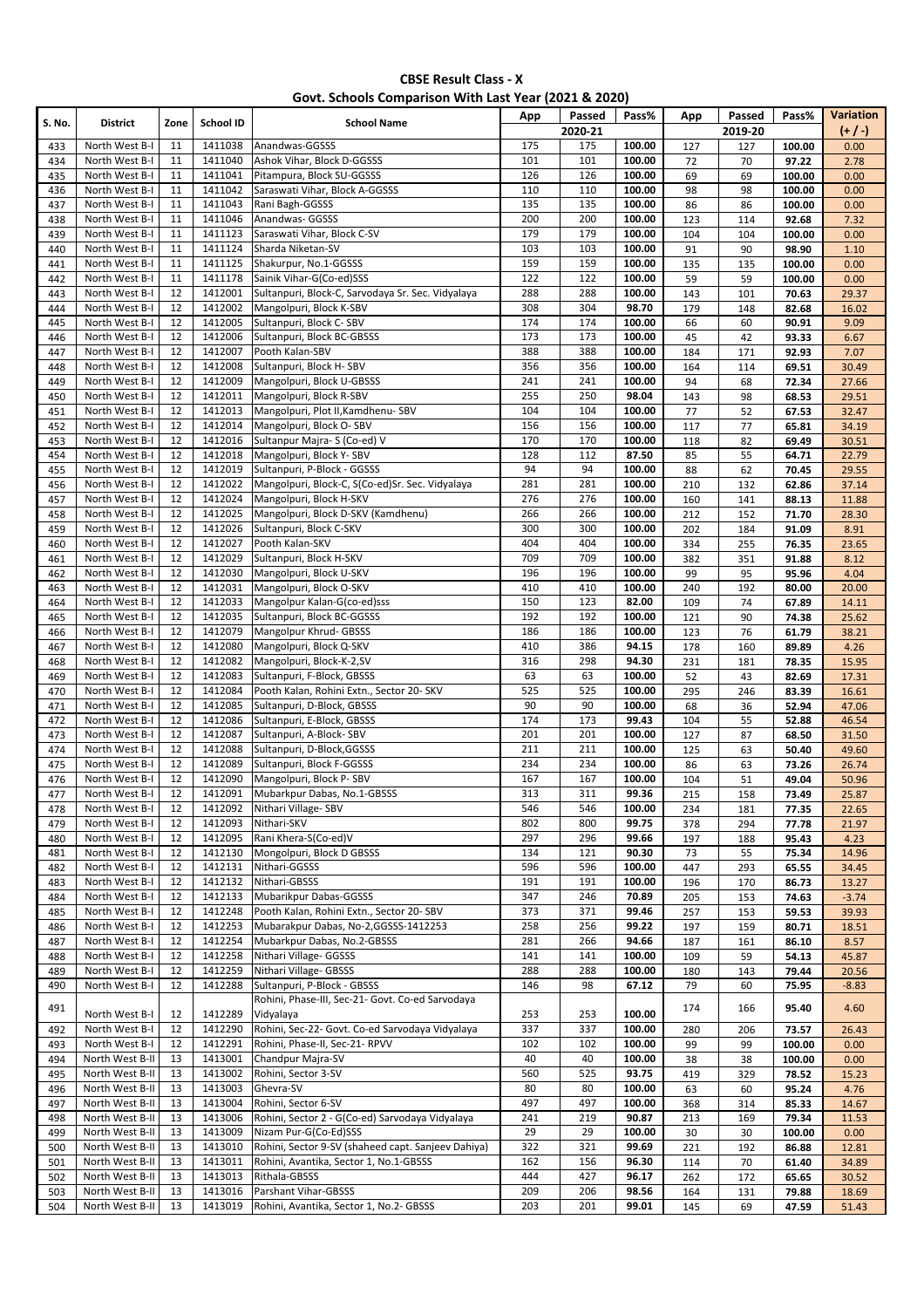|  |  | Govt. Schools Comparison With Last Year (2021 & 2020) |
|--|--|-------------------------------------------------------|
|--|--|-------------------------------------------------------|

| S. No.     | <b>District</b>                    | Zone     | School ID          | <b>School Name</b>                                            | App        | Passed         | Pass%            | App        | Passed         | Pass%            | Variation       |
|------------|------------------------------------|----------|--------------------|---------------------------------------------------------------|------------|----------------|------------------|------------|----------------|------------------|-----------------|
| 433        | North West B-I                     | 11       | 1411038            | Anandwas-GGSSS                                                | 175        | 2020-21<br>175 | 100.00           | 127        | 2019-20<br>127 | 100.00           | $(+/-)$<br>0.00 |
| 434        | North West B-I                     | 11       | 1411040            | Ashok Vihar, Block D-GGSSS                                    | 101        | 101            | 100.00           | 72         | 70             | 97.22            | 2.78            |
| 435        | North West B-I                     | 11       | 1411041            | Pitampura, Block SU-GGSSS                                     | 126        | 126            | 100.00           | 69         | 69             | 100.00           | 0.00            |
| 436        | North West B-I                     | 11       | 1411042            | Saraswati Vihar, Block A-GGSSS                                | 110        | 110            | 100.00           | 98         | 98             | 100.00           | 0.00            |
| 437        | North West B-I                     | 11       | 1411043            | Rani Bagh-GGSSS                                               | 135        | 135            | 100.00           | 86         | 86             | 100.00           | 0.00            |
| 438        | North West B-I                     | 11       | 1411046            | Anandwas- GGSSS                                               | 200        | 200            | 100.00           | 123        | 114            | 92.68            | 7.32            |
| 439        | North West B-I                     | 11       | 1411123            | Saraswati Vihar, Block C-SV                                   | 179        | 179            | 100.00           | 104        | 104            | 100.00           | 0.00            |
| 440        | North West B-I                     | 11       | 1411124            | Sharda Niketan-SV<br>Shakurpur, No.1-GGSSS                    | 103        | 103            | 100.00           | 91         | 90             | 98.90            | 1.10            |
| 441<br>442 | North West B-I<br>North West B-I   | 11<br>11 | 1411125<br>1411178 | Sainik Vihar-G(Co-ed)SSS                                      | 159<br>122 | 159<br>122     | 100.00<br>100.00 | 135<br>59  | 135<br>59      | 100.00<br>100.00 | 0.00<br>0.00    |
| 443        | North West B-I                     | 12       | 1412001            | Sultanpuri, Block-C, Sarvodaya Sr. Sec. Vidyalaya             | 288        | 288            | 100.00           | 143        | 101            | 70.63            | 29.37           |
| 444        | North West B-I                     | 12       | 1412002            | Mangolpuri, Block K-SBV                                       | 308        | 304            | 98.70            | 179        | 148            | 82.68            | 16.02           |
| 445        | North West B-I                     | 12       | 1412005            | Sultanpuri, Block C-SBV                                       | 174        | 174            | 100.00           | 66         | 60             | 90.91            | 9.09            |
| 446        | North West B-I                     | 12       | 1412006            | Sultanpuri, Block BC-GBSSS                                    | 173        | 173            | 100.00           | 45         | 42             | 93.33            | 6.67            |
| 447        | North West B-I                     | 12       | 1412007            | Pooth Kalan-SBV                                               | 388        | 388            | 100.00           | 184        | 171            | 92.93            | 7.07            |
| 448        | North West B-I                     | 12       | 1412008            | Sultanpuri, Block H-SBV                                       | 356        | 356            | 100.00           | 164        | 114            | 69.51            | 30.49           |
| 449        | North West B-I                     | 12       | 1412009            | Mangolpuri, Block U-GBSSS                                     | 241        | 241            | 100.00           | 94         | 68             | 72.34            | 27.66           |
| 450        | North West B-I<br>North West B-I   | 12<br>12 | 1412011<br>1412013 | Mangolpuri, Block R-SBV<br>Mangolpuri, Plot II, Kamdhenu- SBV | 255<br>104 | 250<br>104     | 98.04<br>100.00  | 143        | 98<br>52       | 68.53            | 29.51           |
| 451<br>452 | North West B-I                     | 12       | 1412014            | Mangolpuri, Block O-SBV                                       | 156        | 156            | 100.00           | 77<br>117  | 77             | 67.53<br>65.81   | 32.47<br>34.19  |
| 453        | North West B-I                     | 12       | 1412016            | Sultanpur Majra-S (Co-ed) V                                   | 170        | 170            | 100.00           | 118        | 82             | 69.49            | 30.51           |
| 454        | North West B-I                     | 12       | 1412018            | Mangolpuri, Block Y-SBV                                       | 128        | 112            | 87.50            | 85         | 55             | 64.71            | 22.79           |
| 455        | North West B-I                     | 12       | 1412019            | Sultanpuri, P-Block - GGSSS                                   | 94         | 94             | 100.00           | 88         | 62             | 70.45            | 29.55           |
| 456        | North West B-I                     | 12       | 1412022            | Mangolpuri, Block-C, S(Co-ed)Sr. Sec. Vidyalaya               | 281        | 281            | 100.00           | 210        | 132            | 62.86            | 37.14           |
| 457        | North West B-I                     | 12       | 1412024            | Mangolpuri, Block H-SKV                                       | 276        | 276            | 100.00           | 160        | 141            | 88.13            | 11.88           |
| 458        | North West B-I                     | 12       | 1412025            | Mangolpuri, Block D-SKV (Kamdhenu)                            | 266        | 266            | 100.00           | 212        | 152            | 71.70            | 28.30           |
| 459        | North West B-I                     | 12       | 1412026            | Sultanpuri, Block C-SKV                                       | 300        | 300            | 100.00           | 202        | 184            | 91.09            | 8.91            |
| 460        | North West B-I                     | 12       | 1412027<br>1412029 | Pooth Kalan-SKV                                               | 404        | 404            | 100.00           | 334        | 255            | 76.35            | 23.65           |
| 461<br>462 | North West B-I<br>North West B-I   | 12<br>12 | 1412030            | Sultanpuri, Block H-SKV<br>Mangolpuri, Block U-SKV            | 709<br>196 | 709<br>196     | 100.00<br>100.00 | 382<br>99  | 351<br>95      | 91.88<br>95.96   | 8.12<br>4.04    |
| 463        | North West B-I                     | 12       | 1412031            | Mangolpuri, Block O-SKV                                       | 410        | 410            | 100.00           | 240        | 192            | 80.00            | 20.00           |
| 464        | North West B-I                     | 12       | 1412033            | Mangolpur Kalan-G(co-ed)sss                                   | 150        | 123            | 82.00            | 109        | 74             | 67.89            | 14.11           |
| 465        | North West B-I                     | 12       | 1412035            | Sultanpuri, Block BC-GGSSS                                    | 192        | 192            | 100.00           | 121        | 90             | 74.38            | 25.62           |
| 466        | North West B-I                     | 12       | 1412079            | Mangolpur Khrud- GBSSS                                        | 186        | 186            | 100.00           | 123        | 76             | 61.79            | 38.21           |
| 467        | North West B-I                     | 12       | 1412080            | Mangolpuri, Block Q-SKV                                       | 410        | 386            | 94.15            | 178        | 160            | 89.89            | 4.26            |
| 468        | North West B-I                     | 12       | 1412082            | Mangolpuri, Block-K-2,SV                                      | 316        | 298            | 94.30            | 231        | 181            | 78.35            | 15.95           |
| 469        | North West B-I                     | 12       | 1412083            | Sultanpuri, F-Block, GBSSS                                    | 63         | 63             | 100.00           | 52         | 43             | 82.69            | 17.31           |
| 470        | North West B-I                     | 12       | 1412084            | Pooth Kalan, Rohini Extn., Sector 20- SKV                     | 525        | 525            | 100.00           | 295        | 246            | 83.39            | 16.61           |
| 471<br>472 | North West B-I<br>North West B-I   | 12<br>12 | 1412085<br>1412086 | Sultanpuri, D-Block, GBSSS<br>Sultanpuri, E-Block, GBSSS      | 90<br>174  | 90<br>173      | 100.00<br>99.43  | 68<br>104  | 36<br>55       | 52.94<br>52.88   | 47.06<br>46.54  |
| 473        | North West B-I                     | 12       | 1412087            | Sultanpuri, A-Block-SBV                                       | 201        | 201            | 100.00           | 127        | 87             | 68.50            | 31.50           |
| 474        | North West B-I                     | 12       | 1412088            | Sultanpuri, D-Block, GGSSS                                    | 211        | 211            | 100.00           | 125        | 63             | 50.40            | 49.60           |
| 475        | North West B-I                     | 12       | 1412089            | Sultanpuri, Block F-GGSSS                                     | 234        | 234            | 100.00           | 86         | 63             | 73.26            | 26.74           |
| 476        | North West B-I                     | 12       | 1412090            | Mangolpuri, Block P-SBV                                       | 167        | 167            | 100.00           | 104        | 51             | 49.04            | 50.96           |
| 477        | North West B-I                     | 12       | 1412091            | Mubarkpur Dabas, No.1-GBSSS                                   | 313        | 311            | 99.36            | 215        | 158            | 73.49            | 25.87           |
| 478        | North West B-I                     | 12       | 1412092            | Nithari Village-SBV                                           | 546        | 546            | 100.00           | 234        | 181            | 77.35            | 22.65           |
| 479        | North West B-I                     | 12       | 1412093            | Nithari-SKV                                                   | 802        | 800            | 99.75            | 378        | 294            | 77.78            | 21.97           |
| 480        | North West B-I                     | 12       | 1412095            | Rani Khera-S(Co-ed)V                                          | 297        | 296            | 99.66            | 197        | 188            | 95.43            | 4.23            |
| 481<br>482 | North West B-I<br>North West B-I   | 12<br>12 | 1412130<br>1412131 | Mongolpuri, Block D GBSSS<br>Nithari-GGSSS                    | 134<br>596 | 121<br>596     | 90.30<br>100.00  | 73<br>447  | 55<br>293      | 75.34<br>65.55   | 14.96<br>34.45  |
| 483        | North West B-I                     | 12       | 1412132            | Nithari-GBSSS                                                 | 191        | 191            | 100.00           | 196        | 170            | 86.73            | 13.27           |
| 484        | North West B-I                     | 12       | 1412133            | Mubarikpur Dabas-GGSSS                                        | 347        | 246            | 70.89            | 205        | 153            | 74.63            | $-3.74$         |
| 485        | North West B-I                     | 12       | 1412248            | Pooth Kalan, Rohini Extn., Sector 20- SBV                     | 373        | 371            | 99.46            | 257        | 153            | 59.53            | 39.93           |
| 486        | North West B-I                     | 12       | 1412253            | Mubarakpur Dabas, No-2, GGSSS-1412253                         | 258        | 256            | 99.22            | 197        | 159            | 80.71            | 18.51           |
| 487        | North West B-I                     | 12       | 1412254            | Mubarkpur Dabas, No.2-GBSSS                                   | 281        | 266            | 94.66            | 187        | 161            | 86.10            | 8.57            |
| 488        | North West B-I                     | 12       | 1412258            | Nithari Village- GGSSS                                        | 141        | 141            | 100.00           | 109        | 59             | 54.13            | 45.87           |
| 489        | North West B-I                     | 12       | 1412259            | Nithari Village- GBSSS                                        | 288        | 288            | 100.00           | 180        | 143            | 79.44            | 20.56           |
| 490        | North West B-I                     | 12       | 1412288            | Sultanpuri, P-Block - GBSSS                                   | 146        | 98             | 67.12            | 79         | 60             | 75.95            | $-8.83$         |
| 491        |                                    |          |                    | Rohini, Phase-III, Sec-21- Govt. Co-ed Sarvodaya              |            |                |                  | 174        | 166            | 95.40            | 4.60            |
| 492        | North West B-I<br>North West B-I   | 12<br>12 | 1412289<br>1412290 | Vidyalaya<br>Rohini, Sec-22- Govt. Co-ed Sarvodaya Vidyalaya  | 253<br>337 | 253<br>337     | 100.00<br>100.00 | 280        | 206            | 73.57            | 26.43           |
| 493        | North West B-I                     | 12       | 1412291            | Rohini, Phase-II, Sec-21- RPVV                                | 102        | 102            | 100.00           | 99         | 99             | 100.00           | 0.00            |
| 494        | North West B-II                    | 13       | 1413001            | Chandpur Majra-SV                                             | 40         | 40             | 100.00           | 38         | 38             | 100.00           | 0.00            |
| 495        | North West B-II                    | 13       | 1413002            | Rohini, Sector 3-SV                                           | 560        | 525            | 93.75            | 419        | 329            | 78.52            | 15.23           |
| 496        | North West B-II                    | 13       | 1413003            | Ghevra-SV                                                     | 80         | 80             | 100.00           | 63         | 60             | 95.24            | 4.76            |
| 497        | North West B-II                    | 13       | 1413004            | Rohini, Sector 6-SV                                           | 497        | 497            | 100.00           | 368        | 314            | 85.33            | 14.67           |
| 498        | North West B-II                    | 13       | 1413006            | Rohini, Sector 2 - G(Co-ed) Sarvodaya Vidyalaya               | 241        | 219            | 90.87            | 213        | 169            | 79.34            | 11.53           |
| 499        | North West B-II                    | 13       | 1413009            | Nizam Pur-G(Co-Ed)SSS                                         | 29         | 29             | 100.00           | 30         | 30             | 100.00           | 0.00            |
| 500        | North West B-II                    | 13       | 1413010            | Rohini, Sector 9-SV (shaheed capt. Sanjeev Dahiya)            | 322        | 321            | 99.69            | 221        | 192            | 86.88            | 12.81           |
| 501        | North West B-II<br>North West B-II | 13       | 1413011            | Rohini, Avantika, Sector 1, No.1-GBSSS                        | 162<br>444 | 156<br>427     | 96.30<br>96.17   | 114        | 70             | 61.40            | 34.89           |
| 502<br>503 | North West B-II                    | 13<br>13 | 1413013<br>1413016 | Rithala-GBSSS<br>Parshant Vihar-GBSSS                         | 209        | 206            | 98.56            | 262<br>164 | 172<br>131     | 65.65<br>79.88   | 30.52<br>18.69  |
| 504        | North West B-II                    | 13       | 1413019            | Rohini, Avantika, Sector 1, No.2- GBSSS                       | 203        | 201            | 99.01            | 145        | 69             | 47.59            | 51.43           |
|            |                                    |          |                    |                                                               |            |                |                  |            |                |                  |                 |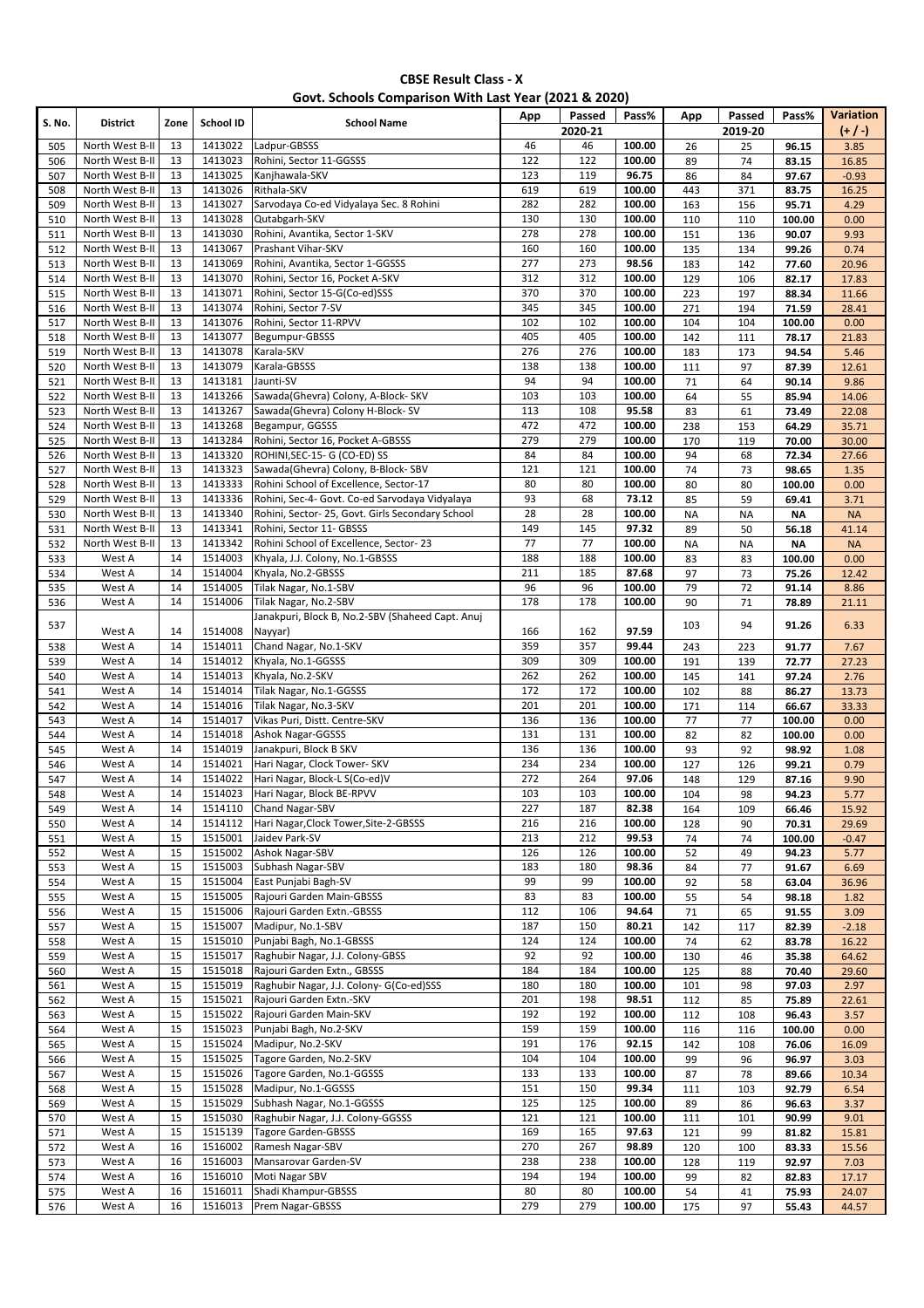|  |  | Govt. Schools Comparison With Last Year (2021 & 2020) |
|--|--|-------------------------------------------------------|
|--|--|-------------------------------------------------------|

| S. No.     | <b>District</b>                    | Zone     | School ID          | <b>School Name</b>                               | App        | Passed<br>2020-21 | Pass%            | App        | Passed<br>2019-20 | Pass%          | Variation<br>$(+ / -)$ |
|------------|------------------------------------|----------|--------------------|--------------------------------------------------|------------|-------------------|------------------|------------|-------------------|----------------|------------------------|
| 505        | North West B-II                    | 13       | 1413022            | Ladpur-GBSSS                                     | 46         | 46                | 100.00           | 26         | 25                | 96.15          | 3.85                   |
| 506        | North West B-II                    | 13       | 1413023            | Rohini, Sector 11-GGSSS                          | 122        | 122               | 100.00           | 89         | 74                | 83.15          | 16.85                  |
| 507        | North West B-II                    | 13       | 1413025            | Kanjhawala-SKV                                   | 123        | 119               | 96.75            | 86         | 84                | 97.67          | $-0.93$                |
| 508        | North West B-II                    | 13       | 1413026            | Rithala-SKV                                      | 619        | 619               | 100.00           | 443        | 371               | 83.75          | 16.25                  |
| 509        | North West B-II                    | 13       | 1413027            | Sarvodaya Co-ed Vidyalaya Sec. 8 Rohini          | 282        | 282               | 100.00           | 163        | 156               | 95.71          | 4.29                   |
| 510        | North West B-II                    | 13       | 1413028            | Qutabgarh-SKV                                    | 130        | 130               | 100.00           | 110        | 110               | 100.00         | 0.00                   |
| 511        | North West B-II                    | 13       | 1413030            | Rohini, Avantika, Sector 1-SKV                   | 278        | 278               | 100.00           | 151        | 136               | 90.07          | 9.93                   |
| 512        | North West B-II                    | 13       | 1413067            | Prashant Vihar-SKV                               | 160        | 160               | 100.00           | 135        | 134               | 99.26          | 0.74                   |
| 513        | North West B-II                    | 13       | 1413069            | Rohini, Avantika, Sector 1-GGSSS                 | 277        | 273               | 98.56            | 183        | 142               | 77.60          | 20.96                  |
| 514        | North West B-II                    | 13       | 1413070            | Rohini, Sector 16, Pocket A-SKV                  | 312        | 312               | 100.00           | 129        | 106               | 82.17          | 17.83                  |
| 515        | North West B-II                    | 13       | 1413071            | Rohini, Sector 15-G(Co-ed)SSS                    | 370        | 370               | 100.00           | 223        | 197               | 88.34          | 11.66                  |
| 516        | North West B-II                    | 13       | 1413074            | Rohini, Sector 7-SV                              | 345        | 345               | 100.00           | 271        | 194               | 71.59          | 28.41                  |
| 517        | North West B-II                    | 13       | 1413076            | Rohini, Sector 11-RPVV                           | 102        | 102               | 100.00           | 104        | 104               | 100.00         | 0.00                   |
| 518        | North West B-II                    | 13       | 1413077            | Begumpur-GBSSS                                   | 405        | 405               | 100.00           | 142        | 111               | 78.17          | 21.83                  |
| 519        | North West B-II<br>North West B-II | 13<br>13 | 1413078<br>1413079 | Karala-SKV<br>Karala-GBSSS                       | 276<br>138 | 276<br>138        | 100.00<br>100.00 | 183<br>111 | 173<br>97         | 94.54<br>87.39 | 5.46<br>12.61          |
| 520<br>521 | North West B-II                    | 13       | 1413181            | Jaunti-SV                                        | 94         | 94                | 100.00           | 71         | 64                | 90.14          | 9.86                   |
| 522        | North West B-II                    | 13       | 1413266            | Sawada(Ghevra) Colony, A-Block- SKV              | 103        | 103               | 100.00           | 64         | 55                | 85.94          | 14.06                  |
| 523        | North West B-II                    | 13       | 1413267            | Sawada(Ghevra) Colony H-Block-SV                 | 113        | 108               | 95.58            | 83         | 61                | 73.49          | 22.08                  |
| 524        | North West B-II                    | 13       | 1413268            | Begampur, GGSSS                                  | 472        | 472               | 100.00           | 238        | 153               | 64.29          | 35.71                  |
| 525        | North West B-II                    | 13       | 1413284            | Rohini, Sector 16, Pocket A-GBSSS                | 279        | 279               | 100.00           | 170        | 119               | 70.00          | 30.00                  |
| 526        | North West B-II                    | 13       | 1413320            | ROHINI, SEC-15- G (CO-ED) SS                     | 84         | 84                | 100.00           | 94         | 68                | 72.34          | 27.66                  |
| 527        | North West B-II                    | 13       | 1413323            | Sawada(Ghevra) Colony, B-Block- SBV              | 121        | 121               | 100.00           | 74         | 73                | 98.65          | 1.35                   |
| 528        | North West B-II                    | 13       | 1413333            | Rohini School of Excellence, Sector-17           | 80         | 80                | 100.00           | 80         | 80                | 100.00         | 0.00                   |
| 529        | North West B-II                    | 13       | 1413336            | Rohini, Sec-4- Govt. Co-ed Sarvodaya Vidyalaya   | 93         | 68                | 73.12            | 85         | 59                | 69.41          | 3.71                   |
| 530        | North West B-II                    | 13       | 1413340            | Rohini, Sector- 25, Govt. Girls Secondary School | 28         | 28                | 100.00           | <b>NA</b>  | <b>NA</b>         | <b>NA</b>      | <b>NA</b>              |
| 531        | North West B-II                    | 13       | 1413341            | Rohini, Sector 11- GBSSS                         | 149        | 145               | 97.32            | 89         | 50                | 56.18          | 41.14                  |
| 532        | North West B-II                    | 13       | 1413342            | Rohini School of Excellence, Sector-23           | 77         | $\overline{77}$   | 100.00           | <b>NA</b>  | <b>NA</b>         | <b>NA</b>      | <b>NA</b>              |
| 533        | West A                             | 14       | 1514003            | Khyala, J.J. Colony, No.1-GBSSS                  | 188        | 188               | 100.00           | 83         | 83                | 100.00         | 0.00                   |
| 534        | West A                             | 14       | 1514004            | Khyala, No.2-GBSSS                               | 211        | 185               | 87.68            | 97         | 73                | 75.26          | 12.42                  |
| 535        | West A                             | 14       | 1514005            | Tilak Nagar, No.1-SBV                            | 96         | 96                | 100.00           | 79         | 72                | 91.14          | 8.86                   |
| 536        | West A                             | 14       | 1514006            | Tilak Nagar, No.2-SBV                            | 178        | 178               | 100.00           | 90         | 71                | 78.89          | 21.11                  |
| 537        |                                    |          |                    | Janakpuri, Block B, No.2-SBV (Shaheed Capt. Anuj |            |                   |                  | 103        | 94                | 91.26          | 6.33                   |
|            | West A<br>West A                   | 14<br>14 | 1514008<br>1514011 | Nayyar)<br>Chand Nagar, No.1-SKV                 | 166<br>359 | 162<br>357        | 97.59<br>99.44   |            |                   |                |                        |
| 538<br>539 | West A                             | 14       | 1514012            | Khyala, No.1-GGSSS                               | 309        | 309               | 100.00           | 243<br>191 | 223<br>139        | 91.77<br>72.77 | 7.67<br>27.23          |
| 540        | West A                             | 14       | 1514013            | Khyala, No.2-SKV                                 | 262        | 262               | 100.00           | 145        | 141               | 97.24          | 2.76                   |
| 541        | West A                             | 14       | 1514014            | Tilak Nagar, No.1-GGSSS                          | 172        | 172               | 100.00           | 102        | 88                | 86.27          | 13.73                  |
| 542        | West A                             | 14       | 1514016            | Tilak Nagar, No.3-SKV                            | 201        | 201               | 100.00           | 171        | 114               | 66.67          | 33.33                  |
| 543        | West A                             | 14       | 1514017            | Vikas Puri, Distt. Centre-SKV                    | 136        | 136               | 100.00           | 77         | 77                | 100.00         | 0.00                   |
| 544        | West A                             | 14       | 1514018            | <b>Ashok Nagar-GGSSS</b>                         | 131        | 131               | 100.00           | 82         | 82                | 100.00         | 0.00                   |
| 545        | West A                             | 14       | 1514019            | Janakpuri, Block B SKV                           | 136        | 136               | 100.00           | 93         | 92                | 98.92          | 1.08                   |
| 546        | West A                             | 14       | 1514021            | Hari Nagar, Clock Tower- SKV                     | 234        | 234               | 100.00           | 127        | 126               | 99.21          | 0.79                   |
| 547        | West A                             | 14       | 1514022            | Hari Nagar, Block-L S(Co-ed)V                    | 272        | 264               | 97.06            | 148        | 129               | 87.16          | 9.90                   |
| 548        | West A                             | 14       | 1514023            | Hari Nagar, Block BE-RPVV                        | 103        | 103               | 100.00           | 104        | 98                | 94.23          | 5.77                   |
| 549        | West A                             | 14       | 1514110            | <b>Chand Nagar-SBV</b>                           | 227        | 187               | 82.38            | 164        | 109               | 66.46          | 15.92                  |
| 550        | West A                             | 14       | 1514112            | Hari Nagar, Clock Tower, Site-2-GBSSS            | 216        | 216               | 100.00           | 128        | 90                | 70.31          | 29.69                  |
| 551        | West A                             | 15       | 1515001            | Jaidev Park-SV                                   | 213        | 212               | 99.53            | 74         | 74                | 100.00         | $-0.47$                |
| 552        | West A                             | 15       | 1515002            | Ashok Nagar-SBV                                  | 126        | 126               | 100.00           | 52         | 49                | 94.23          | 5.77                   |
| 553        | West A                             | 15       | 1515003            | Subhash Nagar-SBV<br>East Punjabi Bagh-SV        | 183        | 180               | 98.36            | 84         | 77                | 91.67          | 6.69                   |
| 554        | West A<br>West A                   | 15<br>15 | 1515004<br>1515005 | Rajouri Garden Main-GBSSS                        | 99<br>83   | 99<br>83          | 100.00<br>100.00 | 92         | 58                | 63.04          | 36.96                  |
| 555<br>556 | West A                             | 15       | 1515006            | Rajouri Garden Extn.-GBSSS                       | 112        | 106               | 94.64            | 55<br>71   | 54<br>65          | 98.18<br>91.55 | 1.82<br>3.09           |
| 557        | West A                             | 15       | 1515007            | Madipur, No.1-SBV                                | 187        | 150               | 80.21            | 142        | 117               | 82.39          | $-2.18$                |
| 558        | West A                             | 15       | 1515010            | Punjabi Bagh, No.1-GBSSS                         | 124        | 124               | 100.00           | 74         | 62                | 83.78          | 16.22                  |
| 559        | West A                             | 15       | 1515017            | Raghubir Nagar, J.J. Colony-GBSS                 | 92         | 92                | 100.00           | 130        | 46                | 35.38          | 64.62                  |
| 560        | West A                             | 15       | 1515018            | Rajouri Garden Extn., GBSSS                      | 184        | 184               | 100.00           | 125        | 88                | 70.40          | 29.60                  |
| 561        | West A                             | 15       | 1515019            | Raghubir Nagar, J.J. Colony- G(Co-ed)SSS         | 180        | 180               | 100.00           | 101        | 98                | 97.03          | 2.97                   |
| 562        | West A                             | 15       | 1515021            | Rajouri Garden Extn.-SKV                         | 201        | 198               | 98.51            | 112        | 85                | 75.89          | 22.61                  |
| 563        | West A                             | 15       | 1515022            | Rajouri Garden Main-SKV                          | 192        | 192               | 100.00           | 112        | 108               | 96.43          | 3.57                   |
| 564        | West A                             | 15       | 1515023            | Punjabi Bagh, No.2-SKV                           | 159        | 159               | 100.00           | 116        | 116               | 100.00         | 0.00                   |
| 565        | West A                             | 15       | 1515024            | Madipur, No.2-SKV                                | 191        | 176               | 92.15            | 142        | 108               | 76.06          | 16.09                  |
| 566        | West A                             | 15       | 1515025            | Tagore Garden, No.2-SKV                          | 104        | 104               | 100.00           | 99         | 96                | 96.97          | 3.03                   |
| 567        | West A                             | 15       | 1515026            | Tagore Garden, No.1-GGSSS                        | 133        | 133               | 100.00           | 87         | 78                | 89.66          | 10.34                  |
| 568        | West A                             | 15       | 1515028            | Madipur, No.1-GGSSS                              | 151        | 150               | 99.34            | 111        | 103               | 92.79          | 6.54                   |
| 569        | West A                             | 15       | 1515029            | Subhash Nagar, No.1-GGSSS                        | 125        | 125               | 100.00           | 89         | 86                | 96.63          | 3.37                   |
| 570        | West A                             | 15       | 1515030            | Raghubir Nagar, J.J. Colony-GGSSS                | 121        | 121               | 100.00           | 111        | 101               | 90.99          | 9.01                   |
| 571        | West A                             | 15       | 1515139            | Tagore Garden-GBSSS                              | 169        | 165               | 97.63            | 121        | 99                | 81.82          | 15.81                  |
| 572        | West A                             | 16       | 1516002            | Ramesh Nagar-SBV                                 | 270        | 267               | 98.89            | 120        | 100               | 83.33          | 15.56                  |
| 573<br>574 | West A<br>West A                   | 16<br>16 | 1516003<br>1516010 | Mansarovar Garden-SV<br>Moti Nagar SBV           | 238<br>194 | 238<br>194        | 100.00<br>100.00 | 128<br>99  | 119<br>82         | 92.97<br>82.83 | 7.03<br>17.17          |
| 575        | West A                             | 16       | 1516011            | Shadi Khampur-GBSSS                              | 80         | 80                | 100.00           | 54         | 41                | 75.93          | 24.07                  |
| 576        | West A                             | 16       | 1516013            | Prem Nagar-GBSSS                                 | 279        | 279               | 100.00           | 175        | 97                | 55.43          | 44.57                  |
|            |                                    |          |                    |                                                  |            |                   |                  |            |                   |                |                        |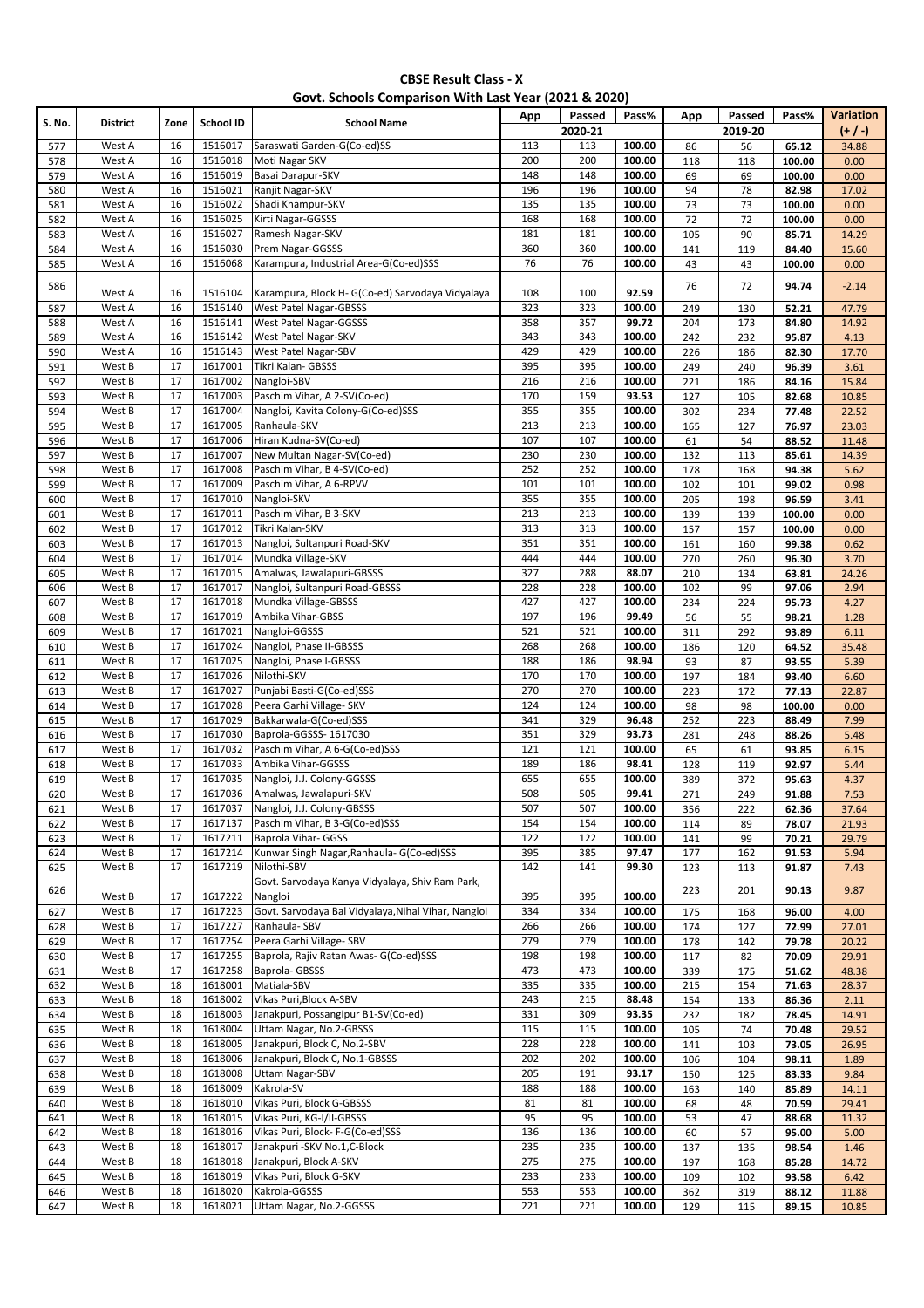|  |  | Govt. Schools Comparison With Last Year (2021 & 2020) |
|--|--|-------------------------------------------------------|
|--|--|-------------------------------------------------------|

| S. No.     | <b>District</b>  | Zone     | School ID          | <b>School Name</b>                                               | App              | Passed<br>2020-21 | Pass%           | App        | Passed<br>2019-20 | Pass%          | Variation<br>$(+ / )$ |
|------------|------------------|----------|--------------------|------------------------------------------------------------------|------------------|-------------------|-----------------|------------|-------------------|----------------|-----------------------|
| 577        | West A           | 16       | 1516017            | Saraswati Garden-G(Co-ed)SS                                      | 113              | 113               | 100.00          | 86         | 56                | 65.12          | 34.88                 |
| 578        | West A           | 16       | 1516018            | Moti Nagar SKV                                                   | 200              | 200               | 100.00          | 118        | 118               | 100.00         | 0.00                  |
| 579        | West A           | 16       | 1516019            | Basai Darapur-SKV                                                | 148              | 148               | 100.00          | 69         | 69                | 100.00         | 0.00                  |
| 580        | West A           | 16       | 1516021            | Ranjit Nagar-SKV                                                 | 196              | 196               | 100.00          | 94         | 78                | 82.98          | 17.02                 |
| 581        | West A           | 16       | 1516022            | Shadi Khampur-SKV                                                | $\frac{135}{2}$  | $\frac{135}{2}$   | 100.00          | 73         | 73                | 100.00         | 0.00                  |
| 582        | West A           | 16       | 1516025            | Kirti Nagar-GGSSS                                                | 168              | 168               | 100.00          | 72         | 72                | 100.00         | 0.00                  |
| 583        | West A           | 16       | 1516027            | Ramesh Nagar-SKV                                                 | 181              | 181               | 100.00          | 105        | 90                | 85.71          | 14.29                 |
| 584        | West A           | 16       | 1516030            | Prem Nagar-GGSSS                                                 | 360              | 360               | 100.00          | 141        | 119               | 84.40          | 15.60                 |
| 585        | West A           | 16       | 1516068            | Karampura, Industrial Area-G(Co-ed)SSS                           | 76               | 76                | 100.00          | 43         | 43                | 100.00         | 0.00                  |
| 586        | West A           | 16       | 1516104            | Karampura, Block H- G(Co-ed) Sarvodaya Vidyalaya                 | 108              | 100               | 92.59           | 76         | 72                | 94.74          | $-2.14$               |
| 587        | West A           | 16       | 1516140            | West Patel Nagar-GBSSS                                           | 323              | 323               | 100.00          | 249        | 130               | 52.21          | 47.79                 |
| 588        | West A           | 16       | 1516141            | West Patel Nagar-GGSSS                                           | 358              | 357               | 99.72           | 204        | 173               | 84.80          | 14.92                 |
| 589        | West A           | 16       | 1516142            | West Patel Nagar-SKV                                             | 343              | 343               | 100.00          | 242        | 232               | 95.87          | 4.13                  |
| 590        | West A           | 16       | 1516143            | West Patel Nagar-SBV                                             | 429              | 429               | 100.00          | 226        | 186               | 82.30          | 17.70                 |
| 591        | West B           | 17       | 1617001            | Tikri Kalan- GBSSS                                               | 395              | 395               | 100.00          | 249        | 240               | 96.39          | 3.61                  |
| 592        | West B           | 17       | 1617002            | Nangloi-SBV                                                      | 216              | 216               | 100.00          | 221        | 186               | 84.16          | 15.84                 |
| 593        | West B           | 17       | 1617003            | Paschim Vihar, A 2-SV(Co-ed)                                     | 170              | 159               | 93.53           | 127        | 105               | 82.68          | 10.85                 |
| 594        | West B           | 17       | 1617004            | Nangloi, Kavita Colony-G(Co-ed)SSS                               | 355              | 355               | 100.00          | 302        | 234               | 77.48          | 22.52                 |
| 595        | West B           | 17       | 1617005            | Ranhaula-SKV                                                     | 213              | 213               | 100.00          | 165        | 127               | 76.97          | 23.03                 |
| 596        | West B           | 17       | 1617006            | Hiran Kudna-SV(Co-ed)                                            | 107              | 107               | 100.00          | 61         | 54                | 88.52          | 11.48                 |
| 597        | West B           | 17       | 1617007            | New Multan Nagar-SV(Co-ed)                                       | 230              | 230               | 100.00          | 132        | 113               | 85.61          | 14.39                 |
| 598        | West B           | 17       | 1617008            | Paschim Vihar, B 4-SV(Co-ed)                                     | 252              | 252               | 100.00          | 178        | 168               | 94.38          | 5.62                  |
| 599        | West B           | 17       | 1617009            | Paschim Vihar, A 6-RPVV                                          | 101              | 101               | 100.00          | 102        | 101               | 99.02          | 0.98                  |
| 600        | West B           | 17       | 1617010            | Nangloi-SKV                                                      | 355              | 355               | 100.00          | 205        | 198               | 96.59          | 3.41                  |
| 601        | West B           | 17       | 1617011            | Paschim Vihar, B 3-SKV                                           | 213              | 213               | 100.00          | 139        | 139               | 100.00         | 0.00                  |
| 602        | West B           | 17       | 1617012            | Tikri Kalan-SKV                                                  | 313              | 313               | 100.00          | 157        | 157               | 100.00         | 0.00                  |
| 603        | West B           | 17       | 1617013            | Nangloi, Sultanpuri Road-SKV                                     | 351              | 351               | 100.00          | 161        | 160               | 99.38          | 0.62                  |
| 604        | West B           | 17       | 1617014            | Mundka Village-SKV                                               | 444              | 444               | 100.00          | 270        | 260               | 96.30          | 3.70                  |
| 605        | West B           | 17       | 1617015            | Amalwas, Jawalapuri-GBSSS                                        | $\overline{327}$ | 288               | 88.07           | 210        | 134               | 63.81          | 24.26                 |
| 606        | West B           | 17       | 1617017            | Nangloi, Sultanpuri Road-GBSSS                                   | 228              | 228               | 100.00          | 102        | 99                | 97.06          | 2.94                  |
| 607        | West B           | 17       | 1617018            | Mundka Village-GBSSS                                             | 427              | 427               | 100.00          | 234        | 224               | 95.73          | 4.27                  |
| 608        | West B           | 17       | 1617019            | Ambika Vihar-GBSS                                                | 197              | 196               | 99.49           | 56         | 55                | 98.21          | 1.28                  |
| 609        | West B           | 17       | 1617021            | Nangloi-GGSSS                                                    | 521              | 521               | 100.00          | 311        | 292               | 93.89          | 6.11                  |
| 610        | West B           | 17       | 1617024            | Nangloi, Phase II-GBSSS                                          | 268              | 268               | 100.00          | 186        | 120               | 64.52          | 35.48                 |
| 611        | West B           | 17       | 1617025            | Nangloi, Phase I-GBSSS                                           | 188              | 186               | 98.94           | 93         | 87                | 93.55          | 5.39                  |
| 612        | West B           | 17       | 1617026            | Nilothi-SKV                                                      | 170              | 170               | 100.00          | 197        | 184               | 93.40          | 6.60                  |
| 613        | West B           | 17       | 1617027            | Punjabi Basti-G(Co-ed)SSS                                        | 270              | 270               | 100.00          | 223        | 172               | 77.13          | 22.87                 |
| 614        | West B           | 17       | 1617028            | Peera Garhi Village- SKV                                         | 124              | 124               | 100.00          | 98         | 98                | 100.00         | 0.00                  |
| 615        | West B           | 17       | 1617029            | Bakkarwala-G(Co-ed)SSS                                           | 341              | 329               | 96.48           | 252        | 223               | 88.49          | 7.99                  |
| 616        | West B           | 17       | 1617030            | Baprola-GGSSS- 1617030                                           | 351              | 329               | 93.73           | 281        | 248               | 88.26          | 5.48                  |
| 617        | West B           | 17       | 1617032            | Paschim Vihar, A 6-G(Co-ed)SSS                                   | 121              | 121               | 100.00          | 65         | 61                | 93.85          | 6.15                  |
| 618        | West B           | 17       | 1617033            | Ambika Vihar-GGSSS                                               | 189              | 186               | 98.41           | 128        | 119               | 92.97          | 5.44                  |
| 619        | West B           | 17       | 1617035            | Nangloi, J.J. Colony-GGSSS                                       | 655              | 655               | 100.00          | 389        | 372               | 95.63          | 4.37                  |
| 620        | West B           | 17       | 1617036            | Amalwas, Jawalapuri-SKV                                          | 508              | 505               | 99.41           | 271        | 249               | 91.88          | 7.53                  |
| 621        | West B           | 17       | 1617037            | Nangloi, J.J. Colony-GBSSS<br>Paschim Vihar, B 3-G(Co-ed)SSS     | 507<br>154       | 507               | 100.00          | 356        | 222               | 62.36          | 37.64                 |
| 622        | West B           | 17       | 1617137<br>1617211 |                                                                  |                  | 154               | 100.00          | 114        | 89                | 78.07          | 21.93                 |
| 623<br>624 | West B<br>West B | 17<br>17 | 1617214            | Baprola Vihar- GGSS<br>Kunwar Singh Nagar, Ranhaula- G(Co-ed)SSS | 122<br>395       | 122<br>385        | 100.00<br>97.47 | 141<br>177 | 99<br>162         | 70.21<br>91.53 | 29.79<br>5.94         |
|            | West B           | 17       | 1617219            | Nilothi-SBV                                                      | 142              | 141               | 99.30           |            |                   |                |                       |
| 625        |                  |          |                    | Govt. Sarvodaya Kanya Vidyalaya, Shiv Ram Park,                  |                  |                   |                 | 123        | 113               | 91.87          | 7.43                  |
| 626        | West B           | 17       | 1617222            | Nangloi                                                          | 395              | 395               | 100.00          | 223        | 201               | 90.13          | 9.87                  |
| 627        | West B           | 17       | 1617223            | Govt. Sarvodaya Bal Vidyalaya, Nihal Vihar, Nangloi              | 334              | 334               | 100.00          | 175        | 168               | 96.00          | 4.00                  |
| 628        | West B           | 17       | 1617227            | Ranhaula-SBV                                                     | 266              | 266               | 100.00          | 174        | 127               | 72.99          | 27.01                 |
| 629        | West B           | 17       | 1617254            | Peera Garhi Village- SBV                                         | 279              | 279               | 100.00          | 178        | 142               | 79.78          | 20.22                 |
| 630        | West B           | 17       | 1617255            | Baprola, Rajiv Ratan Awas- G(Co-ed)SSS                           | 198              | 198               | 100.00          | 117        | 82                | 70.09          | 29.91                 |
| 631        | West B           | 17       | 1617258            | Baprola-GBSSS                                                    | 473              | 473               | 100.00          | 339        | 175               | 51.62          | 48.38                 |
| 632        | West B           | 18       | 1618001            | Matiala-SBV                                                      | 335              | 335               | 100.00          | 215        | 154               | 71.63          | 28.37                 |
| 633        | West B           | 18       | 1618002            | Vikas Puri, Block A-SBV                                          | 243              | 215               | 88.48           | 154        | 133               | 86.36          | 2.11                  |
| 634        | West B           | 18       | 1618003            | Janakpuri, Possangipur B1-SV(Co-ed)                              | 331              | 309               | 93.35           | 232        | 182               | 78.45          | 14.91                 |
| 635        | West B           | 18       | 1618004            | Uttam Nagar, No.2-GBSSS                                          | 115              | 115               | 100.00          | 105        | 74                | 70.48          | 29.52                 |
| 636        | West B           | 18       | 1618005            | Janakpuri, Block C, No.2-SBV                                     | 228              | 228               | 100.00          | 141        | 103               | 73.05          | 26.95                 |
| 637        | West B           | 18       | 1618006            | Janakpuri, Block C, No.1-GBSSS                                   | 202              | 202               | 100.00          | 106        | 104               | 98.11          | 1.89                  |
| 638        | West B           | 18       | 1618008            | <b>Uttam Nagar-SBV</b>                                           | 205              | 191               | 93.17           | 150        | 125               | 83.33          | 9.84                  |
| 639        | West B           | 18       | 1618009            | Kakrola-SV                                                       | 188              | 188               | 100.00          | 163        | 140               | 85.89          | 14.11                 |
| 640        | West B           | 18       | 1618010            | Vikas Puri, Block G-GBSSS                                        | 81               | 81                | 100.00          | 68         | 48                | 70.59          | 29.41                 |
| 641        | West B           | 18       | 1618015            | Vikas Puri, KG-I/II-GBSSS                                        | 95               | 95                | 100.00          | 53         | 47                | 88.68          | 11.32                 |
| 642        | West B           | 18       | 1618016            | Vikas Puri, Block- F-G(Co-ed)SSS                                 | 136              | 136               | 100.00          | 60         | 57                | 95.00          | 5.00                  |
| 643        | West B           | 18       | 1618017            | Janakpuri - SKV No.1, C-Block                                    | 235              | 235               | 100.00          | 137        | 135               | 98.54          | 1.46                  |
| 644        | West B           | 18       | 1618018            | Janakpuri, Block A-SKV                                           | 275              | 275               | 100.00          | 197        | 168               | 85.28          | 14.72                 |
| 645        | West B           | 18       | 1618019            | Vikas Puri, Block G-SKV                                          | 233              | 233               | 100.00          | 109        | 102               | 93.58          | 6.42                  |
| 646        | West B           | 18       | 1618020            | Kakrola-GGSSS                                                    | 553              | 553               | 100.00          | 362        | 319               | 88.12          | 11.88                 |
| 647        | West B           | 18       | 1618021            | Uttam Nagar, No.2-GGSSS                                          | 221              | 221               | 100.00          | 129        | 115               | 89.15          | 10.85                 |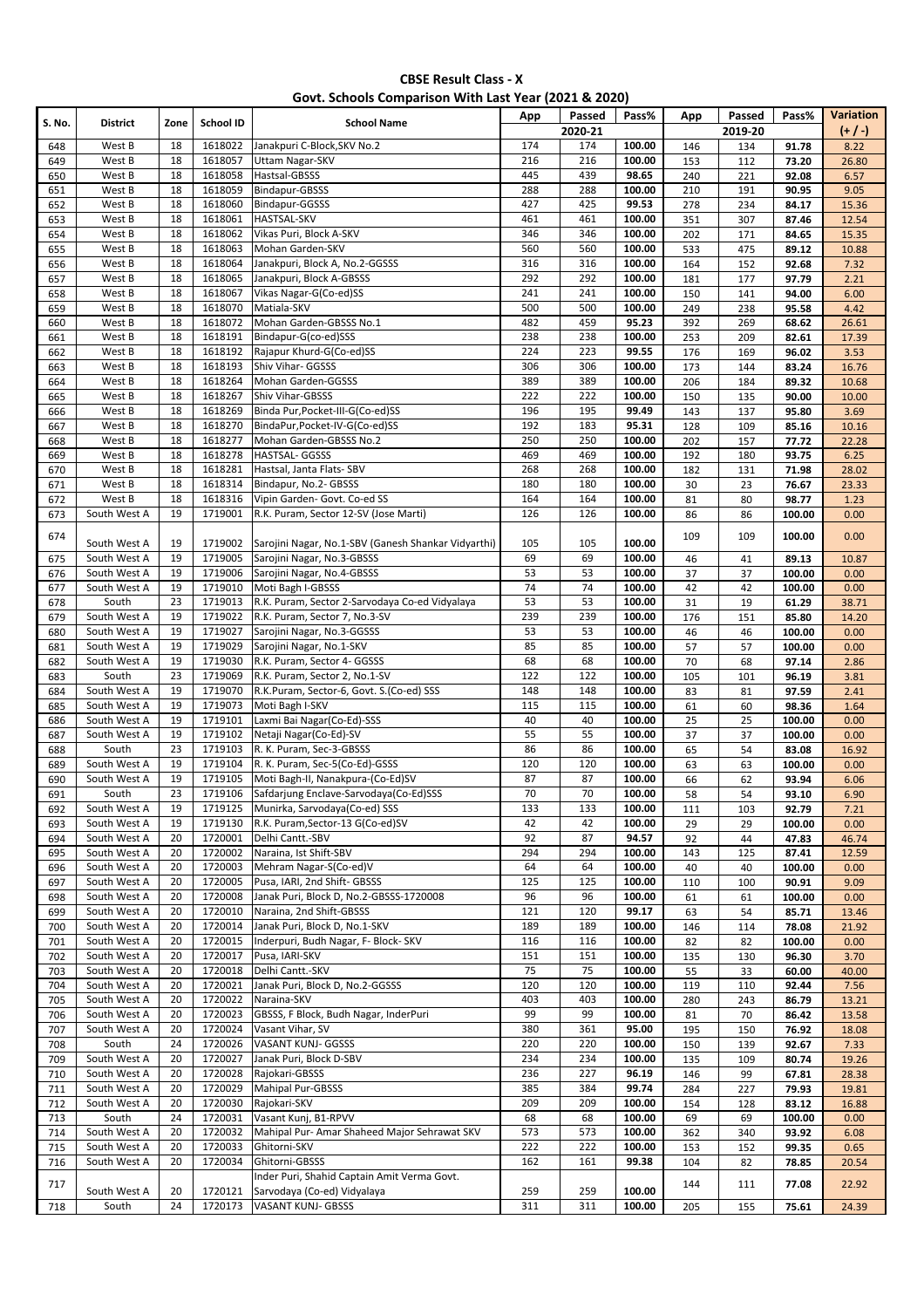| Govt. Schools Comparison With Last Year (2021 & 2020) |                              |          |                    |                                                                                   |            |                   |                  |            |                   |                  |                              |
|-------------------------------------------------------|------------------------------|----------|--------------------|-----------------------------------------------------------------------------------|------------|-------------------|------------------|------------|-------------------|------------------|------------------------------|
| S. No.                                                | <b>District</b>              | Zone     | School ID          | <b>School Name</b>                                                                | App        | Passed<br>2020-21 | Pass%            | App        | Passed<br>2019-20 | Pass%            | <b>Variation</b><br>$(+ / )$ |
| 648                                                   | West B                       | 18       | 1618022            | Janakpuri C-Block, SKV No.2                                                       | 174        | 174               | 100.00           | 146        | 134               | 91.78            | 8.22                         |
| 649                                                   | West B                       | 18       | 1618057            | <b>Uttam Nagar-SKV</b>                                                            | 216        | 216               | 100.00           | 153        | 112               | 73.20            | 26.80                        |
| 650                                                   | West B                       | 18       | 1618058            | Hastsal-GBSSS                                                                     | 445        | 439               | 98.65            | 240        | 221               | 92.08            | 6.57                         |
| 651                                                   | West B                       | 18       | 1618059            | Bindapur-GBSSS                                                                    | 288        | 288               | 100.00           | 210        | 191               | 90.95            | 9.05                         |
| 652                                                   | West B<br>West B             | 18<br>18 | 1618060<br>1618061 | Bindapur-GGSSS<br><b>HASTSAL-SKV</b>                                              | 427<br>461 | 425<br>461        | 99.53<br>100.00  | 278<br>351 | 234<br>307        | 84.17            | 15.36<br>12.54               |
| 653<br>654                                            | West B                       | 18       | 1618062            | Vikas Puri, Block A-SKV                                                           | 346        | 346               | 100.00           | 202        | 171               | 87.46<br>84.65   | 15.35                        |
| 655                                                   | West B                       | 18       | 1618063            | Mohan Garden-SKV                                                                  | 560        | 560               | 100.00           | 533        | 475               | 89.12            | 10.88                        |
| 656                                                   | West B                       | 18       | 1618064            | Janakpuri, Block A, No.2-GGSSS                                                    | 316        | 316               | 100.00           | 164        | 152               | 92.68            | 7.32                         |
| 657                                                   | West B                       | 18       | 1618065            | Janakpuri, Block A-GBSSS                                                          | 292        | 292               | 100.00           | 181        | 177               | 97.79            | 2.21                         |
| 658                                                   | West B                       | 18       | 1618067            | Vikas Nagar-G(Co-ed)SS                                                            | 241        | 241               | 100.00           | 150        | 141               | 94.00            | 6.00                         |
| 659                                                   | West B                       | 18       | 1618070            | Matiala-SKV                                                                       | 500        | 500               | 100.00           | 249        | 238               | 95.58            | 4.42                         |
| 660                                                   | West B                       | 18       | 1618072            | Mohan Garden-GBSSS No.1                                                           | 482        | 459               | 95.23            | 392        | 269               | 68.62            | 26.61                        |
| 661                                                   | West B                       | 18       | 1618191            | Bindapur-G(co-ed)SSS                                                              | 238        | 238               | 100.00           | 253        | 209               | 82.61            | 17.39                        |
| 662<br>663                                            | West B<br>West B             | 18<br>18 | 1618192<br>1618193 | Rajapur Khurd-G(Co-ed)SS<br>Shiv Vihar- GGSSS                                     | 224<br>306 | 223<br>306        | 99.55<br>100.00  | 176<br>173 | 169<br>144        | 96.02<br>83.24   | 3.53<br>16.76                |
| 664                                                   | West B                       | 18       | 1618264            | Mohan Garden-GGSSS                                                                | 389        | 389               | 100.00           | 206        | 184               | 89.32            | 10.68                        |
| 665                                                   | West B                       | 18       | 1618267            | Shiv Vihar-GBSSS                                                                  | 222        | 222               | 100.00           | 150        | 135               | 90.00            | 10.00                        |
| 666                                                   | West B                       | 18       | 1618269            | Binda Pur, Pocket-III-G(Co-ed)SS                                                  | 196        | 195               | 99.49            | 143        | 137               | 95.80            | 3.69                         |
| 667                                                   | West B                       | 18       | 1618270            | BindaPur, Pocket-IV-G(Co-ed)SS                                                    | 192        | 183               | 95.31            | 128        | 109               | 85.16            | 10.16                        |
| 668                                                   | West B                       | 18       | 1618277            | Mohan Garden-GBSSS No.2                                                           | 250        | 250               | 100.00           | 202        | 157               | 77.72            | 22.28                        |
| 669                                                   | West B                       | 18       | 1618278            | HASTSAL- GGSSS                                                                    | 469        | 469               | 100.00           | 192        | 180               | 93.75            | 6.25                         |
| 670                                                   | West B                       | 18       | 1618281            | Hastsal, Janta Flats- SBV                                                         | 268        | 268               | 100.00           | 182        | 131               | 71.98            | 28.02                        |
| 671                                                   | West B                       | 18       | 1618314            | Bindapur, No.2- GBSSS                                                             | 180        | 180               | 100.00           | 30         | 23                | 76.67            | 23.33                        |
| 672                                                   | West B                       | 18       | 1618316            | Vipin Garden- Govt. Co-ed SS                                                      | 164        | 164               | 100.00           | 81         | 80                | 98.77            | 1.23                         |
| 673                                                   | South West A                 | 19       | 1719001            | R.K. Puram, Sector 12-SV (Jose Marti)                                             | 126        | 126               | 100.00           | 86         | 86                | 100.00           | 0.00                         |
| 674                                                   | South West A                 | 19<br>19 | 1719002<br>1719005 | Sarojini Nagar, No.1-SBV (Ganesh Shankar Vidyarthi)<br>Sarojini Nagar, No.3-GBSSS | 105<br>69  | 105<br>69         | 100.00           | 109        | 109               | 100.00           | 0.00                         |
| 675<br>676                                            | South West A<br>South West A | 19       | 1719006            | Sarojini Nagar, No.4-GBSSS                                                        | 53         | 53                | 100.00<br>100.00 | 46<br>37   | 41<br>37          | 89.13<br>100.00  | 10.87<br>0.00                |
| 677                                                   | South West A                 | 19       | 1719010            | Moti Bagh I-GBSSS                                                                 | 74         | 74                | 100.00           | 42         | 42                | 100.00           | 0.00                         |
| 678                                                   | South                        | 23       | 1719013            | R.K. Puram, Sector 2-Sarvodaya Co-ed Vidyalaya                                    | 53         | 53                | 100.00           | 31         | 19                | 61.29            | 38.71                        |
| 679                                                   | South West A                 | 19       | 1719022            | R.K. Puram, Sector 7, No.3-SV                                                     | 239        | 239               | 100.00           | 176        | 151               | 85.80            | 14.20                        |
| 680                                                   | South West A                 | 19       | 1719027            | Sarojini Nagar, No.3-GGSSS                                                        | 53         | 53                | 100.00           | 46         | 46                | 100.00           | 0.00                         |
| 681                                                   | South West A                 | 19       | 1719029            | Sarojini Nagar, No.1-SKV                                                          | 85         | 85                | 100.00           | 57         | 57                | 100.00           | 0.00                         |
| 682                                                   | South West A                 | 19       | 1719030            | R.K. Puram, Sector 4- GGSSS                                                       | 68         | 68                | 100.00           | 70         | 68                | 97.14            | 2.86                         |
| 683                                                   | South                        | 23       | 1719069            | R.K. Puram, Sector 2, No.1-SV                                                     | 122        | 122               | 100.00           | 105        | 101               | 96.19            | 3.81                         |
| 684                                                   | South West A                 | 19       | 1719070            | R.K.Puram, Sector-6, Govt. S.(Co-ed) SSS                                          | 148        | 148               | 100.00           | 83         | 81                | 97.59            | 2.41                         |
| 685                                                   | South West A<br>South West A | 19<br>19 | 1719073<br>1719101 | Moti Bagh I-SKV<br>Laxmi Bai Nagar(Co-Ed)-SSS                                     | 115<br>40  | 115<br>40         | 100.00           | 61         | 60                | 98.36            | 1.64                         |
| 686<br>687                                            | South West A                 | 19       | 1719102            | Netaji Nagar(Co-Ed)-SV                                                            | 55         | 55                | 100.00<br>100.00 | 25<br>37   | 25<br>37          | 100.00<br>100.00 | 0.00<br>0.00                 |
| 688                                                   | South                        | 23       | 1719103            | R. K. Puram, Sec-3-GBSSS                                                          | 86         | 86                | 100.00           | 65         | 54                | 83.08            | 16.92                        |
| 689                                                   | South West A                 | 19       | 1719104            | R. K. Puram, Sec-5(Co-Ed)-GSSS                                                    | 120        | 120               | 100.00           | 63         | 63                | 100.00           | 0.00                         |
| 690                                                   | South West A                 | 19       |                    | 1719105 Moti Bagh-II, Nanakpura-(Co-Ed)SV                                         | 87         | 87                | 100.00           | 66         | 62                | 93.94            | 6.06                         |
| 691                                                   | South                        | 23       | 1719106            | Safdarjung Enclave-Sarvodaya(Co-Ed)SSS                                            | 70         | 70                | 100.00           | 58         | 54                | 93.10            | 6.90                         |
| 692                                                   | South West A                 | 19       | 1719125            | Munirka, Sarvodaya(Co-ed) SSS                                                     | 133        | 133               | 100.00           | 111        | 103               | 92.79            | 7.21                         |
| 693                                                   | South West A                 | 19       | 1719130            | R.K. Puram, Sector-13 G(Co-ed)SV                                                  | 42         | 42                | 100.00           | 29         | 29                | 100.00           | 0.00                         |
| 694                                                   | South West A                 | 20       | 1720001            | Delhi Cantt.-SBV                                                                  | 92         | 87                | 94.57            | 92         | 44                | 47.83            | 46.74                        |
| 695                                                   | South West A                 | 20       | 1720002            | Naraina, Ist Shift-SBV                                                            | 294        | 294               | 100.00           | 143        | 125               | 87.41            | 12.59                        |
| 696<br>697                                            | South West A<br>South West A | 20<br>20 | 1720003<br>1720005 | Mehram Nagar-S(Co-ed)V<br>Pusa, IARI, 2nd Shift- GBSSS                            | 64<br>125  | 64<br>125         | 100.00<br>100.00 | 40<br>110  | 40<br>100         | 100.00<br>90.91  | 0.00<br>9.09                 |
| 698                                                   | South West A                 | 20       | 1720008            | Janak Puri, Block D, No.2-GBSSS-1720008                                           | 96         | 96                | 100.00           | 61         | 61                | 100.00           | 0.00                         |
| 699                                                   | South West A                 | 20       | 1720010            | Naraina, 2nd Shift-GBSSS                                                          | 121        | 120               | 99.17            | 63         | 54                | 85.71            | 13.46                        |
| 700                                                   | South West A                 | 20       | 1720014            | Janak Puri, Block D, No.1-SKV                                                     | 189        | 189               | 100.00           | 146        | 114               | 78.08            | 21.92                        |
| 701                                                   | South West A                 | 20       | 1720015            | Inderpuri, Budh Nagar, F- Block- SKV                                              | 116        | 116               | 100.00           | 82         | 82                | 100.00           | 0.00                         |
| 702                                                   | South West A                 | 20       | 1720017            | Pusa, IARI-SKV                                                                    | 151        | 151               | 100.00           | 135        | 130               | 96.30            | 3.70                         |
| 703                                                   | South West A                 | 20       | 1720018            | Delhi Cantt.-SKV                                                                  | 75         | 75                | 100.00           | 55         | 33                | 60.00            | 40.00                        |
| 704                                                   | South West A                 | 20       | 1720021            | Janak Puri, Block D, No.2-GGSSS                                                   | 120        | 120               | 100.00           | 119        | 110               | 92.44            | 7.56                         |
| 705                                                   | South West A                 | 20       | 1720022            | Naraina-SKV                                                                       | 403        | 403               | 100.00           | 280        | 243               | 86.79            | 13.21                        |
| 706                                                   | South West A<br>South West A | 20<br>20 | 1720023<br>1720024 | GBSSS, F Block, Budh Nagar, InderPuri<br>Vasant Vihar, SV                         | 99<br>380  | 99<br>361         | 100.00<br>95.00  | 81         | 70                | 86.42            | 13.58                        |
| 707<br>708                                            | South                        | 24       | 1720026            | VASANT KUNJ- GGSSS                                                                | 220        | 220               | 100.00           | 195<br>150 | 150<br>139        | 76.92<br>92.67   | 18.08<br>7.33                |
| 709                                                   | South West A                 | 20       | 1720027            | Janak Puri, Block D-SBV                                                           | 234        | 234               | 100.00           | 135        | 109               | 80.74            | 19.26                        |
| 710                                                   | South West A                 | 20       | 1720028            | Rajokari-GBSSS                                                                    | 236        | 227               | 96.19            | 146        | 99                | 67.81            | 28.38                        |
| 711                                                   | South West A                 | 20       | 1720029            | Mahipal Pur-GBSSS                                                                 | 385        | 384               | 99.74            | 284        | 227               | 79.93            | 19.81                        |
| 712                                                   | South West A                 | 20       | 1720030            | Rajokari-SKV                                                                      | 209        | 209               | 100.00           | 154        | 128               | 83.12            | 16.88                        |
| 713                                                   | South                        | 24       | 1720031            | Vasant Kunj, B1-RPVV                                                              | 68         | 68                | 100.00           | 69         | 69                | 100.00           | 0.00                         |
| 714                                                   | South West A                 | 20       | 1720032            | Mahipal Pur- Amar Shaheed Major Sehrawat SKV                                      | 573        | 573               | 100.00           | 362        | 340               | 93.92            | 6.08                         |
| 715                                                   | South West A                 | 20       | 1720033            | Ghitorni-SKV                                                                      | 222        | 222               | 100.00           | 153        | 152               | 99.35            | 0.65                         |
| 716                                                   | South West A                 | 20       | 1720034            | Ghitorni-GBSSS<br>Inder Puri, Shahid Captain Amit Verma Govt.                     | 162        | 161               | 99.38            | 104        | 82                | 78.85            | 20.54                        |
| 717                                                   | South West A                 | 20       | 1720121            | Sarvodaya (Co-ed) Vidyalaya                                                       | 259        | 259               | 100.00           | 144        | 111               | 77.08            | 22.92                        |
| 718                                                   | South                        | 24       | 1720173            | VASANT KUNJ- GBSSS                                                                | 311        | 311               | 100.00           | 205        | 155               | 75.61            | 24.39                        |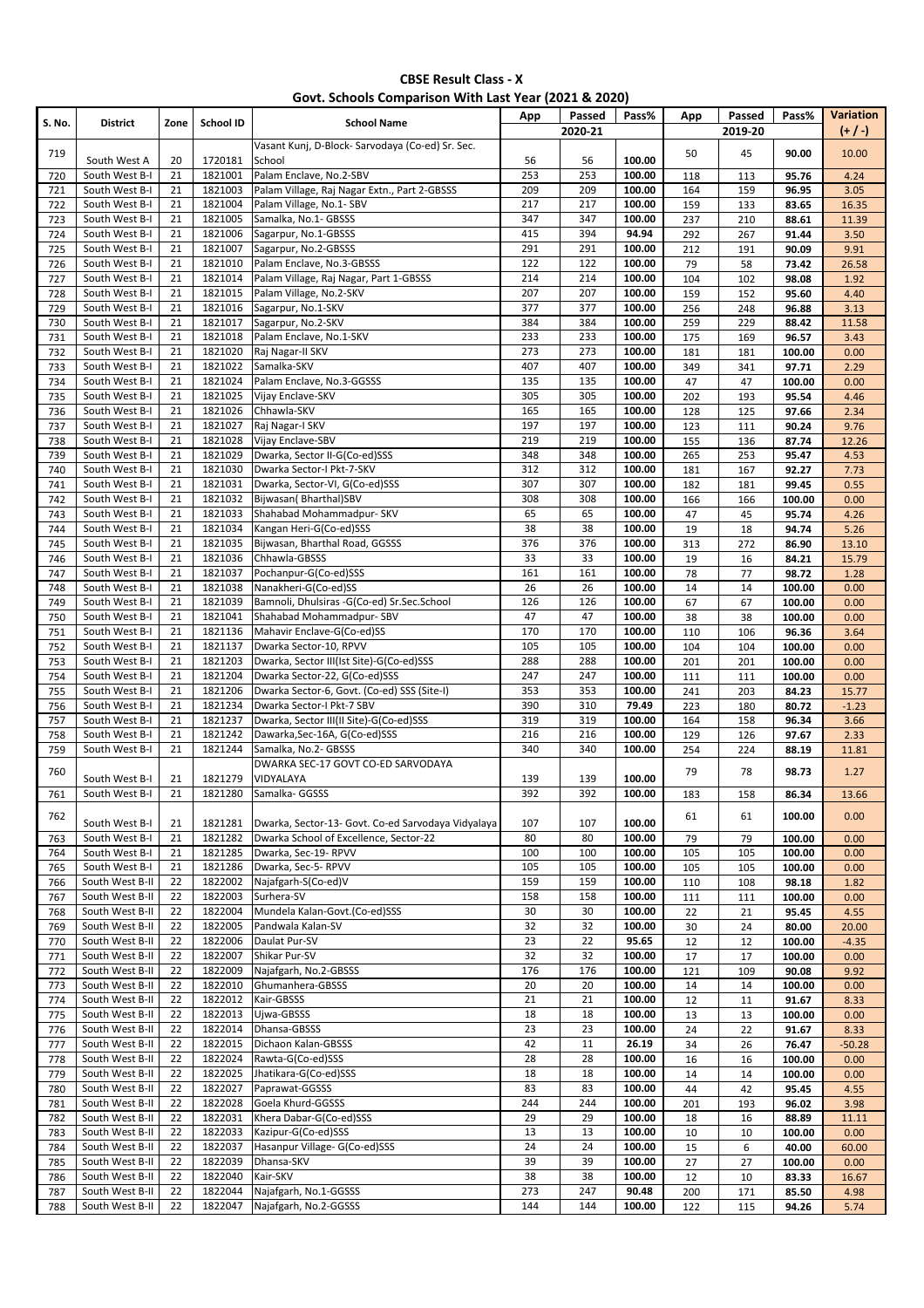| S. No.     | <b>District</b>                    | Zone     | School ID          | <b>School Name</b>                                                       | App        | Passed<br>2020-21 | Pass%            | App        | Passed<br>2019-20 | Pass%            | Variation<br>$(+ / )$ |
|------------|------------------------------------|----------|--------------------|--------------------------------------------------------------------------|------------|-------------------|------------------|------------|-------------------|------------------|-----------------------|
| 719        |                                    |          |                    | Vasant Kunj, D-Block- Sarvodaya (Co-ed) Sr. Sec.                         |            |                   |                  | 50         | 45                | 90.00            | 10.00                 |
|            | South West A<br>South West B-I     | 20<br>21 | 1720181<br>1821001 | School<br>Palam Enclave, No.2-SBV                                        | 56<br>253  | 56<br>253         | 100.00<br>100.00 |            |                   |                  |                       |
| 720<br>721 | South West B-I                     | 21       | 1821003            | Palam Village, Raj Nagar Extn., Part 2-GBSSS                             | 209        | 209               | 100.00           | 118<br>164 | 113<br>159        | 95.76<br>96.95   | 4.24<br>3.05          |
| 722        | South West B-I                     | 21       | 1821004            | Palam Village, No.1- SBV                                                 | 217        | 217               | 100.00           | 159        | 133               | 83.65            | 16.35                 |
| 723        | South West B-I                     | 21       | 1821005            | Samalka, No.1- GBSSS                                                     | 347        | 347               | 100.00           | 237        | 210               | 88.61            | 11.39                 |
| 724        | South West B-I                     | 21       | 1821006            | Sagarpur, No.1-GBSSS                                                     | 415        | 394               | 94.94            | 292        | 267               | 91.44            | 3.50                  |
| 725        | South West B-I                     | 21       | 1821007            | Sagarpur, No.2-GBSSS                                                     | 291        | 291               | 100.00           | 212        | 191               | 90.09            | 9.91                  |
| 726<br>727 | South West B-I<br>South West B-I   | 21<br>21 | 1821010<br>1821014 | Palam Enclave, No.3-GBSSS<br>Palam Village, Raj Nagar, Part 1-GBSSS      | 122<br>214 | 122<br>214        | 100.00<br>100.00 | 79<br>104  | 58<br>102         | 73.42<br>98.08   | 26.58<br>1.92         |
| 728        | South West B-I                     | 21       | 1821015            | Palam Village, No.2-SKV                                                  | 207        | 207               | 100.00           | 159        | 152               | 95.60            | 4.40                  |
| 729        | South West B-I                     | 21       | 1821016            | Sagarpur, No.1-SKV                                                       | 377        | 377               | 100.00           | 256        | 248               | 96.88            | 3.13                  |
| 730        | South West B-I                     | 21       | 1821017            | Sagarpur, No.2-SKV                                                       | 384        | 384               | 100.00           | 259        | 229               | 88.42            | 11.58                 |
| 731        | South West B-I                     | 21       | 1821018            | Palam Enclave, No.1-SKV                                                  | 233        | 233               | 100.00           | 175        | 169               | 96.57            | 3.43                  |
| 732        | South West B-I                     | 21<br>21 | 1821020<br>1821022 | Raj Nagar-II SKV<br>Samalka-SKV                                          | 273<br>407 | 273<br>407        | 100.00<br>100.00 | 181        | 181               | 100.00           | 0.00                  |
| 733<br>734 | South West B-I<br>South West B-I   | 21       | 1821024            | Palam Enclave, No.3-GGSSS                                                | 135        | 135               | 100.00           | 349<br>47  | 341<br>47         | 97.71<br>100.00  | 2.29<br>0.00          |
| 735        | South West B-I                     | 21       | 1821025            | Vijay Enclave-SKV                                                        | 305        | 305               | 100.00           | 202        | 193               | 95.54            | 4.46                  |
| 736        | South West B-I                     | 21       | 1821026            | Chhawla-SKV                                                              | 165        | 165               | 100.00           | 128        | 125               | 97.66            | 2.34                  |
| 737        | South West B-I                     | 21       | 1821027            | Raj Nagar-I SKV                                                          | 197        | 197               | 100.00           | 123        | 111               | 90.24            | 9.76                  |
| 738        | South West B-I                     | 21       | 1821028            | Vijay Enclave-SBV                                                        | 219        | 219               | 100.00           | 155        | 136               | 87.74            | 12.26                 |
| 739        | South West B-I                     | 21       | 1821029            | Dwarka, Sector II-G(Co-ed)SSS                                            | 348        | 348               | 100.00           | 265        | 253               | 95.47            | 4.53                  |
| 740<br>741 | South West B-I<br>South West B-I   | 21<br>21 | 1821030<br>1821031 | Dwarka Sector-I Pkt-7-SKV<br>Dwarka, Sector-VI, G(Co-ed)SSS              | 312<br>307 | 312<br>307        | 100.00<br>100.00 | 181<br>182 | 167<br>181        | 92.27<br>99.45   | 7.73<br>0.55          |
| 742        | South West B-I                     | 21       | 1821032            | Bijwasan(Bharthal)SBV                                                    | 308        | 308               | 100.00           | 166        | 166               | 100.00           | 0.00                  |
| 743        | South West B-I                     | 21       | 1821033            | Shahabad Mohammadpur- SKV                                                | 65         | 65                | 100.00           | 47         | 45                | 95.74            | 4.26                  |
| 744        | South West B-I                     | 21       | 1821034            | Kangan Heri-G(Co-ed)SSS                                                  | 38         | 38                | 100.00           | 19         | 18                | 94.74            | 5.26                  |
| 745        | South West B-I                     | 21       | 1821035            | Bijwasan, Bharthal Road, GGSSS                                           | 376        | 376               | 100.00           | 313        | 272               | 86.90            | 13.10                 |
| 746        | South West B-I                     | 21       | 1821036            | Chhawla-GBSSS                                                            | 33         | 33                | 100.00           | 19         | 16                | 84.21            | 15.79                 |
| 747        | South West B-I                     | 21<br>21 | 1821037<br>1821038 | Pochanpur-G(Co-ed)SSS                                                    | 161<br>26  | 161               | 100.00           | 78         | 77                | 98.72            | 1.28                  |
| 748<br>749 | South West B-I<br>South West B-I   | 21       | 1821039            | Nanakheri-G(Co-ed)SS<br>Bamnoli, Dhulsiras -G(Co-ed) Sr.Sec.School       | 126        | 26<br>126         | 100.00<br>100.00 | 14<br>67   | 14<br>67          | 100.00<br>100.00 | 0.00<br>0.00          |
| 750        | South West B-I                     | 21       | 1821041            | Shahabad Mohammadpur- SBV                                                | 47         | 47                | 100.00           | 38         | 38                | 100.00           | 0.00                  |
| 751        | South West B-I                     | 21       | 1821136            | Mahavir Enclave-G(Co-ed)SS                                               | 170        | 170               | 100.00           | 110        | 106               | 96.36            | 3.64                  |
| 752        | South West B-I                     | 21       | 1821137            | Dwarka Sector-10, RPVV                                                   | 105        | 105               | 100.00           | 104        | 104               | 100.00           | 0.00                  |
| 753        | South West B-I                     | 21       | 1821203            | Dwarka, Sector III(Ist Site)-G(Co-ed)SSS                                 | 288        | 288               | 100.00           | 201        | 201               | 100.00           | 0.00                  |
| 754        | South West B-I                     | 21       | 1821204            | Dwarka Sector-22, G(Co-ed)SSS                                            | 247        | 247               | 100.00           | 111        | 111               | 100.00           | 0.00                  |
| 755<br>756 | South West B-I<br>South West B-I   | 21<br>21 | 1821206<br>1821234 | Dwarka Sector-6, Govt. (Co-ed) SSS (Site-I)<br>Dwarka Sector-I Pkt-7 SBV | 353<br>390 | 353<br>310        | 100.00<br>79.49  | 241<br>223 | 203               | 84.23<br>80.72   | 15.77<br>$-1.23$      |
| 757        | South West B-I                     | 21       | 1821237            | Dwarka, Sector III(II Site)-G(Co-ed)SSS                                  | 319        | 319               | 100.00           | 164        | 180<br>158        | 96.34            | 3.66                  |
| 758        | South West B-I                     | 21       | 1821242            | Dawarka, Sec-16A, G(Co-ed)SSS                                            | 216        | 216               | 100.00           | 129        | 126               | 97.67            | 2.33                  |
| 759        | South West B-I                     | 21       | 1821244            | Samalka, No.2- GBSSS                                                     | 340        | 340               | 100.00           | 254        | 224               | 88.19            | 11.81                 |
| 760        |                                    |          |                    | DWARKA SEC-17 GOVT CO-ED SARVODAYA                                       |            |                   |                  | 79         | 78                | 98.73            | 1.27                  |
|            | South West B-I<br>South West B-I   | 21<br>21 | 1821279<br>1821280 | VIDYALAYA                                                                | 139<br>392 | 139<br>392        | 100.00<br>100.00 |            |                   |                  |                       |
| 761        |                                    |          |                    | Samalka- GGSSS                                                           |            |                   |                  | 183        | 158               | 86.34            | 13.66                 |
| 762        | South West B-I                     | 21       | 1821281            | Dwarka, Sector-13- Govt. Co-ed Sarvodaya Vidyalaya                       | 107        | 107               | 100.00           | 61         | 61                | 100.00           | 0.00                  |
| 763        | South West B-I                     | 21       | 1821282            | Dwarka School of Excellence, Sector-22                                   | 80         | 80                | 100.00           | 79         | 79                | 100.00           | 0.00                  |
| 764        | South West B-I                     | 21       | 1821285            | Dwarka, Sec-19- RPVV                                                     | 100        | 100               | 100.00           | 105        | 105               | 100.00           | 0.00                  |
| 765        | South West B-I                     | 21       | 1821286            | Dwarka, Sec-5- RPVV                                                      | 105        | 105               | 100.00           | 105        | 105               | 100.00           | 0.00                  |
| 766        | South West B-II                    | 22<br>22 | 1822002<br>1822003 | Najafgarh-S(Co-ed)V                                                      | 159<br>158 | 159<br>158        | 100.00<br>100.00 | 110        | 108               | 98.18            | 1.82                  |
| 767<br>768 | South West B-II<br>South West B-II | 22       | 1822004            | Surhera-SV<br>Mundela Kalan-Govt.(Co-ed)SSS                              | 30         | 30                | 100.00           | 111<br>22  | 111<br>21         | 100.00<br>95.45  | 0.00<br>4.55          |
| 769        | South West B-II                    | 22       | 1822005            | Pandwala Kalan-SV                                                        | 32         | 32                | 100.00           | 30         | 24                | 80.00            | 20.00                 |
| 770        | South West B-II                    | 22       | 1822006            | Daulat Pur-SV                                                            | 23         | 22                | 95.65            | 12         | 12                | 100.00           | $-4.35$               |
| 771        | South West B-II                    | 22       | 1822007            | Shikar Pur-SV                                                            | 32         | 32                | 100.00           | 17         | 17                | 100.00           | 0.00                  |
| 772        | South West B-II                    | 22       | 1822009            | Najafgarh, No.2-GBSSS                                                    | 176        | 176               | 100.00           | 121        | 109               | 90.08            | 9.92                  |
| 773        | South West B-II                    | 22<br>22 | 1822010<br>1822012 | Ghumanhera-GBSSS<br>Kair-GBSSS                                           | 20<br>21   | 20<br>21          | 100.00<br>100.00 | 14         | 14                | 100.00           | 0.00                  |
| 774<br>775 | South West B-II<br>South West B-II | 22       | 1822013            | Ujwa-GBSSS                                                               | 18         | 18                | 100.00           | 12<br>13   | 11<br>13          | 91.67<br>100.00  | 8.33<br>0.00          |
| 776        | South West B-II                    | 22       | 1822014            | Dhansa-GBSSS                                                             | 23         | 23                | 100.00           | 24         | 22                | 91.67            | 8.33                  |
| 777        | South West B-II                    | 22       | 1822015            | Dichaon Kalan-GBSSS                                                      | 42         | 11                | 26.19            | 34         | 26                | 76.47            | $-50.28$              |
| 778        | South West B-II                    | 22       | 1822024            | Rawta-G(Co-ed)SSS                                                        | 28         | 28                | 100.00           | 16         | 16                | 100.00           | 0.00                  |
| 779        | South West B-II                    | 22       | 1822025            | Jhatikara-G(Co-ed)SSS                                                    | 18         | 18                | 100.00           | 14         | 14                | 100.00           | 0.00                  |
| 780        | South West B-II                    | 22       | 1822027            | Paprawat-GGSSS                                                           | 83         | 83                | 100.00           | 44         | 42                | 95.45            | 4.55                  |
| 781<br>782 | South West B-II<br>South West B-II | 22<br>22 | 1822028<br>1822031 | Goela Khurd-GGSSS<br>Khera Dabar-G(Co-ed)SSS                             | 244<br>29  | 244<br>29         | 100.00<br>100.00 | 201<br>18  | 193<br>16         | 96.02<br>88.89   | 3.98<br>11.11         |
| 783        | South West B-II                    | 22       | 1822033            | Kazipur-G(Co-ed)SSS                                                      | 13         | 13                | 100.00           | 10         | 10                | 100.00           | 0.00                  |
| 784        | South West B-II                    | 22       | 1822037            | Hasanpur Village- G(Co-ed)SSS                                            | 24         | 24                | 100.00           | 15         | 6                 | 40.00            | 60.00                 |
| 785        | South West B-II                    | 22       | 1822039            | Dhansa-SKV                                                               | 39         | 39                | 100.00           | 27         | 27                | 100.00           | 0.00                  |
| 786        | South West B-II                    | 22       | 1822040            | Kair-SKV                                                                 | 38         | 38                | 100.00           | 12         | 10                | 83.33            | 16.67                 |
| 787        | South West B-II                    | 22       | 1822044            | Najafgarh, No.1-GGSSS                                                    | 273        | 247               | 90.48            | 200        | 171               | 85.50            | 4.98                  |
| 788        | South West B-II                    | 22       | 1822047            | Najafgarh, No.2-GGSSS                                                    | 144        | 144               | 100.00           | 122        | 115               | 94.26            | 5.74                  |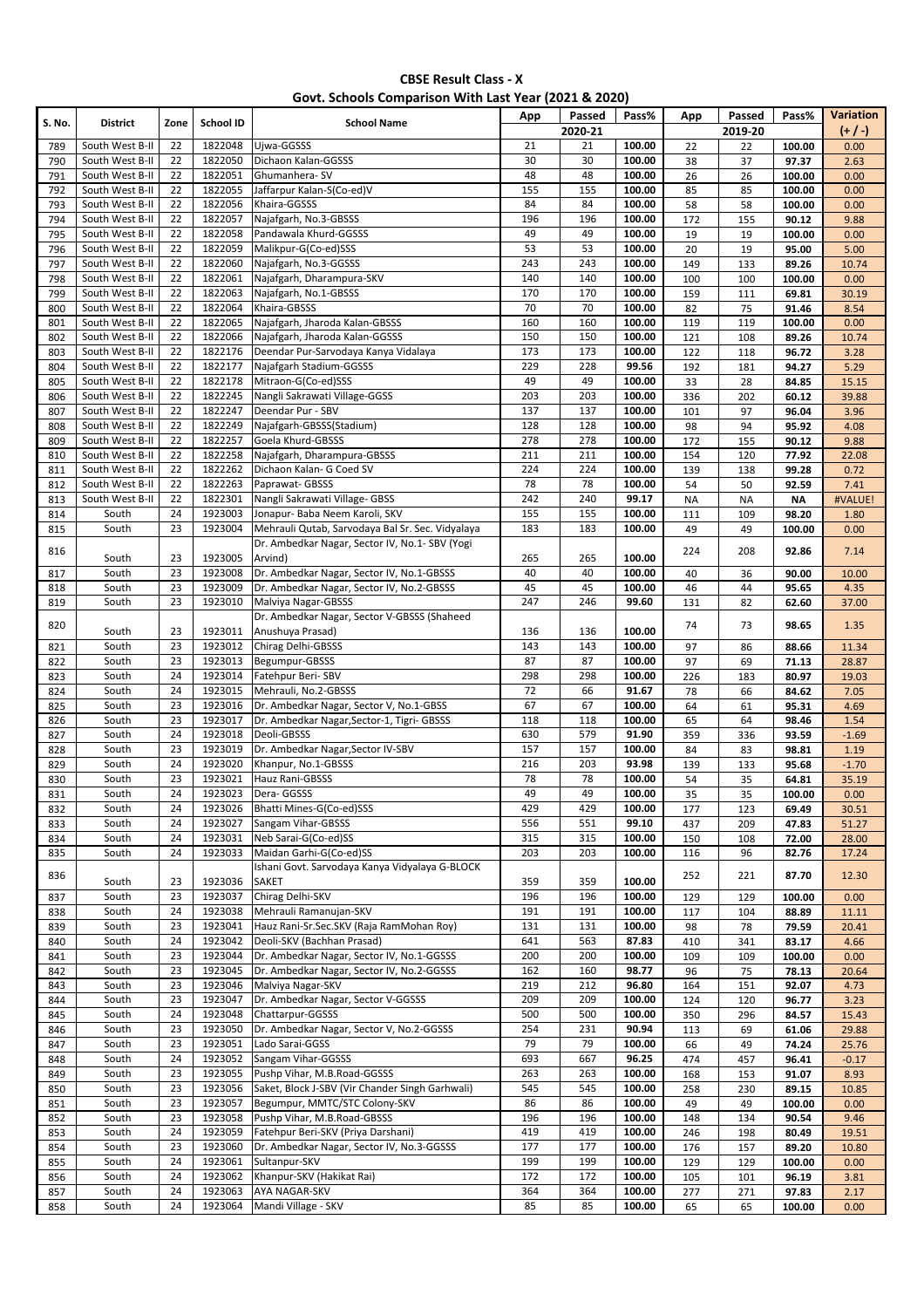| Govt. Schools Comparison With Last Year (2021 & 2020) |                                    |          |                    |                                                                                                    |            |            |                  |            |            |                 |                 |
|-------------------------------------------------------|------------------------------------|----------|--------------------|----------------------------------------------------------------------------------------------------|------------|------------|------------------|------------|------------|-----------------|-----------------|
| <b>S. No.</b>                                         | <b>District</b>                    | Zone     | School ID          | <b>School Name</b>                                                                                 | App        | Passed     | Pass%            | App        | Passed     | Pass%           | Variation       |
|                                                       |                                    |          |                    |                                                                                                    |            | 2020-21    |                  |            | 2019-20    |                 | $(+ / )$        |
| 789                                                   | South West B-II<br>South West B-II | 22<br>22 | 1822048<br>1822050 | Ujwa-GGSSS                                                                                         | 21<br>30   | 21<br>30   | 100.00<br>100.00 | 22         | 22         | 100.00          | 0.00            |
| 790<br>791                                            | South West B-II                    | 22       | 1822051            | Dichaon Kalan-GGSSS<br>Ghumanhera-SV                                                               | 48         | 48         | 100.00           | 38<br>26   | 37<br>26   | 97.37<br>100.00 | 2.63<br>0.00    |
| 792                                                   | South West B-II                    | 22       | 1822055            | Jaffarpur Kalan-S(Co-ed)V                                                                          | 155        | 155        | 100.00           | 85         | 85         | 100.00          | 0.00            |
| 793                                                   | South West B-II                    | 22       | 1822056            | Khaira-GGSSS                                                                                       | 84         | 84         | 100.00           | 58         | 58         | 100.00          | 0.00            |
| 794                                                   | South West B-II                    | 22       | 1822057            | Najafgarh, No.3-GBSSS                                                                              | 196        | 196        | 100.00           | 172        | 155        | 90.12           | 9.88            |
| 795                                                   | South West B-II                    | 22       | 1822058            | Pandawala Khurd-GGSSS                                                                              | 49         | 49         | 100.00           | 19         | 19         | 100.00          | 0.00            |
| 796                                                   | South West B-II                    | 22       | 1822059            | Malikpur-G(Co-ed)SSS                                                                               | 53         | 53         | 100.00           | 20         | 19         | 95.00           | 5.00            |
| 797                                                   | South West B-II<br>South West B-II | 22<br>22 | 1822060<br>1822061 | Najafgarh, No.3-GGSSS<br>Najafgarh, Dharampura-SKV                                                 | 243<br>140 | 243<br>140 | 100.00<br>100.00 | 149        | 133        | 89.26<br>100.00 | 10.74<br>0.00   |
| 798<br>799                                            | South West B-II                    | 22       | 1822063            | Najafgarh, No.1-GBSSS                                                                              | 170        | 170        | 100.00           | 100<br>159 | 100<br>111 | 69.81           | 30.19           |
| 800                                                   | South West B-II                    | 22       | 1822064            | Khaira-GBSSS                                                                                       | 70         | 70         | 100.00           | 82         | 75         | 91.46           | 8.54            |
| 801                                                   | South West B-II                    | 22       | 1822065            | Najafgarh, Jharoda Kalan-GBSSS                                                                     | 160        | 160        | 100.00           | 119        | 119        | 100.00          | 0.00            |
| 802                                                   | South West B-II                    | 22       | 1822066            | Najafgarh, Jharoda Kalan-GGSSS                                                                     | 150        | 150        | 100.00           | 121        | 108        | 89.26           | 10.74           |
| 803                                                   | South West B-II                    | 22       | 1822176            | Deendar Pur-Sarvodaya Kanya Vidalaya                                                               | 173        | 173        | 100.00           | 122        | 118        | 96.72           | 3.28            |
| 804                                                   | South West B-II                    | 22       | 1822177            | Najafgarh Stadium-GGSSS                                                                            | 229        | 228        | 99.56            | 192        | 181        | 94.27           | 5.29            |
| 805                                                   | South West B-II                    | 22       | 1822178            | Mitraon-G(Co-ed)SSS                                                                                | 49         | 49         | 100.00           | 33         | 28         | 84.85           | 15.15           |
| 806<br>807                                            | South West B-II<br>South West B-II | 22<br>22 | 1822245<br>1822247 | Nangli Sakrawati Village-GGSS<br>Deendar Pur - SBV                                                 | 203<br>137 | 203<br>137 | 100.00<br>100.00 | 336<br>101 | 202<br>97  | 60.12<br>96.04  | 39.88<br>3.96   |
| 808                                                   | South West B-II                    | 22       | 1822249            | Najafgarh-GBSSS(Stadium)                                                                           | 128        | 128        | 100.00           | 98         | 94         | 95.92           | 4.08            |
| 809                                                   | South West B-II                    | 22       | 1822257            | Goela Khurd-GBSSS                                                                                  | 278        | 278        | 100.00           | 172        | 155        | 90.12           | 9.88            |
| 810                                                   | South West B-II                    | 22       | 1822258            | Najafgarh, Dharampura-GBSSS                                                                        | 211        | 211        | 100.00           | 154        | 120        | 77.92           | 22.08           |
| 811                                                   | South West B-II                    | 22       | 1822262            | Dichaon Kalan- G Coed SV                                                                           | 224        | 224        | 100.00           | 139        | 138        | 99.28           | 0.72            |
| 812                                                   | South West B-II                    | 22       | 1822263            | Paprawat- GBSSS                                                                                    | 78         | 78         | 100.00           | 54         | 50         | 92.59           | 7.41            |
| 813                                                   | South West B-II                    | 22       | 1822301            | Nangli Sakrawati Village- GBSS                                                                     | 242        | 240        | 99.17            | <b>NA</b>  | <b>NA</b>  | <b>NA</b>       | #VALUE!         |
| 814                                                   | South                              | 24       | 1923003            | Jonapur- Baba Neem Karoli, SKV                                                                     | 155        | 155        | 100.00           | 111        | 109        | 98.20           | 1.80            |
| 815                                                   | South                              | 23       | 1923004            | Mehrauli Qutab, Sarvodaya Bal Sr. Sec. Vidyalaya<br>Dr. Ambedkar Nagar, Sector IV, No.1- SBV (Yogi | 183        | 183        | 100.00           | 49         | 49         | 100.00          | 0.00            |
| 816                                                   | South                              | 23       | 1923005            | Arvind)                                                                                            | 265        | 265        | 100.00           | 224        | 208        | 92.86           | 7.14            |
| 817                                                   | South                              | 23       | 1923008            | Dr. Ambedkar Nagar, Sector IV, No.1-GBSSS                                                          | 40         | 40         | 100.00           | 40         | 36         | 90.00           | 10.00           |
| 818                                                   | South                              | 23       | 1923009            | Dr. Ambedkar Nagar, Sector IV, No.2-GBSSS                                                          | 45         | 45         | 100.00           | 46         | 44         | 95.65           | 4.35            |
| 819                                                   | South                              | 23       | 1923010            | Malviya Nagar-GBSSS                                                                                | 247        | 246        | 99.60            | 131        | 82         | 62.60           | 37.00           |
| 820                                                   |                                    |          |                    | Dr. Ambedkar Nagar, Sector V-GBSSS (Shaheed                                                        |            |            |                  | 74         | 73         | 98.65           | 1.35            |
|                                                       | South                              | 23       | 1923011            | Anushuya Prasad)                                                                                   | 136        | 136        | 100.00           |            |            |                 |                 |
| 821                                                   | South                              | 23       | 1923012            | Chirag Delhi-GBSSS                                                                                 | 143        | 143        | 100.00           | 97         | 86         | 88.66           | 11.34           |
| 822<br>823                                            | South<br>South                     | 23<br>24 | 1923013<br>1923014 | Begumpur-GBSSS<br>Fatehpur Beri-SBV                                                                | 87<br>298  | 87<br>298  | 100.00<br>100.00 | 97<br>226  | 69<br>183  | 71.13<br>80.97  | 28.87<br>19.03  |
| 824                                                   | South                              | 24       | 1923015            | Mehrauli, No.2-GBSSS                                                                               | 72         | 66         | 91.67            | 78         | 66         | 84.62           | 7.05            |
| 825                                                   | South                              | 23       | 1923016            | Dr. Ambedkar Nagar, Sector V, No.1-GBSS                                                            | 67         | 67         | 100.00           | 64         | 61         | 95.31           | 4.69            |
| 826                                                   | South                              | 23       | 1923017            | Dr. Ambedkar Nagar, Sector-1, Tigri- GBSSS                                                         | 118        | 118        | 100.00           | 65         | 64         | 98.46           | 1.54            |
| 827                                                   | South                              | 24       | 1923018            | Deoli-GBSSS                                                                                        | 630        | 579        | 91.90            | 359        | 336        | 93.59           | $-1.69$         |
| 828                                                   | South                              | 23       | 1923019            | Dr. Ambedkar Nagar, Sector IV-SBV                                                                  | 157        | 157        | 100.00           | 84         | 83         | 98.81           | 1.19            |
| 829                                                   | South                              | 24       | 1923020            | Khanpur, No.1-GBSSS                                                                                | 216        | 203        | 93.98            | 139        | 133        | 95.68           | $-1.70$         |
| 830                                                   | South<br>South                     | 23<br>24 | 1923021<br>1923023 | Hauz Rani-GBSSS<br>Dera- GGSSS                                                                     | 78<br>49   | 78<br>49   | 100.00<br>100.00 | 54         | 35         | 64.81           | 35.19           |
| 831<br>832                                            | South                              | 24       | 1923026            | Bhatti Mines-G(Co-ed)SSS                                                                           | 429        | 429        | 100.00           | 35<br>177  | 35<br>123  | 100.00<br>69.49 | 0.00<br>30.51   |
| 833                                                   | South                              | 24       | 1923027            | Sangam Vihar-GBSSS                                                                                 | 556        | 551        | 99.10            | 437        | 209        | 47.83           | 51.27           |
| 834                                                   | South                              | 24       | 1923031            | Neb Sarai-G(Co-ed)SS                                                                               | 315        | 315        | 100.00           | 150        | 108        | 72.00           | 28.00           |
| 835                                                   | South                              | 24       | 1923033            | Maidan Garhi-G(Co-ed)SS                                                                            | 203        | 203        | 100.00           | 116        | 96         | 82.76           | 17.24           |
| 836                                                   |                                    |          |                    | Ishani Govt. Sarvodaya Kanya Vidyalaya G-BLOCK                                                     |            |            |                  | 252        | 221        | 87.70           | 12.30           |
|                                                       | South                              | 23       | 1923036            | <b>SAKET</b>                                                                                       | 359        | 359        | 100.00           |            |            |                 |                 |
| 837                                                   | South                              | 23       | 1923037            | Chirag Delhi-SKV                                                                                   | 196        | 196        | 100.00           | 129        | 129        | 100.00          | 0.00            |
| 838                                                   | South<br>South                     | 24<br>23 | 1923038<br>1923041 | Mehrauli Ramanujan-SKV<br>Hauz Rani-Sr.Sec.SKV (Raja RamMohan Roy)                                 | 191<br>131 | 191<br>131 | 100.00<br>100.00 | 117<br>98  | 104<br>78  | 88.89           | 11.11           |
| 839<br>840                                            | South                              | 24       | 1923042            | Deoli-SKV (Bachhan Prasad)                                                                         | 641        | 563        | 87.83            | 410        | 341        | 79.59<br>83.17  | 20.41<br>4.66   |
| 841                                                   | South                              | 23       | 1923044            | Dr. Ambedkar Nagar, Sector IV, No.1-GGSSS                                                          | 200        | 200        | 100.00           | 109        | 109        | 100.00          | 0.00            |
| 842                                                   | South                              | 23       | 1923045            | Dr. Ambedkar Nagar, Sector IV, No.2-GGSSS                                                          | 162        | 160        | 98.77            | 96         | 75         | 78.13           | 20.64           |
| 843                                                   | South                              | 23       | 1923046            | Malviya Nagar-SKV                                                                                  | 219        | 212        | 96.80            | 164        | 151        | 92.07           | 4.73            |
| 844                                                   | South                              | 23       | 1923047            | Dr. Ambedkar Nagar, Sector V-GGSSS                                                                 | 209        | 209        | 100.00           | 124        | 120        | 96.77           | 3.23            |
| 845                                                   | South                              | 24       | 1923048            | Chattarpur-GGSSS                                                                                   | 500        | 500        | 100.00           | 350        | 296        | 84.57           | 15.43           |
| 846                                                   | South                              | 23       | 1923050            | Dr. Ambedkar Nagar, Sector V, No.2-GGSSS                                                           | 254        | 231        | 90.94            | 113        | 69         | 61.06           | 29.88           |
| 847                                                   | South<br>South                     | 23<br>24 | 1923051<br>1923052 | Lado Sarai-GGSS<br>Sangam Vihar-GGSSS                                                              | 79<br>693  | 79<br>667  | 100.00<br>96.25  | 66         | 49         | 74.24           | 25.76           |
| 848<br>849                                            | South                              | 23       | 1923055            | Pushp Vihar, M.B.Road-GGSSS                                                                        | 263        | 263        | 100.00           | 474<br>168 | 457<br>153 | 96.41<br>91.07  | $-0.17$<br>8.93 |
| 850                                                   | South                              | 23       | 1923056            | Saket, Block J-SBV (Vir Chander Singh Garhwali)                                                    | 545        | 545        | 100.00           | 258        | 230        | 89.15           | 10.85           |
| 851                                                   | South                              | 23       | 1923057            | Begumpur, MMTC/STC Colony-SKV                                                                      | 86         | 86         | 100.00           | 49         | 49         | 100.00          | 0.00            |
| 852                                                   | South                              | 23       | 1923058            | Pushp Vihar, M.B.Road-GBSSS                                                                        | 196        | 196        | 100.00           | 148        | 134        | 90.54           | 9.46            |
| 853                                                   | South                              | 24       | 1923059            | Fatehpur Beri-SKV (Priya Darshani)                                                                 | 419        | 419        | 100.00           | 246        | 198        | 80.49           | 19.51           |
| 854                                                   | South                              | 23       | 1923060            | Dr. Ambedkar Nagar, Sector IV, No.3-GGSSS                                                          | 177        | 177        | 100.00           | 176        | 157        | 89.20           | 10.80           |
| 855                                                   | South                              | 24       | 1923061            | Sultanpur-SKV                                                                                      | 199        | 199        | 100.00           | 129        | 129        | 100.00          | 0.00            |
| 856                                                   | South                              | 24       | 1923062            | Khanpur-SKV (Hakikat Rai)                                                                          | 172        | 172        | 100.00           | 105        | 101        | 96.19           | 3.81            |
| 857                                                   | South                              | 24<br>24 | 1923063<br>1923064 | AYA NAGAR-SKV                                                                                      | 364<br>85  | 364<br>85  | 100.00<br>100.00 | 277        | 271        | 97.83           | 2.17            |
| 858                                                   | South                              |          |                    | Mandi Village - SKV                                                                                |            |            |                  | 65         | 65         | 100.00          | 0.00            |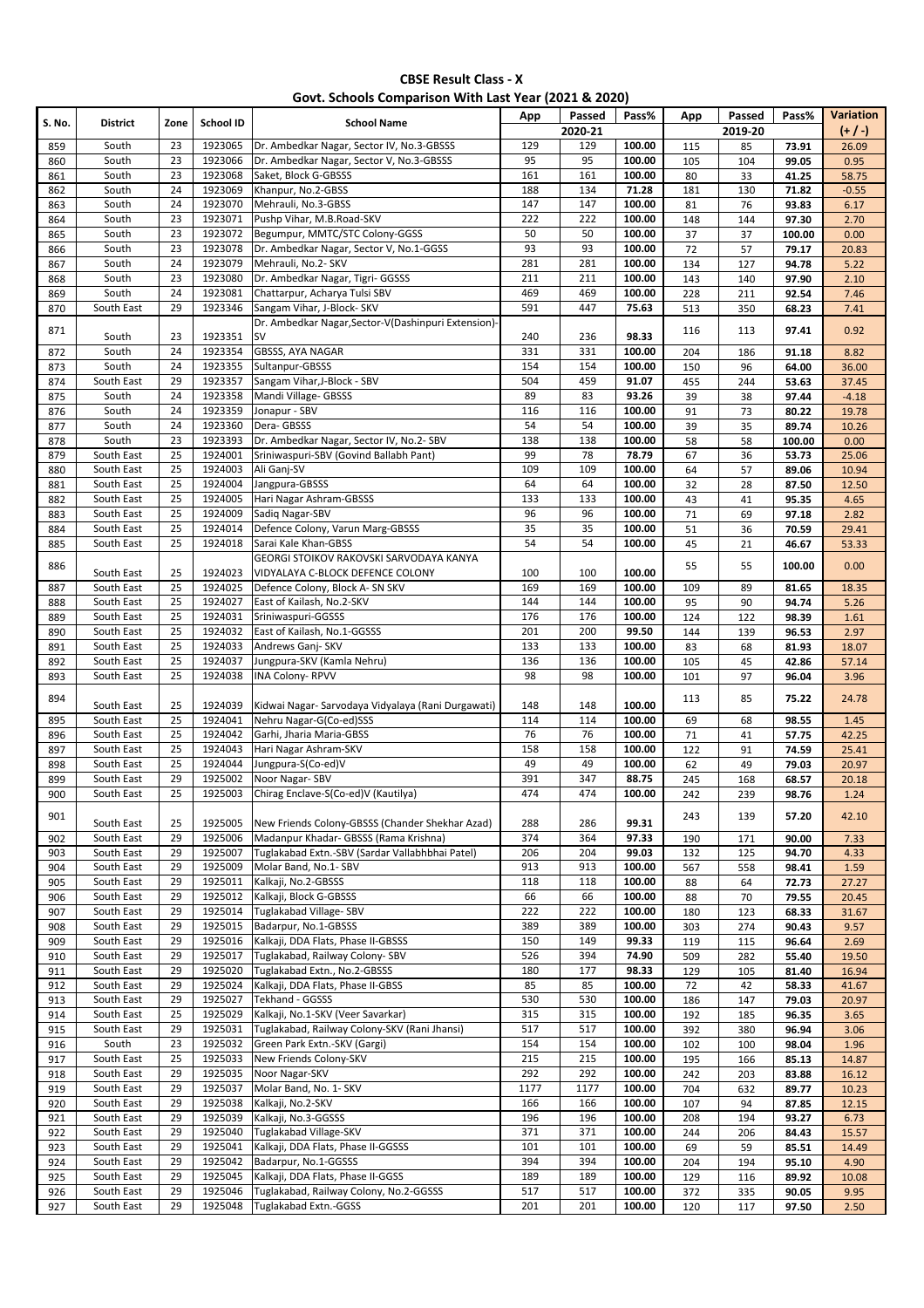### **Govt. Schools Comparison With Last Year (2021 & 2020)**

| S. No.     | <b>District</b>          | Zone            | School ID          | <b>School Name</b>                                                                    | App        | Passed         | Pass%            | App        | Passed     | Pass%          | Variation      |
|------------|--------------------------|-----------------|--------------------|---------------------------------------------------------------------------------------|------------|----------------|------------------|------------|------------|----------------|----------------|
|            |                          |                 | 1923065            |                                                                                       | 129        | 2020-21<br>129 |                  |            | 2019-20    |                | $(+/-)$        |
| 859<br>860 | South<br>South           | 23<br>23        | 1923066            | Dr. Ambedkar Nagar, Sector IV, No.3-GBSSS<br>Dr. Ambedkar Nagar, Sector V, No.3-GBSSS | 95         | 95             | 100.00<br>100.00 | 115<br>105 | 85<br>104  | 73.91<br>99.05 | 26.09<br>0.95  |
| 861        | South                    | 23              | 1923068            | Saket, Block G-GBSSS                                                                  | 161        | 161            | 100.00           | 80         | 33         | 41.25          | 58.75          |
| 862        | South                    | 24              | 1923069            | Khanpur, No.2-GBSS                                                                    | 188        | 134            | 71.28            | 181        | 130        | 71.82          | $-0.55$        |
| 863        | South                    | 24              | 1923070            | Mehrauli, No.3-GBSS                                                                   | 147        | 147            | 100.00           | 81         | 76         | 93.83          | 6.17           |
| 864        | South                    | 23              | 1923071            | Pushp Vihar, M.B.Road-SKV                                                             | 222        | 222            | 100.00           | 148        | 144        | 97.30          | 2.70           |
| 865        | South                    | 23              | 1923072            | Begumpur, MMTC/STC Colony-GGSS                                                        | 50         | 50             | 100.00           | 37         | 37         | 100.00         | 0.00           |
| 866        | South                    | 23              | 1923078            | Dr. Ambedkar Nagar, Sector V, No.1-GGSS                                               | 93         | 93             | 100.00           | 72         | 57         | 79.17          | 20.83          |
| 867        | South                    | 24              | 1923079            | Mehrauli, No.2- SKV                                                                   | 281        | 281            | 100.00           | 134        | 127        | 94.78          | 5.22           |
| 868        | South                    | 23              | 1923080            | Dr. Ambedkar Nagar, Tigri- GGSSS                                                      | 211        | 211            | 100.00           | 143        | 140        | 97.90          | 2.10           |
| 869        | South                    | 24              | 1923081            | Chattarpur, Acharya Tulsi SBV                                                         | 469        | 469            | 100.00           | 228        | 211        | 92.54          | 7.46           |
| 870        | South East               | 29              | 1923346            | Sangam Vihar, J-Block- SKV                                                            | 591        | 447            | 75.63            | 513        | 350        | 68.23          | 7.41           |
| 871        |                          |                 |                    | Dr. Ambedkar Nagar, Sector-V(Dashinpuri Extension)-                                   |            |                |                  | 116        | 113        | 97.41          | 0.92           |
|            | South                    | 23              | 1923351            | <b>SV</b>                                                                             | 240        | 236            | 98.33            |            |            |                |                |
| 872        | South                    | 24              | 1923354            | GBSSS, AYA NAGAR                                                                      | 331        | 331            | 100.00           | 204        | 186        | 91.18          | 8.82           |
| 873        | South                    | 24              | 1923355            | Sultanpur-GBSSS                                                                       | 154        | 154            | 100.00           | 150        | 96         | 64.00          | 36.00          |
| 874        | South East               | 29              | 1923357            | Sangam Vihar, J-Block - SBV                                                           | 504        | 459            | 91.07            | 455        | 244        | 53.63          | 37.45          |
| 875        | South                    | 24              | 1923358            | Mandi Village- GBSSS                                                                  | 89         | 83             | 93.26            | 39         | 38         | 97.44          | $-4.18$        |
| 876        | South                    | 24              | 1923359            | Jonapur - SBV                                                                         | 116        | 116            | 100.00           | 91         | 73         | 80.22          | 19.78          |
| 877        | South                    | 24<br>23        | 1923360<br>1923393 | Dera-GBSSS                                                                            | 54<br>138  | 54<br>138      | 100.00           | 39         | 35         | 89.74          | 10.26          |
| 878        | South<br>South East      | 25              | 1924001            | Dr. Ambedkar Nagar, Sector IV, No.2- SBV<br>Sriniwaspuri-SBV (Govind Ballabh Pant)    | 99         | 78             | 100.00<br>78.79  | 58         | 58         | 100.00         | 0.00           |
| 879<br>880 | South East               | 25              | 1924003            | Ali Ganj-SV                                                                           | 109        | 109            | 100.00           | 67<br>64   | 36<br>57   | 53.73<br>89.06 | 25.06<br>10.94 |
| 881        | South East               | 25              | 1924004            | Jangpura-GBSSS                                                                        | 64         | 64             | 100.00           | 32         | 28         | 87.50          | 12.50          |
| 882        | South East               | 25              | 1924005            | Hari Nagar Ashram-GBSSS                                                               | 133        | 133            | 100.00           | 43         | 41         | 95.35          | 4.65           |
| 883        | South East               | 25              | 1924009            | Sadiq Nagar-SBV                                                                       | 96         | 96             | 100.00           | 71         | 69         | 97.18          | 2.82           |
| 884        | South East               | $\overline{25}$ | 1924014            | Defence Colony, Varun Marg-GBSSS                                                      | 35         | 35             | 100.00           | 51         | 36         | 70.59          | 29.41          |
| 885        | South East               | 25              | 1924018            | Sarai Kale Khan-GBSS                                                                  | 54         | 54             | 100.00           | 45         | 21         | 46.67          | 53.33          |
|            |                          |                 |                    | GEORGI STOIKOV RAKOVSKI SARVODAYA KANYA                                               |            |                |                  |            |            |                |                |
| 886        | South East               | 25              | 1924023            | VIDYALAYA C-BLOCK DEFENCE COLONY                                                      | 100        | 100            | 100.00           | 55         | 55         | 100.00         | 0.00           |
| 887        | South East               | 25              | 1924025            | Defence Colony, Block A- SN SKV                                                       | 169        | 169            | 100.00           | 109        | 89         | 81.65          | 18.35          |
| 888        | South East               | $\overline{25}$ | 1924027            | East of Kailash, No.2-SKV                                                             | 144        | 144            | 100.00           | 95         | 90         | 94.74          | 5.26           |
| 889        | South East               | 25              | 1924031            | Sriniwaspuri-GGSSS                                                                    | 176        | 176            | 100.00           | 124        | 122        | 98.39          | 1.61           |
| 890        | South East               | $\overline{25}$ | 1924032            | East of Kailash, No.1-GGSSS                                                           | 201        | 200            | 99.50            | 144        | 139        | 96.53          | 2.97           |
| 891        | South East               | 25              | 1924033            | Andrews Ganj-SKV                                                                      | 133        | 133            | 100.00           | 83         | 68         | 81.93          | 18.07          |
| 892        | South East               | 25              | 1924037            | Jungpura-SKV (Kamla Nehru)                                                            | 136        | 136            | 100.00           | 105        | 45         | 42.86          | 57.14          |
| 893        | South East               | 25              | 1924038            | <b>INA Colony-RPVV</b>                                                                | 98         | 98             | 100.00           | 101        | 97         | 96.04          | 3.96           |
| 894        |                          |                 |                    |                                                                                       |            |                |                  | 113        | 85         | 75.22          | 24.78          |
|            | South East               | 25              | 1924039            | Kidwai Nagar- Sarvodaya Vidyalaya (Rani Durgawati)                                    | 148        | 148            | 100.00           |            |            |                |                |
| 895        | South East               | 25              | 1924041            | Nehru Nagar-G(Co-ed)SSS                                                               | 114        | 114            | 100.00           | 69         | 68         | 98.55          | 1.45           |
| 896        | South East               | 25              | 1924042            | Garhi, Jharia Maria-GBSS                                                              | 76         | 76             | 100.00           | 71         | 41         | 57.75          | 42.25          |
| 897        | South East               | 25              | 1924043            | Hari Nagar Ashram-SKV                                                                 | 158        | 158            | 100.00           | 122        | 91         | 74.59          | 25.41          |
| 898        | South East               | 25              | 1924044            | Jungpura-S(Co-ed)V                                                                    | 49         | 49             | 100.00           | 62         | 49         | 79.03          | 20.97          |
| 899        | South East<br>South East | 29<br>25        | 1925002<br>1925003 | Noor Nagar-SBV<br>Chirag Enclave-S(Co-ed)V (Kautilya)                                 | 391<br>474 | 347<br>474     | 88.75<br>100.00  | 245        | 168        | 68.57          | 20.18          |
| 900        |                          |                 |                    |                                                                                       |            |                |                  | 242        | 239        | 98.76          | 1.24           |
| 901        | South East               | 25              | 1925005            | New Friends Colony-GBSSS (Chander Shekhar Azad)                                       | 288        | 286            | 99.31            | 243        | 139        | 57.20          | 42.10          |
| 902        | South East               | 29              | 1925006            | Madanpur Khadar- GBSSS (Rama Krishna)                                                 | 374        | 364            | 97.33            | 190        | 171        | 90.00          | 7.33           |
| 903        | South East               | 29              | 1925007            | Tuglakabad Extn.-SBV (Sardar Vallabhbhai Patel)                                       | 206        | 204            | 99.03            | 132        | 125        | 94.70          | 4.33           |
| 904        | South East               | 29              | 1925009            | Molar Band, No.1- SBV                                                                 | 913        | 913            | 100.00           | 567        | 558        | 98.41          | 1.59           |
| 905        | South East               | 29              | 1925011            | Kalkaji, No.2-GBSSS                                                                   | 118        | 118            | 100.00           | 88         | 64         | 72.73          | 27.27          |
| 906        | South East               | 29              | 1925012            | Kalkaji, Block G-GBSSS                                                                | 66         | 66             | 100.00           | 88         | 70         | 79.55          | 20.45          |
| 907        | South East               | 29              | 1925014            | Tuglakabad Village- SBV                                                               | 222        | 222            | 100.00           | 180        | 123        | 68.33          | 31.67          |
| 908        | South East               | 29              | 1925015            | Badarpur, No.1-GBSSS                                                                  | 389        | 389            | 100.00           | 303        | 274        | 90.43          | 9.57           |
| 909        | South East               | 29              | 1925016            | Kalkaji, DDA Flats, Phase II-GBSSS                                                    | 150        | 149            | 99.33            | 119        | 115        | 96.64          | 2.69           |
| 910        | South East               | 29              | 1925017            | Tuglakabad, Railway Colony-SBV                                                        | 526        | 394            | 74.90            | 509        | 282        | 55.40          | 19.50          |
| 911        | South East               | 29              | 1925020            | Tuglakabad Extn., No.2-GBSSS                                                          | 180        | 177            | 98.33            | 129        | 105        | 81.40          | 16.94          |
| 912        | South East               | 29              | 1925024            | Kalkaji, DDA Flats, Phase II-GBSS                                                     | 85         | 85             | 100.00           | 72         | 42         | 58.33          | 41.67          |
| 913        | South East               | 29              | 1925027            | Tekhand - GGSSS                                                                       | 530        | 530            | 100.00           | 186        | 147        | 79.03          | 20.97          |
| 914        | South East               | 25              | 1925029            | Kalkaji, No.1-SKV (Veer Savarkar)                                                     | 315        | 315            | 100.00           | 192        | 185        | 96.35          | 3.65           |
| 915        | South East               | 29              | 1925031            | Tuglakabad, Railway Colony-SKV (Rani Jhansi)                                          | 517        | 517            | 100.00           | 392        | 380        | 96.94          | 3.06           |
| 916        | South                    | 23              | 1925032            | Green Park Extn.-SKV (Gargi)                                                          | 154        | 154            | 100.00           | 102        | 100        | 98.04          | 1.96           |
| 917        | South East               | 25              | 1925033            | New Friends Colony-SKV                                                                | 215        | 215            | 100.00           | 195        | 166        | 85.13          | 14.87          |
| 918        | South East               | 29              | 1925035            | Noor Nagar-SKV                                                                        | 292        | 292            | 100.00           | 242        | 203        | 83.88          | 16.12          |
| 919        | South East               | 29              | 1925037<br>1925038 | Molar Band, No. 1- SKV                                                                | 1177       | 1177           | 100.00<br>100.00 | 704        | 632        | 89.77          | 10.23          |
| 920        | South East               | 29<br>29        | 1925039            | Kalkaji, No.2-SKV<br>Kalkaji, No.3-GGSSS                                              | 166<br>196 | 166<br>196     | 100.00           | 107        | 94         | 87.85          | 12.15          |
| 921<br>922 | South East<br>South East | 29              | 1925040            | Tuglakabad Village-SKV                                                                | 371        | 371            | 100.00           | 208<br>244 | 194<br>206 | 93.27<br>84.43 | 6.73           |
| 923        | South East               | 29              | 1925041            | Kalkaji, DDA Flats, Phase II-GGSSS                                                    | 101        | 101            | 100.00           | 69         | 59         | 85.51          | 15.57<br>14.49 |
| 924        | South East               | 29              | 1925042            | Badarpur, No.1-GGSSS                                                                  | 394        | 394            | 100.00           | 204        | 194        | 95.10          | 4.90           |
| 925        | South East               | 29              | 1925045            | Kalkaji, DDA Flats, Phase II-GGSS                                                     | 189        | 189            | 100.00           | 129        | 116        | 89.92          | 10.08          |
| 926        | South East               | 29              | 1925046            | Tuglakabad, Railway Colony, No.2-GGSSS                                                | 517        | 517            | 100.00           | 372        | 335        | 90.05          | 9.95           |
| 927        | South East               | 29              | 1925048            | Tuglakabad Extn.-GGSS                                                                 | 201        | 201            | 100.00           | 120        | 117        | 97.50          | 2.50           |
|            |                          |                 |                    |                                                                                       |            |                |                  |            |            |                |                |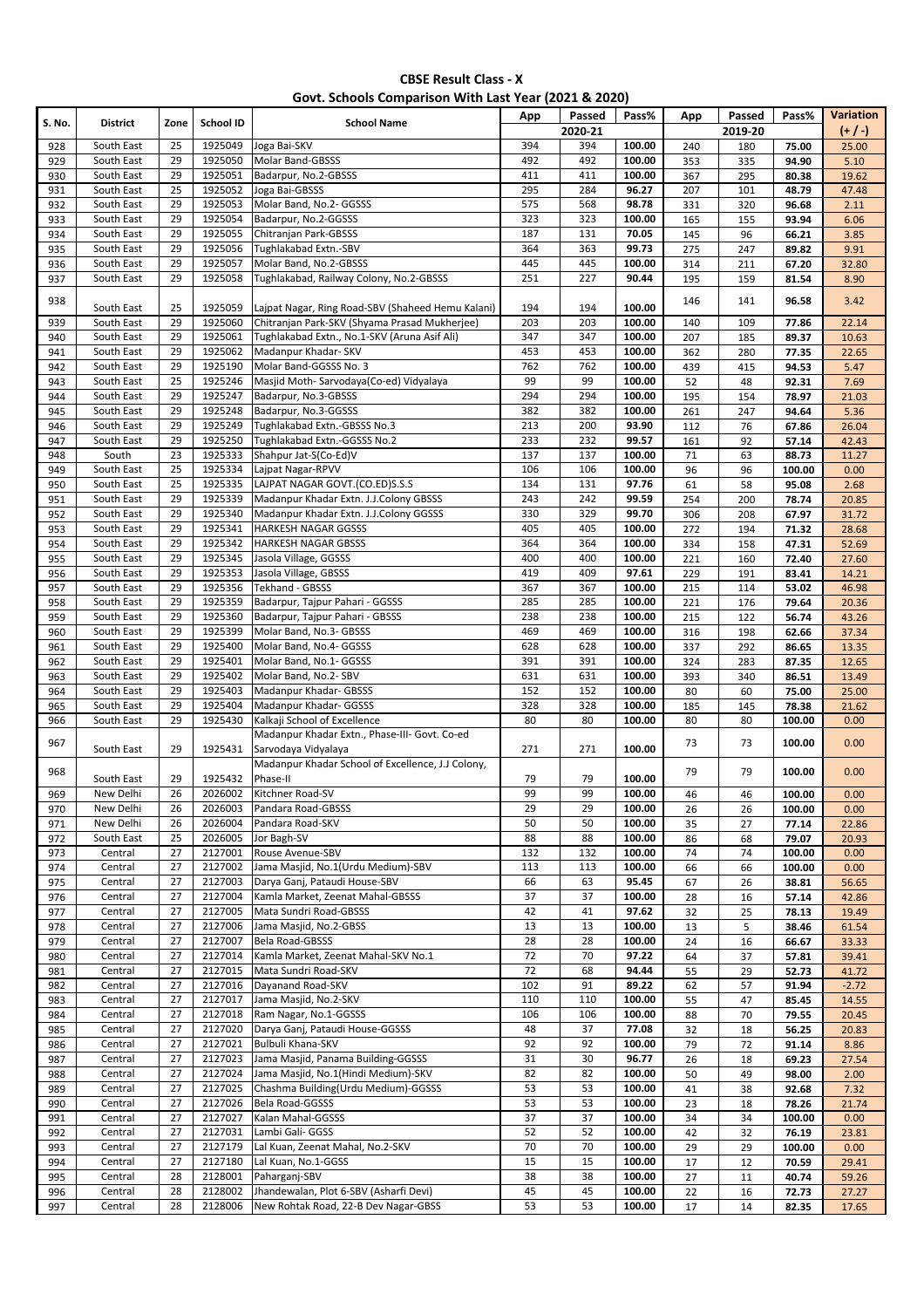|  |  | Govt. Schools Comparison With Last Year (2021 & 2020) |
|--|--|-------------------------------------------------------|
|--|--|-------------------------------------------------------|

| S. No. | <b>District</b> | Zone     | School ID          | <b>School Name</b>                                      | App                   | Passed<br>2020-21     | Pass%            | App | Passed<br>2019-20 | Pass%  | Variation<br>$(+ / )$ |
|--------|-----------------|----------|--------------------|---------------------------------------------------------|-----------------------|-----------------------|------------------|-----|-------------------|--------|-----------------------|
| 928    | South East      | 25       | 1925049            | Joga Bai-SKV                                            | 394                   | 394                   | 100.00           | 240 | 180               | 75.00  | 25.00                 |
| 929    | South East      | 29       | 1925050            | <b>Molar Band-GBSSS</b>                                 | 492                   | 492                   | 100.00           | 353 | 335               | 94.90  | 5.10                  |
| 930    | South East      | 29       | 1925051            | Badarpur, No.2-GBSSS                                    | 411                   | 411                   | 100.00           | 367 | 295               | 80.38  | 19.62                 |
| 931    | South East      | 25       | 1925052            | Joga Bai-GBSSS                                          | 295                   | 284                   | 96.27            | 207 | 101               | 48.79  | 47.48                 |
| 932    | South East      | 29       | 1925053            | Molar Band, No.2- GGSSS                                 | 575                   | 568                   | 98.78            | 331 | 320               | 96.68  | 2.11                  |
| 933    | South East      | 29       | 1925054            | Badarpur, No.2-GGSSS                                    | 323                   | 323                   | 100.00           | 165 | 155               | 93.94  | 6.06                  |
| 934    | South East      | 29       | 1925055            | Chitranjan Park-GBSSS                                   | 187                   | 131                   | 70.05            | 145 | 96                | 66.21  | 3.85                  |
| 935    | South East      | 29       | 1925056            | Tughlakabad Extn.-SBV                                   | 364                   | 363                   | 99.73            | 275 | 247               | 89.82  | 9.91                  |
| 936    | South East      | 29       | 1925057            | Molar Band, No.2-GBSSS                                  | 445                   | 445                   | 100.00           | 314 | 211               | 67.20  | 32.80                 |
| 937    | South East      | 29       | 1925058            | Tughlakabad, Railway Colony, No.2-GBSSS                 | 251                   | 227                   | 90.44            | 195 | 159               | 81.54  | 8.90                  |
| 938    |                 |          |                    |                                                         |                       |                       |                  | 146 | 141               | 96.58  | 3.42                  |
|        | South East      | 25       | 1925059            | Lajpat Nagar, Ring Road-SBV (Shaheed Hemu Kalani)       | 194                   | 194                   | 100.00           |     |                   |        |                       |
| 939    | South East      | 29       | 1925060            | Chitranian Park-SKV (Shyama Prasad Mukherjee)           | 203                   | 203                   | 100.00           | 140 | 109               | 77.86  | 22.14                 |
| 940    | South East      | 29       | 1925061            | Tughlakabad Extn., No.1-SKV (Aruna Asif Ali)            | 347                   | 347                   | 100.00           | 207 | 185               | 89.37  | 10.63                 |
| 941    | South East      | 29       | 1925062            | Madanpur Khadar- SKV                                    | 453                   | 453                   | 100.00           | 362 | 280               | 77.35  | 22.65                 |
| 942    | South East      | 29       | 1925190            | Molar Band-GGSSS No. 3                                  | 762                   | 762                   | 100.00           | 439 | 415               | 94.53  | 5.47                  |
| 943    | South East      | 25       | 1925246            | Masjid Moth-Sarvodaya(Co-ed) Vidyalaya                  | 99                    | 99                    | 100.00           | 52  | 48                | 92.31  | 7.69                  |
| 944    | South East      | 29       | 1925247            | Badarpur, No.3-GBSSS                                    | 294                   | 294                   | 100.00           | 195 | 154               | 78.97  | 21.03                 |
| 945    | South East      | 29       | 1925248            | Badarpur, No.3-GGSSS                                    | 382                   | 382                   | 100.00           | 261 | 247               | 94.64  | 5.36                  |
| 946    | South East      | 29       | 1925249            | Tughlakabad Extn.-GBSSS No.3                            | 213                   | 200                   | 93.90            | 112 | 76                | 67.86  | 26.04                 |
| 947    | South East      | 29       | 1925250            | Tughlakabad Extn.-GGSSS No.2                            | 233                   | 232                   | 99.57            | 161 | 92                | 57.14  | 42.43                 |
| 948    | South           | 23       | 1925333            | Shahpur Jat-S(Co-Ed)V                                   | 137                   | 137                   | 100.00           | 71  | 63                | 88.73  | 11.27                 |
| 949    | South East      | 25       | 1925334            | Laipat Nagar-RPVV                                       | 106                   | 106                   | 100.00           | 96  | 96                | 100.00 | 0.00                  |
| 950    | South East      | 25       | 1925335            | LAJPAT NAGAR GOVT.(CO.ED)S.S.S                          | 134                   | 131                   | 97.76            | 61  | 58                | 95.08  | 2.68                  |
| 951    | South East      | 29       | 1925339            | Madanpur Khadar Extn. J.J.Colony GBSSS                  | 243                   | 242                   | 99.59            | 254 | 200               | 78.74  | 20.85                 |
| 952    | South East      | 29       | 1925340            | Madanpur Khadar Extn. J.J.Colony GGSSS                  | 330                   | 329                   | 99.70            | 306 | 208               | 67.97  | 31.72                 |
| 953    | South East      | 29       | 1925341            | HARKESH NAGAR GGSSS                                     | 405                   | 405                   | 100.00           | 272 | 194               | 71.32  | 28.68                 |
| 954    | South East      | 29       | 1925342            | HARKESH NAGAR GBSSS                                     | 364                   | 364                   | 100.00           | 334 | 158               | 47.31  | 52.69                 |
| 955    | South East      | 29       | 1925345            | Jasola Village, GGSSS                                   | 400                   | 400                   | 100.00           | 221 | 160               | 72.40  | 27.60                 |
| 956    | South East      | 29       | 1925353            | Jasola Village, GBSSS                                   | 419                   | 409                   | 97.61            | 229 | 191               | 83.41  | 14.21                 |
| 957    | South East      | 29       | 1925356            | Tekhand - GBSSS                                         | 367                   | 367                   | 100.00           | 215 | 114               | 53.02  | 46.98                 |
| 958    | South East      | 29       | 1925359            | Badarpur, Tajpur Pahari - GGSSS                         | 285                   | 285                   | 100.00           | 221 | 176               | 79.64  | 20.36                 |
| 959    | South East      | 29       | 1925360            | Badarpur, Tajpur Pahari - GBSSS                         | 238                   | 238                   | 100.00           | 215 | 122               | 56.74  | 43.26                 |
| 960    | South East      | 29       | 1925399            | Molar Band, No.3- GBSSS                                 | 469                   | 469                   | 100.00           | 316 | 198               | 62.66  | 37.34                 |
| 961    | South East      | 29       | 1925400            | Molar Band, No.4- GGSSS                                 | 628                   | 628                   | 100.00           | 337 | 292               | 86.65  | 13.35                 |
| 962    | South East      | 29       | 1925401            | Molar Band, No.1- GGSSS                                 | 391                   | 391                   | 100.00           | 324 | 283               | 87.35  | 12.65                 |
| 963    | South East      | 29       | 1925402            | Molar Band, No.2- SBV                                   | 631                   | 631                   | 100.00           | 393 | 340               | 86.51  | 13.49                 |
| 964    | South East      | 29       | 1925403            | Madanpur Khadar- GBSSS                                  | 152                   | 152                   | 100.00           | 80  | 60                | 75.00  | 25.00                 |
| 965    | South East      | 29       | 1925404            | Madanpur Khadar- GGSSS                                  | 328                   | 328                   | 100.00           | 185 | 145               | 78.38  | 21.62                 |
| 966    | South East      | 29       | 1925430            | Kalkaji School of Excellence                            | 80                    | 80                    | 100.00           | 80  | 80                | 100.00 | 0.00                  |
| 967    |                 |          |                    | Madanpur Khadar Extn., Phase-III- Govt. Co-ed           |                       |                       |                  | 73  | 73                | 100.00 | 0.00                  |
|        | South East      | 29       | 1925431            | Sarvodaya Vidyalaya                                     | 271                   | 271                   | 100.00           |     |                   |        |                       |
| 968    |                 |          |                    | Madanpur Khadar School of Excellence, J.J Colony,       |                       |                       |                  | 79  | 79                | 100.00 | 0.00                  |
|        | South East      | 29       | 1925432            | Phase-II                                                | 79                    | 79                    | 100.00           |     |                   |        |                       |
| 969    | New Delhi       | 26       | 2026002            | Kitchner Road-SV                                        | 99                    | 99                    | 100.00           | 46  | 46                | 100.00 | 0.00                  |
| 970    | New Delhi       | 26       | 2026003            | Pandara Road-GBSSS                                      | 29                    | 29                    | 100.00           | 26  | 26                | 100.00 | 0.00                  |
| 971    | New Delhi       | 26       | 2026004            | Pandara Road-SKV                                        | 50                    | 50                    | 100.00           | 35  | 27                | 77.14  | 22.86                 |
| 972    | South East      | 25       | 2026005            | Jor Bagh-SV                                             | 88                    | 88                    | 100.00           | 86  | 68                | 79.07  | 20.93                 |
| 973    | Central         | 27       | 2127001            | Rouse Avenue-SBV                                        | 132                   | 132                   | 100.00           | 74  | 74                | 100.00 | 0.00                  |
| 974    | Central         | 27       | 2127002            | Jama Masjid, No.1(Urdu Medium)-SBV                      | 113                   | 113                   | 100.00           | 66  | 66                | 100.00 | 0.00                  |
| 975    | Central         | 27       | 2127003            | Darya Ganj, Pataudi House-SBV                           | 66<br>$\overline{37}$ | 63<br>$\overline{37}$ | 95.45            | 67  | 26                | 38.81  | 56.65                 |
| 976    | Central         | 27       | 2127004            | Kamla Market, Zeenat Mahal-GBSSS                        |                       |                       | 100.00           | 28  | 16                | 57.14  | 42.86                 |
| 977    | Central         | 27       | 2127005            | Mata Sundri Road-GBSSS                                  | 42                    | 41                    | 97.62            | 32  | 25                | 78.13  | 19.49                 |
| 978    | Central         | 27       | 2127006            | Jama Masjid, No.2-GBSS                                  | 13                    | 13                    | 100.00           | 13  | 5                 | 38.46  | 61.54                 |
| 979    | Central         | 27       | 2127007            | Bela Road-GBSSS                                         | 28                    | 28                    | 100.00           | 24  | 16                | 66.67  | 33.33                 |
| 980    | Central         | 27       | 2127014            | Kamla Market, Zeenat Mahal-SKV No.1                     | 72                    | 70                    | 97.22            | 64  | 37                | 57.81  | 39.41                 |
| 981    | Central         | 27<br>27 | 2127015            | Mata Sundri Road-SKV                                    | 72                    | 68                    | 94.44            | 55  | 29                | 52.73  | 41.72                 |
| 982    | Central         | 27       | 2127016<br>2127017 | Dayanand Road-SKV                                       | 102                   | 91<br>110             | 89.22<br>100.00  | 62  | 57                | 91.94  | $-2.72$               |
| 983    | Central         |          |                    | Jama Masjid, No.2-SKV                                   | 110                   |                       |                  | 55  | 47                | 85.45  | 14.55                 |
| 984    | Central         | 27       | 2127018            | Ram Nagar, No.1-GGSSS                                   | 106                   | 106                   | 100.00           | 88  | $70\,$            | 79.55  | 20.45                 |
| 985    | Central         | 27<br>27 | 2127020<br>2127021 | Darya Ganj, Pataudi House-GGSSS<br>Bulbuli Khana-SKV    | 48<br>92              | 37<br>92              | 77.08            | 32  | 18                | 56.25  | 20.83                 |
| 986    | Central         |          |                    |                                                         |                       |                       | 100.00           | 79  | 72                | 91.14  | 8.86                  |
| 987    | Central         | 27       | 2127023<br>2127024 | Jama Masjid, Panama Building-GGSSS                      | 31                    | 30                    | 96.77<br>100.00  | 26  | 18                | 69.23  | 27.54                 |
| 988    | Central         | 27       |                    | Jama Masjid, No.1(Hindi Medium)-SKV                     | 82                    | 82                    |                  | 50  | 49                | 98.00  | 2.00                  |
| 989    | Central         | 27       | 2127025            | Chashma Building(Urdu Medium)-GGSSS                     | 53<br>53              | 53                    | 100.00           | 41  | 38                | 92.68  | 7.32                  |
| 990    | Central         | 27       | 2127026            | Bela Road-GGSSS                                         |                       | 53                    | 100.00           | 23  | 18                | 78.26  | 21.74                 |
| 991    | Central         | 27       | 2127027            | Kalan Mahal-GGSSS                                       | 37                    | 37                    | 100.00           | 34  | 34                | 100.00 | 0.00                  |
| 992    | Central         | 27       | 2127031            | Lambi Gali- GGSS                                        | 52                    | 52                    | 100.00           | 42  | 32                | 76.19  | 23.81                 |
| 993    | Central         | 27       | 2127179            | Lal Kuan, Zeenat Mahal, No.2-SKV                        | 70                    | 70                    | 100.00           | 29  | 29                | 100.00 | 0.00                  |
| 994    | Central         | 27       | 2127180<br>2128001 | Lal Kuan, No.1-GGSS                                     | 15<br>38              | 15<br>38              | 100.00<br>100.00 | 17  | 12                | 70.59  | 29.41                 |
| 995    | Central         | 28<br>28 | 2128002            | Paharganj-SBV<br>Jhandewalan, Plot 6-SBV (Asharfi Devi) | 45                    | 45                    | 100.00           | 27  | 11                | 40.74  | 59.26                 |
| 996    | Central         | 28       |                    | New Rohtak Road, 22-B Dev Nagar-GBSS                    |                       | 53                    |                  | 22  | 16                | 72.73  | 27.27                 |
| 997    | Central         |          | 2128006            |                                                         | 53                    |                       | 100.00           | 17  | 14                | 82.35  | 17.65                 |